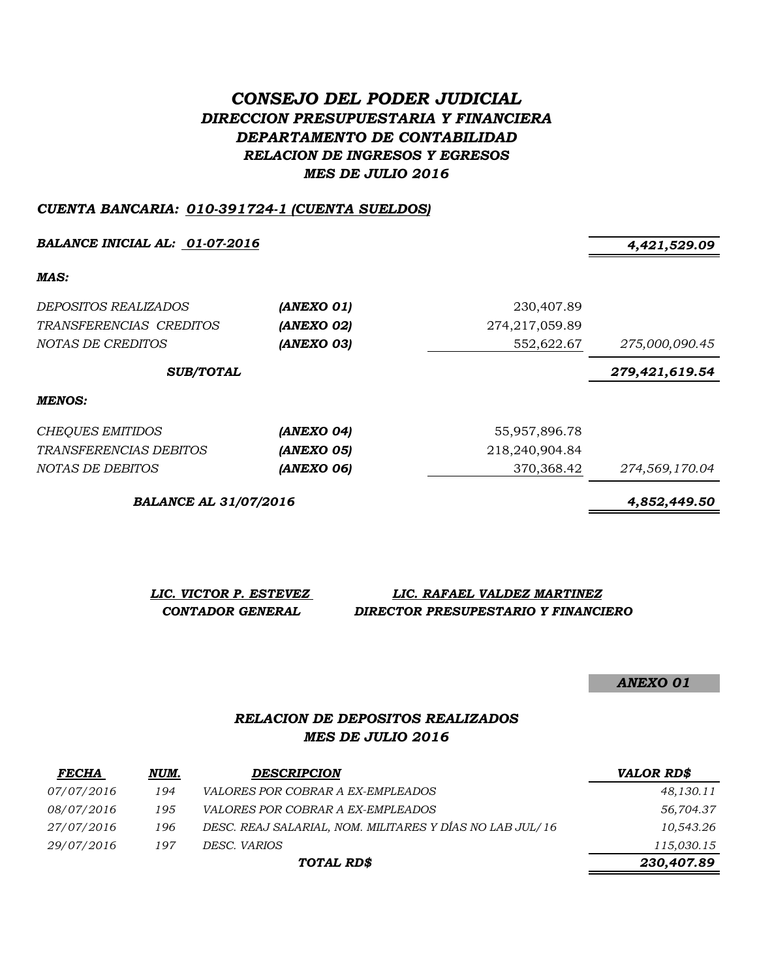# *CONSEJO DEL PODER JUDICIAL DIRECCION PRESUPUESTARIA Y FINANCIERA DEPARTAMENTO DE CONTABILIDAD RELACION DE INGRESOS Y EGRESOS MES DE JULIO 2016*

### *CUENTA BANCARIA: 010-391724-1 (CUENTA SUELDOS)*

*BALANCE INICIAL AL: 01-07-2016 4,421,529.09*

*MAS:*

| <i>DEPOSITOS REALIZADOS</i><br>TRANSFERENCIAS CREDITOS<br>NOTAS DE CREDITOS | (ANEXO 01)<br>(ANEXO 02)<br>(ANEXO 03) | 230,407.89<br>274,217,059.89<br>552,622.67 | 275,000,090.45 |
|-----------------------------------------------------------------------------|----------------------------------------|--------------------------------------------|----------------|
| <b>SUB/TOTAL</b>                                                            |                                        |                                            | 279,421,619.54 |
| <b>MENOS:</b>                                                               |                                        |                                            |                |
| <b>CHEQUES EMITIDOS</b>                                                     | (ANEXO 04)                             | 55,957,896.78                              |                |
| <i>TRANSFERENCIAS DEBITOS</i>                                               | (ANEXO 05)                             | 218,240,904.84                             |                |
| NOTAS DE DEBITOS                                                            | (ANEXO 06)                             | 370,368.42                                 | 274,569,170.04 |

*BALANCE AL 31/07/2016 4,852,449.50*

*LIC. VICTOR P. ESTEVEZ LIC. RAFAEL VALDEZ MARTINEZ CONTADOR GENERAL DIRECTOR PRESUPESTARIO Y FINANCIERO*

*ANEXO 01*

## *RELACION DE DEPOSITOS REALIZADOS MES DE JULIO 2016*

| <b>FECHA</b>      | NUM. | <b>DESCRIPCION</b>                                       | <b>VALOR RD\$</b> |
|-------------------|------|----------------------------------------------------------|-------------------|
| <i>07/07/2016</i> | 194  | <i>VALORES POR COBRAR A EX-EMPLEADOS</i>                 | 48,130.11         |
| 08/07/2016        | 195  | <i>VALORES POR COBRAR A EX-EMPLEADOS</i>                 | 56,704.37         |
| 27/07/2016        | 196  | DESC. REAJ SALARIAL, NOM. MILITARES Y DÍAS NO LAB JUL/16 | 10,543.26         |
| 29/07/2016        | 197  | DESC. VARIOS                                             | 115,030.15        |
|                   |      | TOTAL RD\$                                               | 230,407.89        |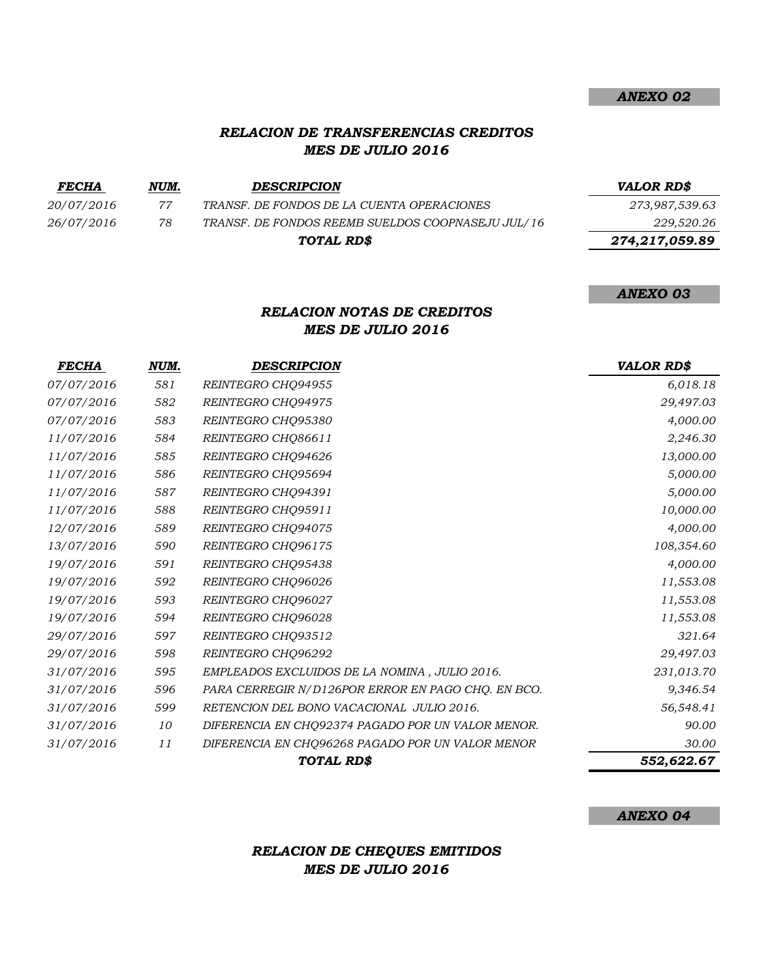## *RELACION DE TRANSFERENCIAS CREDITOS MES DE JULIO 2016*

| <b>FECHA</b> | NUM. | <b>DESCRIPCION</b>                                | VALOR RD\$     |
|--------------|------|---------------------------------------------------|----------------|
| 20/07/2016   | 77   | TRANSF. DE FONDOS DE LA CUENTA OPERACIONES        | 273,987,539.63 |
| 26/07/2016   | 78   | TRANSF. DE FONDOS REEMB SUELDOS COOPNASEJU JUL/16 | 229,520.26     |
|              |      | TOTAL RD\$                                        | 274,217,059.89 |

## *RELACION NOTAS DE CREDITOS MES DE JULIO 2016*

| <b>FECHA</b> | NUM. | <b>DESCRIPCION</b>                                 | <b>VALOR RD\$</b> |
|--------------|------|----------------------------------------------------|-------------------|
| 07/07/2016   | 581  | REINTEGRO CHO94955                                 | 6,018.18          |
| 07/07/2016   | 582  | REINTEGRO CHO94975                                 | 29,497.03         |
| 07/07/2016   | 583  | REINTEGRO CHQ95380                                 | 4,000.00          |
| 11/07/2016   | 584  | REINTEGRO CHQ86611                                 | 2,246.30          |
| 11/07/2016   | 585  | REINTEGRO CHQ94626                                 | 13,000.00         |
| 11/07/2016   | 586  | REINTEGRO CHQ95694                                 | 5,000.00          |
| 11/07/2016   | 587  | REINTEGRO CHO94391                                 | 5,000.00          |
| 11/07/2016   | 588  | REINTEGRO CHQ95911                                 | 10,000.00         |
| 12/07/2016   | 589  | REINTEGRO CHO94075                                 | 4,000.00          |
| 13/07/2016   | 590  | REINTEGRO CHO96175                                 | 108,354.60        |
| 19/07/2016   | 591  | REINTEGRO CHQ95438                                 | 4,000.00          |
| 19/07/2016   | 592  | REINTEGRO CHQ96026                                 | 11,553.08         |
| 19/07/2016   | 593  | REINTEGRO CHQ96027                                 | 11,553.08         |
| 19/07/2016   | 594  | REINTEGRO CHQ96028                                 | 11,553.08         |
| 29/07/2016   | 597  | REINTEGRO CHQ93512                                 | 321.64            |
| 29/07/2016   | 598  | REINTEGRO CHQ96292                                 | 29,497.03         |
| 31/07/2016   | 595  | EMPLEADOS EXCLUIDOS DE LA NOMINA, JULIO 2016.      | 231,013.70        |
| 31/07/2016   | 596  | PARA CERREGIR N/D126POR ERROR EN PAGO CHQ. EN BCO. | 9,346.54          |
| 31/07/2016   | 599  | RETENCION DEL BONO VACACIONAL JULIO 2016.          | 56,548.41         |
| 31/07/2016   | 10   | DIFERENCIA EN CHQ92374 PAGADO POR UN VALOR MENOR.  | 90.00             |
| 31/07/2016   | 11   | DIFERENCIA EN CHQ96268 PAGADO POR UN VALOR MENOR   | 30.00             |
|              |      | TOTAL RD\$                                         | 552,622.67        |

#### *ANEXO 04*

# *RELACION DE CHEQUES EMITIDOS MES DE JULIO 2016*

#### *ANEXO 02*

#### *ANEXO 03*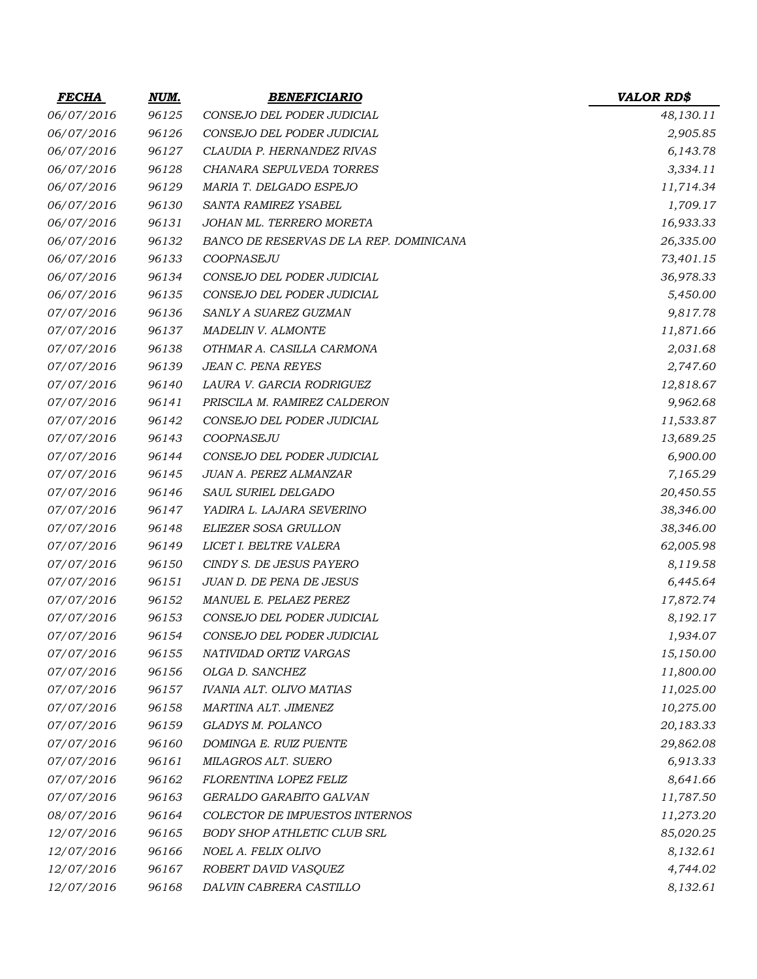| <b>FECHA</b> | NUM.  | <b>BENEFICIARIO</b>                     | <b>VALOR RD\$</b> |
|--------------|-------|-----------------------------------------|-------------------|
| 06/07/2016   | 96125 | CONSEJO DEL PODER JUDICIAL              | 48,130.11         |
| 06/07/2016   | 96126 | CONSEJO DEL PODER JUDICIAL              | 2,905.85          |
| 06/07/2016   | 96127 | CLAUDIA P. HERNANDEZ RIVAS              | 6,143.78          |
| 06/07/2016   | 96128 | CHANARA SEPULVEDA TORRES                | 3,334.11          |
| 06/07/2016   | 96129 | MARIA T. DELGADO ESPEJO                 | 11,714.34         |
| 06/07/2016   | 96130 | SANTA RAMIREZ YSABEL                    | 1,709.17          |
| 06/07/2016   | 96131 | JOHAN ML. TERRERO MORETA                | 16,933.33         |
| 06/07/2016   | 96132 | BANCO DE RESERVAS DE LA REP. DOMINICANA | 26,335.00         |
| 06/07/2016   | 96133 | COOPNASEJU                              | 73,401.15         |
| 06/07/2016   | 96134 | CONSEJO DEL PODER JUDICIAL              | 36,978.33         |
| 06/07/2016   | 96135 | CONSEJO DEL PODER JUDICIAL              | 5,450.00          |
| 07/07/2016   | 96136 | SANLY A SUAREZ GUZMAN                   | 9,817.78          |
| 07/07/2016   | 96137 | <b>MADELIN V. ALMONTE</b>               | 11,871.66         |
| 07/07/2016   | 96138 | OTHMAR A. CASILLA CARMONA               | 2,031.68          |
| 07/07/2016   | 96139 | JEAN C. PENA REYES                      | 2,747.60          |
| 07/07/2016   | 96140 | LAURA V. GARCIA RODRIGUEZ               | 12,818.67         |
| 07/07/2016   | 96141 | PRISCILA M. RAMIREZ CALDERON            | 9,962.68          |
| 07/07/2016   | 96142 | CONSEJO DEL PODER JUDICIAL              | 11,533.87         |
| 07/07/2016   | 96143 | COOPNASEJU                              | 13,689.25         |
| 07/07/2016   | 96144 | CONSEJO DEL PODER JUDICIAL              | 6,900.00          |
| 07/07/2016   | 96145 | JUAN A. PEREZ ALMANZAR                  | 7,165.29          |
| 07/07/2016   | 96146 | SAUL SURIEL DELGADO                     | 20,450.55         |
| 07/07/2016   | 96147 | YADIRA L. LAJARA SEVERINO               | 38,346.00         |
| 07/07/2016   | 96148 | ELIEZER SOSA GRULLON                    | 38,346.00         |
| 07/07/2016   | 96149 | LICET I. BELTRE VALERA                  | 62,005.98         |
| 07/07/2016   | 96150 | CINDY S. DE JESUS PAYERO                | 8,119.58          |
| 07/07/2016   | 96151 | JUAN D. DE PENA DE JESUS                | 6,445.64          |
| 07/07/2016   | 96152 | MANUEL E. PELAEZ PEREZ                  | 17,872.74         |
| 07/07/2016   | 96153 | CONSEJO DEL PODER JUDICIAL              | 8,192.17          |
| 07/07/2016   | 96154 | CONSEJO DEL PODER JUDICIAL              | 1,934.07          |
| 07/07/2016   | 96155 | NATIVIDAD ORTIZ VARGAS                  | 15,150.00         |
| 07/07/2016   | 96156 | OLGA D. SANCHEZ                         | 11,800.00         |
| 07/07/2016   | 96157 | <b>IVANIA ALT. OLIVO MATIAS</b>         | 11,025.00         |
| 07/07/2016   | 96158 | MARTINA ALT. JIMENEZ                    | 10,275.00         |
| 07/07/2016   | 96159 | GLADYS M. POLANCO                       | 20,183.33         |
| 07/07/2016   | 96160 | DOMINGA E. RUIZ PUENTE                  | 29,862.08         |
| 07/07/2016   | 96161 | MILAGROS ALT. SUERO                     | 6,913.33          |
| 07/07/2016   | 96162 | FLORENTINA LOPEZ FELIZ                  | 8,641.66          |
| 07/07/2016   | 96163 | GERALDO GARABITO GALVAN                 | 11,787.50         |
| 08/07/2016   | 96164 | COLECTOR DE IMPUESTOS INTERNOS          | 11,273.20         |
| 12/07/2016   | 96165 | <b>BODY SHOP ATHLETIC CLUB SRL</b>      | 85,020.25         |
| 12/07/2016   | 96166 | NOEL A. FELIX OLIVO                     | 8,132.61          |
| 12/07/2016   | 96167 | ROBERT DAVID VASQUEZ                    | 4,744.02          |
| 12/07/2016   | 96168 | DALVIN CABRERA CASTILLO                 | 8,132.61          |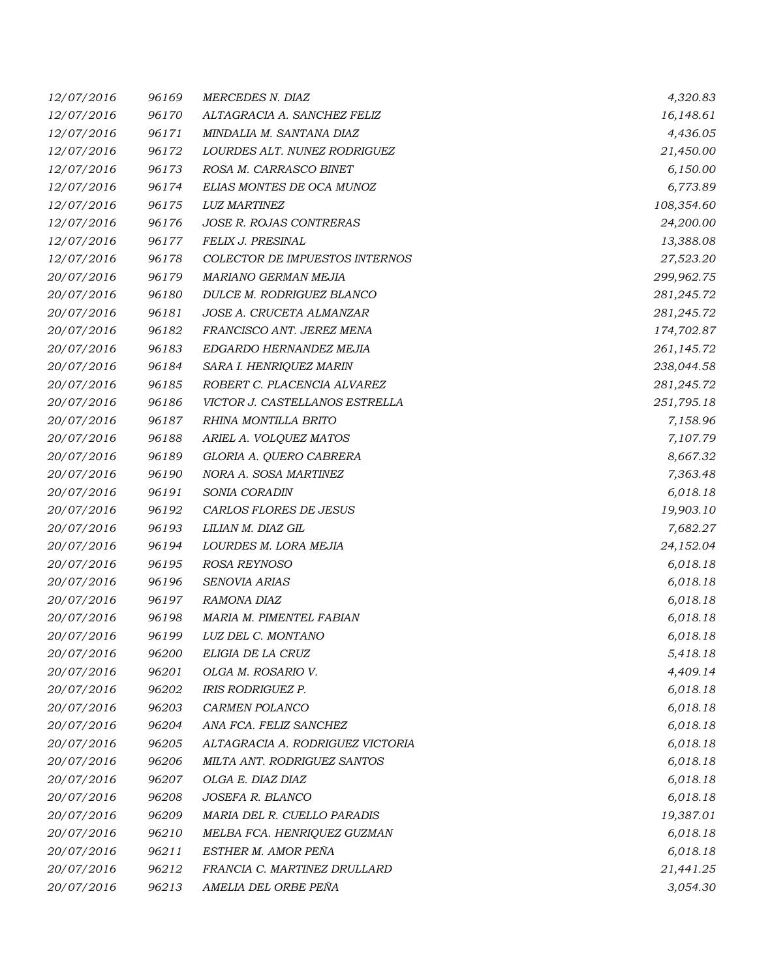| 12/07/2016 | 96169 | <b>MERCEDES N. DIAZ</b>          | 4,320.83   |
|------------|-------|----------------------------------|------------|
| 12/07/2016 | 96170 | ALTAGRACIA A. SANCHEZ FELIZ      | 16,148.61  |
| 12/07/2016 | 96171 | MINDALIA M. SANTANA DIAZ         | 4,436.05   |
| 12/07/2016 | 96172 | LOURDES ALT. NUNEZ RODRIGUEZ     | 21,450.00  |
| 12/07/2016 | 96173 | ROSA M. CARRASCO BINET           | 6,150.00   |
| 12/07/2016 | 96174 | ELIAS MONTES DE OCA MUNOZ        | 6,773.89   |
| 12/07/2016 | 96175 | <b>LUZ MARTINEZ</b>              | 108,354.60 |
| 12/07/2016 | 96176 | JOSE R. ROJAS CONTRERAS          | 24,200.00  |
| 12/07/2016 | 96177 | FELIX J. PRESINAL                | 13,388.08  |
| 12/07/2016 | 96178 | COLECTOR DE IMPUESTOS INTERNOS   | 27,523.20  |
| 20/07/2016 | 96179 | MARIANO GERMAN MEJIA             | 299,962.75 |
| 20/07/2016 | 96180 | DULCE M. RODRIGUEZ BLANCO        | 281,245.72 |
| 20/07/2016 | 96181 | JOSE A. CRUCETA ALMANZAR         | 281,245.72 |
| 20/07/2016 | 96182 | FRANCISCO ANT. JEREZ MENA        | 174,702.87 |
| 20/07/2016 | 96183 | EDGARDO HERNANDEZ MEJIA          | 261,145.72 |
| 20/07/2016 | 96184 | SARA I. HENRIQUEZ MARIN          | 238,044.58 |
| 20/07/2016 | 96185 | ROBERT C. PLACENCIA ALVAREZ      | 281,245.72 |
| 20/07/2016 | 96186 | VICTOR J. CASTELLANOS ESTRELLA   | 251,795.18 |
| 20/07/2016 | 96187 | RHINA MONTILLA BRITO             | 7,158.96   |
| 20/07/2016 | 96188 | ARIEL A. VOLQUEZ MATOS           | 7,107.79   |
| 20/07/2016 | 96189 | GLORIA A. QUERO CABRERA          | 8,667.32   |
| 20/07/2016 | 96190 | NORA A. SOSA MARTINEZ            | 7,363.48   |
| 20/07/2016 | 96191 | SONIA CORADIN                    | 6,018.18   |
| 20/07/2016 | 96192 | CARLOS FLORES DE JESUS           | 19,903.10  |
| 20/07/2016 | 96193 | LILIAN M. DIAZ GIL               | 7,682.27   |
| 20/07/2016 | 96194 | LOURDES M. LORA MEJIA            | 24,152.04  |
| 20/07/2016 | 96195 | ROSA REYNOSO                     | 6,018.18   |
| 20/07/2016 | 96196 | SENOVIA ARIAS                    | 6,018.18   |
| 20/07/2016 | 96197 | RAMONA DIAZ                      | 6,018.18   |
| 20/07/2016 | 96198 | MARIA M. PIMENTEL FABIAN         | 6,018.18   |
| 20/07/2016 | 96199 | LUZ DEL C. MONTANO               | 6,018.18   |
| 20/07/2016 | 96200 | ELIGIA DE LA CRUZ                | 5,418.18   |
| 20/07/2016 | 96201 | OLGA M. ROSARIO V.               | 4,409.14   |
| 20/07/2016 | 96202 | IRIS RODRIGUEZ P.                | 6,018.18   |
| 20/07/2016 | 96203 | CARMEN POLANCO                   | 6,018.18   |
| 20/07/2016 | 96204 | ANA FCA. FELIZ SANCHEZ           | 6,018.18   |
| 20/07/2016 | 96205 | ALTAGRACIA A. RODRIGUEZ VICTORIA | 6,018.18   |
| 20/07/2016 | 96206 | MILTA ANT. RODRIGUEZ SANTOS      | 6,018.18   |
| 20/07/2016 | 96207 | OLGA E. DIAZ DIAZ                | 6,018.18   |
| 20/07/2016 | 96208 | JOSEFA R. BLANCO                 | 6,018.18   |
| 20/07/2016 | 96209 | MARIA DEL R. CUELLO PARADIS      | 19,387.01  |
| 20/07/2016 | 96210 | MELBA FCA. HENRIQUEZ GUZMAN      | 6,018.18   |
| 20/07/2016 | 96211 | ESTHER M. AMOR PEÑA              | 6,018.18   |
| 20/07/2016 | 96212 | FRANCIA C. MARTINEZ DRULLARD     | 21,441.25  |
| 20/07/2016 | 96213 | AMELIA DEL ORBE PEÑA             | 3,054.30   |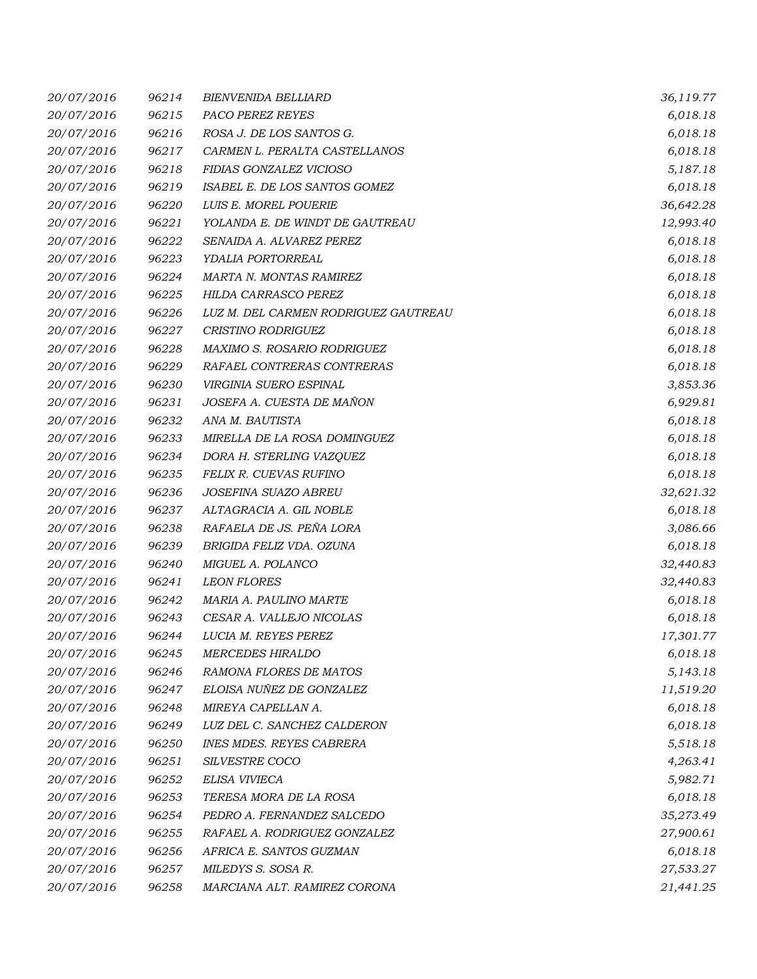| 20/07/2016 | 96214 | <b>BIENVENIDA BELLIARD</b>           | 36,119.77 |
|------------|-------|--------------------------------------|-----------|
| 20/07/2016 | 96215 | PACO PEREZ REYES                     | 6,018.18  |
| 20/07/2016 | 96216 | ROSA J. DE LOS SANTOS G.             | 6,018.18  |
| 20/07/2016 | 96217 | CARMEN L. PERALTA CASTELLANOS        | 6,018.18  |
| 20/07/2016 | 96218 | FIDIAS GONZALEZ VICIOSO              | 5,187.18  |
| 20/07/2016 | 96219 | ISABEL E. DE LOS SANTOS GOMEZ        | 6,018.18  |
| 20/07/2016 | 96220 | LUIS E. MOREL POUERIE                | 36,642.28 |
| 20/07/2016 | 96221 | YOLANDA E. DE WINDT DE GAUTREAU      | 12,993.40 |
| 20/07/2016 | 96222 | SENAIDA A. ALVAREZ PEREZ             | 6,018.18  |
| 20/07/2016 | 96223 | YDALIA PORTORREAL                    | 6,018.18  |
| 20/07/2016 | 96224 | <b>MARTA N. MONTAS RAMIREZ</b>       | 6,018.18  |
| 20/07/2016 | 96225 | HILDA CARRASCO PEREZ                 | 6,018.18  |
| 20/07/2016 | 96226 | LUZ M. DEL CARMEN RODRIGUEZ GAUTREAU | 6,018.18  |
| 20/07/2016 | 96227 | <b>CRISTINO RODRIGUEZ</b>            | 6,018.18  |
| 20/07/2016 | 96228 | <b>MAXIMO S. ROSARIO RODRIGUEZ</b>   | 6,018.18  |
| 20/07/2016 | 96229 | RAFAEL CONTRERAS CONTRERAS           | 6,018.18  |
| 20/07/2016 | 96230 | VIRGINIA SUERO ESPINAL               | 3,853.36  |
| 20/07/2016 | 96231 | JOSEFA A. CUESTA DE MAÑON            | 6,929.81  |
| 20/07/2016 | 96232 | ANA M. BAUTISTA                      | 6,018.18  |
| 20/07/2016 | 96233 | MIRELLA DE LA ROSA DOMINGUEZ         | 6,018.18  |
| 20/07/2016 | 96234 | DORA H. STERLING VAZQUEZ             | 6,018.18  |
| 20/07/2016 | 96235 | FELIX R. CUEVAS RUFINO               | 6,018.18  |
| 20/07/2016 | 96236 | JOSEFINA SUAZO ABREU                 | 32,621.32 |
| 20/07/2016 | 96237 | ALTAGRACIA A. GIL NOBLE              | 6,018.18  |
| 20/07/2016 | 96238 | RAFAELA DE JS. PEÑA LORA             | 3,086.66  |
| 20/07/2016 | 96239 | BRIGIDA FELIZ VDA. OZUNA             | 6,018.18  |
| 20/07/2016 | 96240 | MIGUEL A. POLANCO                    | 32,440.83 |
| 20/07/2016 | 96241 | <b>LEON FLORES</b>                   | 32,440.83 |
| 20/07/2016 | 96242 | MARIA A. PAULINO MARTE               | 6,018.18  |
| 20/07/2016 | 96243 | CESAR A. VALLEJO NICOLAS             | 6,018.18  |
| 20/07/2016 | 96244 | LUCIA M. REYES PEREZ                 | 17,301.77 |
| 20/07/2016 | 96245 | <b>MERCEDES HIRALDO</b>              | 6,018.18  |
| 20/07/2016 | 96246 | RAMONA FLORES DE MATOS               | 5,143.18  |
| 20/07/2016 | 96247 | ELOISA NUÑEZ DE GONZALEZ             | 11,519.20 |
| 20/07/2016 | 96248 | MIREYA CAPELLAN A.                   | 6,018.18  |
| 20/07/2016 | 96249 | LUZ DEL C. SANCHEZ CALDERON          | 6,018.18  |
| 20/07/2016 | 96250 | <b>INES MDES. REYES CABRERA</b>      | 5,518.18  |
| 20/07/2016 | 96251 | SILVESTRE COCO                       | 4,263.41  |
| 20/07/2016 | 96252 | ELISA VIVIECA                        | 5,982.71  |
| 20/07/2016 | 96253 | TERESA MORA DE LA ROSA               | 6,018.18  |
| 20/07/2016 | 96254 | PEDRO A. FERNANDEZ SALCEDO           | 35,273.49 |
| 20/07/2016 | 96255 | RAFAEL A. RODRIGUEZ GONZALEZ         | 27,900.61 |
| 20/07/2016 | 96256 | AFRICA E. SANTOS GUZMAN              | 6,018.18  |
| 20/07/2016 | 96257 | MILEDYS S. SOSA R.                   | 27,533.27 |
| 20/07/2016 | 96258 | MARCIANA ALT. RAMIREZ CORONA         | 21,441.25 |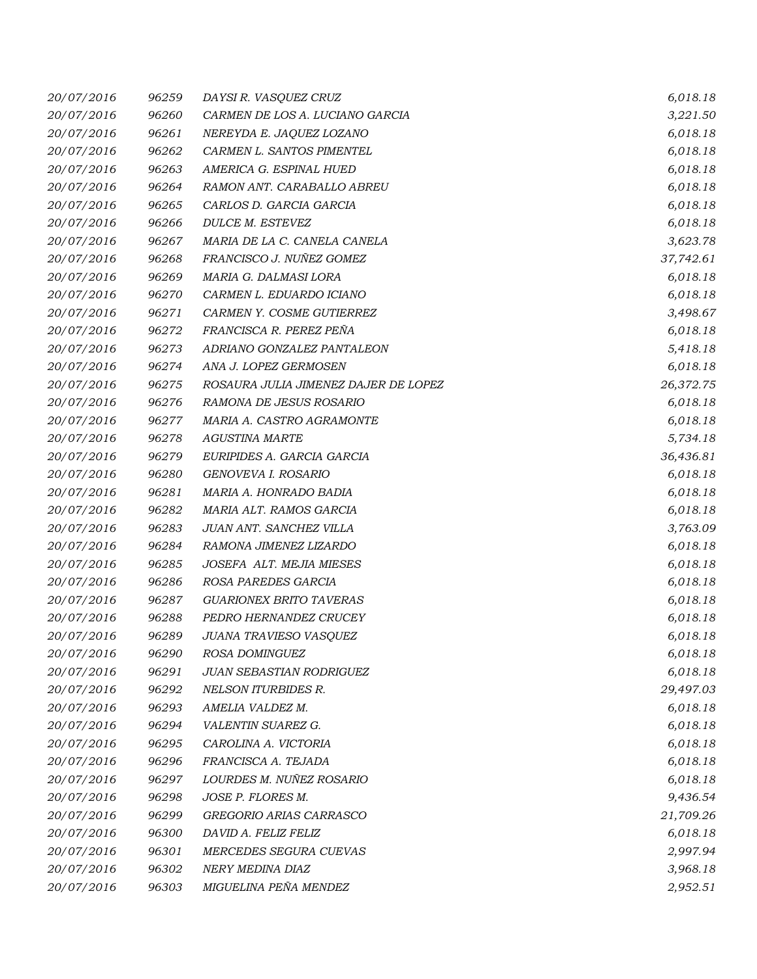| 20/07/2016 | 96259 | DAYSI R. VASQUEZ CRUZ                | 6,018.18  |
|------------|-------|--------------------------------------|-----------|
| 20/07/2016 | 96260 | CARMEN DE LOS A. LUCIANO GARCIA      | 3,221.50  |
| 20/07/2016 | 96261 | NEREYDA E. JAQUEZ LOZANO             | 6,018.18  |
| 20/07/2016 | 96262 | CARMEN L. SANTOS PIMENTEL            | 6,018.18  |
| 20/07/2016 | 96263 | AMERICA G. ESPINAL HUED              | 6,018.18  |
| 20/07/2016 | 96264 | RAMON ANT. CARABALLO ABREU           | 6,018.18  |
| 20/07/2016 | 96265 | CARLOS D. GARCIA GARCIA              | 6,018.18  |
| 20/07/2016 | 96266 | DULCE M. ESTEVEZ                     | 6,018.18  |
| 20/07/2016 | 96267 | MARIA DE LA C. CANELA CANELA         | 3,623.78  |
| 20/07/2016 | 96268 | FRANCISCO J. NUÑEZ GOMEZ             | 37,742.61 |
| 20/07/2016 | 96269 | MARIA G. DALMASI LORA                | 6,018.18  |
| 20/07/2016 | 96270 | CARMEN L. EDUARDO ICIANO             | 6,018.18  |
| 20/07/2016 | 96271 | CARMEN Y. COSME GUTIERREZ            | 3,498.67  |
| 20/07/2016 | 96272 | FRANCISCA R. PEREZ PEÑA              | 6,018.18  |
| 20/07/2016 | 96273 | ADRIANO GONZALEZ PANTALEON           | 5,418.18  |
| 20/07/2016 | 96274 | ANA J. LOPEZ GERMOSEN                | 6,018.18  |
| 20/07/2016 | 96275 | ROSAURA JULIA JIMENEZ DAJER DE LOPEZ | 26,372.75 |
| 20/07/2016 | 96276 | RAMONA DE JESUS ROSARIO              | 6,018.18  |
| 20/07/2016 | 96277 | MARIA A. CASTRO AGRAMONTE            | 6,018.18  |
| 20/07/2016 | 96278 | <b>AGUSTINA MARTE</b>                | 5,734.18  |
| 20/07/2016 | 96279 | EURIPIDES A. GARCIA GARCIA           | 36,436.81 |
| 20/07/2016 | 96280 | GENOVEVA I. ROSARIO                  | 6,018.18  |
| 20/07/2016 | 96281 | MARIA A. HONRADO BADIA               | 6,018.18  |
| 20/07/2016 | 96282 | MARIA ALT. RAMOS GARCIA              | 6,018.18  |
| 20/07/2016 | 96283 | JUAN ANT. SANCHEZ VILLA              | 3,763.09  |
| 20/07/2016 | 96284 | RAMONA JIMENEZ LIZARDO               | 6,018.18  |
| 20/07/2016 | 96285 | JOSEFA ALT. MEJIA MIESES             | 6,018.18  |
| 20/07/2016 | 96286 | ROSA PAREDES GARCIA                  | 6,018.18  |
| 20/07/2016 | 96287 | <b>GUARIONEX BRITO TAVERAS</b>       | 6,018.18  |
| 20/07/2016 | 96288 | PEDRO HERNANDEZ CRUCEY               | 6,018.18  |
| 20/07/2016 | 96289 | JUANA TRAVIESO VASQUEZ               | 6,018.18  |
| 20/07/2016 | 96290 | ROSA DOMINGUEZ                       | 6,018.18  |
| 20/07/2016 | 96291 | <b>JUAN SEBASTIAN RODRIGUEZ</b>      | 6,018.18  |
| 20/07/2016 | 96292 | <b>NELSON ITURBIDES R.</b>           | 29,497.03 |
| 20/07/2016 | 96293 | AMELIA VALDEZ M.                     | 6,018.18  |
| 20/07/2016 | 96294 | VALENTIN SUAREZ G.                   | 6,018.18  |
| 20/07/2016 | 96295 | CAROLINA A. VICTORIA                 | 6,018.18  |
| 20/07/2016 | 96296 | FRANCISCA A. TEJADA                  | 6,018.18  |
| 20/07/2016 | 96297 | LOURDES M. NUÑEZ ROSARIO             | 6,018.18  |
| 20/07/2016 | 96298 | JOSE P. FLORES M.                    | 9,436.54  |
| 20/07/2016 | 96299 | GREGORIO ARIAS CARRASCO              | 21,709.26 |
| 20/07/2016 | 96300 | DAVID A. FELIZ FELIZ                 | 6,018.18  |
| 20/07/2016 | 96301 | MERCEDES SEGURA CUEVAS               | 2,997.94  |
| 20/07/2016 | 96302 | NERY MEDINA DIAZ                     | 3,968.18  |
| 20/07/2016 | 96303 | MIGUELINA PEÑA MENDEZ                | 2,952.51  |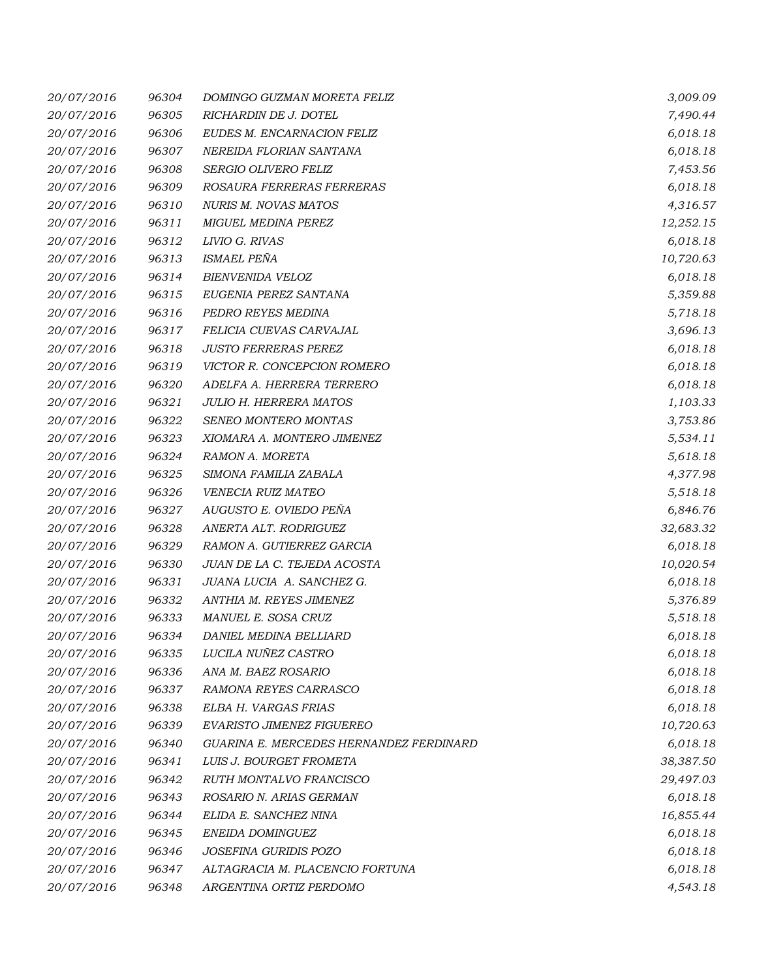| 20/07/2016 | 96304 | DOMINGO GUZMAN MORETA FELIZ             | 3,009.09  |
|------------|-------|-----------------------------------------|-----------|
| 20/07/2016 | 96305 | RICHARDIN DE J. DOTEL                   | 7,490.44  |
| 20/07/2016 | 96306 | EUDES M. ENCARNACION FELIZ              | 6,018.18  |
| 20/07/2016 | 96307 | NEREIDA FLORIAN SANTANA                 | 6,018.18  |
| 20/07/2016 | 96308 | SERGIO OLIVERO FELIZ                    | 7,453.56  |
| 20/07/2016 | 96309 | ROSAURA FERRERAS FERRERAS               | 6,018.18  |
| 20/07/2016 | 96310 | <b>NURIS M. NOVAS MATOS</b>             | 4,316.57  |
| 20/07/2016 | 96311 | MIGUEL MEDINA PEREZ                     | 12,252.15 |
| 20/07/2016 | 96312 | LIVIO G. RIVAS                          | 6,018.18  |
| 20/07/2016 | 96313 | ISMAEL PEÑA                             | 10,720.63 |
| 20/07/2016 | 96314 | <b>BIENVENIDA VELOZ</b>                 | 6,018.18  |
| 20/07/2016 | 96315 | EUGENIA PEREZ SANTANA                   | 5,359.88  |
| 20/07/2016 | 96316 | PEDRO REYES MEDINA                      | 5,718.18  |
| 20/07/2016 | 96317 | FELICIA CUEVAS CARVAJAL                 | 3,696.13  |
| 20/07/2016 | 96318 | <b>JUSTO FERRERAS PEREZ</b>             | 6,018.18  |
| 20/07/2016 | 96319 | VICTOR R. CONCEPCION ROMERO             | 6,018.18  |
| 20/07/2016 | 96320 | ADELFA A. HERRERA TERRERO               | 6,018.18  |
| 20/07/2016 | 96321 | <b>JULIO H. HERRERA MATOS</b>           | 1,103.33  |
| 20/07/2016 | 96322 | SENEO MONTERO MONTAS                    | 3,753.86  |
| 20/07/2016 | 96323 | XIOMARA A. MONTERO JIMENEZ              | 5,534.11  |
| 20/07/2016 | 96324 | RAMON A. MORETA                         | 5,618.18  |
| 20/07/2016 | 96325 | SIMONA FAMILIA ZABALA                   | 4,377.98  |
| 20/07/2016 | 96326 | VENECIA RUIZ MATEO                      | 5,518.18  |
| 20/07/2016 | 96327 | AUGUSTO E. OVIEDO PEÑA                  | 6,846.76  |
| 20/07/2016 | 96328 | ANERTA ALT. RODRIGUEZ                   | 32,683.32 |
| 20/07/2016 | 96329 | RAMON A. GUTIERREZ GARCIA               | 6,018.18  |
| 20/07/2016 | 96330 | JUAN DE LA C. TEJEDA ACOSTA             | 10,020.54 |
| 20/07/2016 | 96331 | JUANA LUCIA A. SANCHEZ G.               | 6,018.18  |
| 20/07/2016 | 96332 | ANTHIA M. REYES JIMENEZ                 | 5,376.89  |
| 20/07/2016 | 96333 | MANUEL E. SOSA CRUZ                     | 5,518.18  |
| 20/07/2016 | 96334 | DANIEL MEDINA BELLIARD                  | 6,018.18  |
| 20/07/2016 | 96335 | LUCILA NUÑEZ CASTRO                     | 6,018.18  |
| 20/07/2016 | 96336 | ANA M. BAEZ ROSARIO                     | 6,018.18  |
| 20/07/2016 | 96337 | RAMONA REYES CARRASCO                   | 6,018.18  |
| 20/07/2016 | 96338 | ELBA H. VARGAS FRIAS                    | 6,018.18  |
| 20/07/2016 | 96339 | EVARISTO JIMENEZ FIGUEREO               | 10,720.63 |
| 20/07/2016 | 96340 | GUARINA E. MERCEDES HERNANDEZ FERDINARD | 6,018.18  |
| 20/07/2016 | 96341 | LUIS J. BOURGET FROMETA                 | 38,387.50 |
| 20/07/2016 | 96342 | RUTH MONTALVO FRANCISCO                 | 29,497.03 |
| 20/07/2016 | 96343 | ROSARIO N. ARIAS GERMAN                 | 6,018.18  |
| 20/07/2016 | 96344 | ELIDA E. SANCHEZ NINA                   | 16,855.44 |
| 20/07/2016 | 96345 | ENEIDA DOMINGUEZ                        | 6,018.18  |
| 20/07/2016 | 96346 | JOSEFINA GURIDIS POZO                   | 6,018.18  |
| 20/07/2016 | 96347 | ALTAGRACIA M. PLACENCIO FORTUNA         | 6,018.18  |
| 20/07/2016 | 96348 | ARGENTINA ORTIZ PERDOMO                 | 4,543.18  |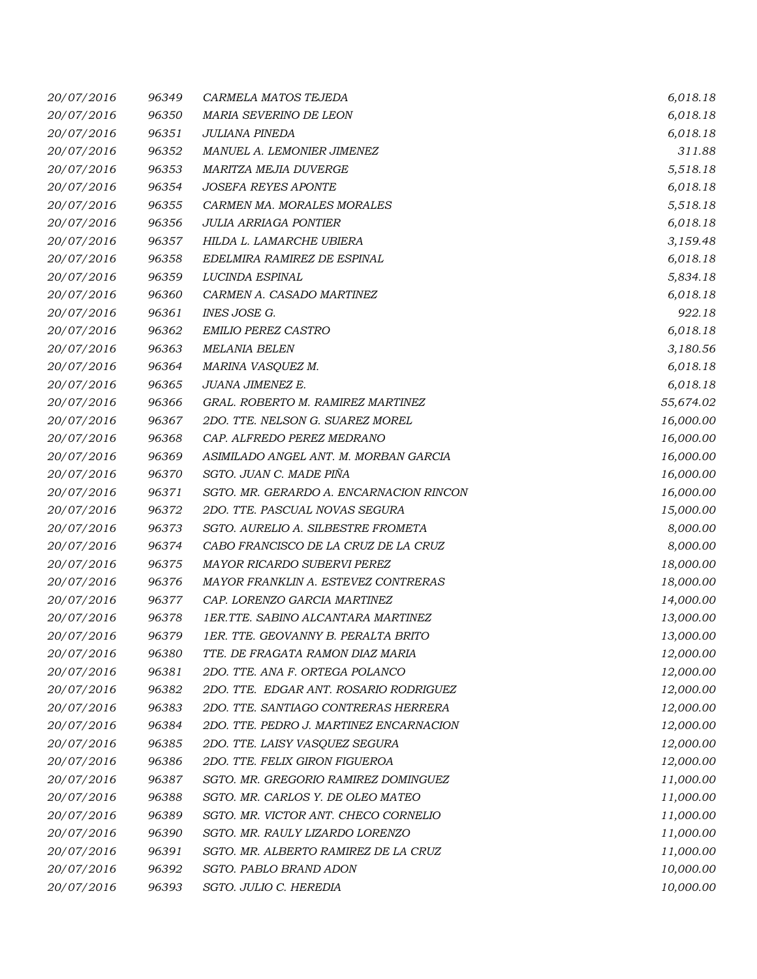| 20/07/2016 | 96349 | CARMELA MATOS TEJEDA                    | 6,018.18  |
|------------|-------|-----------------------------------------|-----------|
| 20/07/2016 | 96350 | MARIA SEVERINO DE LEON                  | 6,018.18  |
| 20/07/2016 | 96351 | JULIANA PINEDA                          | 6,018.18  |
| 20/07/2016 | 96352 | MANUEL A. LEMONIER JIMENEZ              | 311.88    |
| 20/07/2016 | 96353 | MARITZA MEJIA DUVERGE                   | 5,518.18  |
| 20/07/2016 | 96354 | <b>JOSEFA REYES APONTE</b>              | 6,018.18  |
| 20/07/2016 | 96355 | CARMEN MA. MORALES MORALES              | 5,518.18  |
| 20/07/2016 | 96356 | <b>JULIA ARRIAGA PONTIER</b>            | 6,018.18  |
| 20/07/2016 | 96357 | HILDA L. LAMARCHE UBIERA                | 3,159.48  |
| 20/07/2016 | 96358 | EDELMIRA RAMIREZ DE ESPINAL             | 6,018.18  |
| 20/07/2016 | 96359 | LUCINDA ESPINAL                         | 5,834.18  |
| 20/07/2016 | 96360 | CARMEN A. CASADO MARTINEZ               | 6,018.18  |
| 20/07/2016 | 96361 | INES JOSE G.                            | 922.18    |
| 20/07/2016 | 96362 | EMILIO PEREZ CASTRO                     | 6,018.18  |
| 20/07/2016 | 96363 | <b>MELANIA BELEN</b>                    | 3,180.56  |
| 20/07/2016 | 96364 | MARINA VASQUEZ M.                       | 6,018.18  |
| 20/07/2016 | 96365 | JUANA JIMENEZ E.                        | 6,018.18  |
| 20/07/2016 | 96366 | GRAL. ROBERTO M. RAMIREZ MARTINEZ       | 55,674.02 |
| 20/07/2016 | 96367 | 2DO. TTE. NELSON G. SUAREZ MOREL        | 16,000.00 |
| 20/07/2016 | 96368 | CAP. ALFREDO PEREZ MEDRANO              | 16,000.00 |
| 20/07/2016 | 96369 | ASIMILADO ANGEL ANT. M. MORBAN GARCIA   | 16,000.00 |
| 20/07/2016 | 96370 | SGTO. JUAN C. MADE PIÑA                 | 16,000.00 |
| 20/07/2016 | 96371 | SGTO. MR. GERARDO A. ENCARNACION RINCON | 16,000.00 |
| 20/07/2016 | 96372 | 2DO. TTE. PASCUAL NOVAS SEGURA          | 15,000.00 |
| 20/07/2016 | 96373 | SGTO. AURELIO A. SILBESTRE FROMETA      | 8,000.00  |
| 20/07/2016 | 96374 | CABO FRANCISCO DE LA CRUZ DE LA CRUZ    | 8,000.00  |
| 20/07/2016 | 96375 | MAYOR RICARDO SUBERVI PEREZ             | 18,000.00 |
| 20/07/2016 | 96376 | MAYOR FRANKLIN A. ESTEVEZ CONTRERAS     | 18,000.00 |
| 20/07/2016 | 96377 | CAP. LORENZO GARCIA MARTINEZ            | 14,000.00 |
| 20/07/2016 | 96378 | 1ER.TTE. SABINO ALCANTARA MARTINEZ      | 13,000.00 |
| 20/07/2016 | 96379 | 1ER. TTE. GEOVANNY B. PERALTA BRITO     | 13,000.00 |
| 20/07/2016 | 96380 | TTE. DE FRAGATA RAMON DIAZ MARIA        | 12,000.00 |
| 20/07/2016 | 96381 | 2DO. TTE. ANA F. ORTEGA POLANCO         | 12,000.00 |
| 20/07/2016 | 96382 | 2DO. TTE. EDGAR ANT. ROSARIO RODRIGUEZ  | 12,000.00 |
| 20/07/2016 | 96383 | 2DO. TTE. SANTIAGO CONTRERAS HERRERA    | 12,000.00 |
| 20/07/2016 | 96384 | 2DO. TTE. PEDRO J. MARTINEZ ENCARNACION | 12,000.00 |
| 20/07/2016 | 96385 | 2DO. TTE. LAISY VASQUEZ SEGURA          | 12,000.00 |
| 20/07/2016 | 96386 | 2DO. TTE. FELIX GIRON FIGUEROA          | 12,000.00 |
| 20/07/2016 | 96387 | SGTO. MR. GREGORIO RAMIREZ DOMINGUEZ    | 11,000.00 |
| 20/07/2016 | 96388 | SGTO. MR. CARLOS Y. DE OLEO MATEO       | 11,000.00 |
| 20/07/2016 | 96389 | SGTO. MR. VICTOR ANT. CHECO CORNELIO    | 11,000.00 |
| 20/07/2016 | 96390 | SGTO. MR. RAULY LIZARDO LORENZO         | 11,000.00 |
| 20/07/2016 | 96391 | SGTO. MR. ALBERTO RAMIREZ DE LA CRUZ    | 11,000.00 |
| 20/07/2016 | 96392 | SGTO. PABLO BRAND ADON                  | 10,000.00 |
| 20/07/2016 | 96393 | SGTO. JULIO C. HEREDIA                  | 10,000.00 |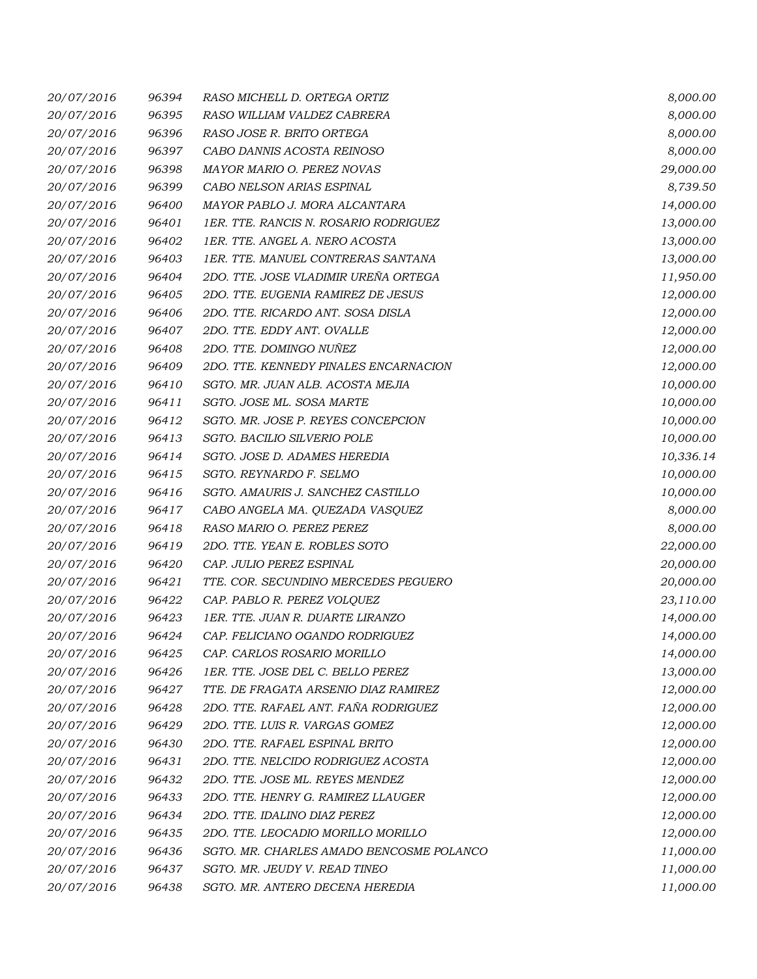| 20/07/2016 | 96394 | RASO MICHELL D. ORTEGA ORTIZ             | 8,000.00  |
|------------|-------|------------------------------------------|-----------|
| 20/07/2016 | 96395 | RASO WILLIAM VALDEZ CABRERA              | 8,000.00  |
| 20/07/2016 | 96396 | RASO JOSE R. BRITO ORTEGA                | 8,000.00  |
| 20/07/2016 | 96397 | CABO DANNIS ACOSTA REINOSO               | 8,000.00  |
| 20/07/2016 | 96398 | MAYOR MARIO O. PEREZ NOVAS               | 29,000.00 |
| 20/07/2016 | 96399 | CABO NELSON ARIAS ESPINAL                | 8,739.50  |
| 20/07/2016 | 96400 | MAYOR PABLO J. MORA ALCANTARA            | 14,000.00 |
| 20/07/2016 | 96401 | 1ER. TTE. RANCIS N. ROSARIO RODRIGUEZ    | 13,000.00 |
| 20/07/2016 | 96402 | 1ER. TTE. ANGEL A. NERO ACOSTA           | 13,000.00 |
| 20/07/2016 | 96403 | 1ER. TTE. MANUEL CONTRERAS SANTANA       | 13,000.00 |
| 20/07/2016 | 96404 | 2DO. TTE. JOSE VLADIMIR UREÑA ORTEGA     | 11,950.00 |
| 20/07/2016 | 96405 | 2DO. TTE. EUGENIA RAMIREZ DE JESUS       | 12,000.00 |
| 20/07/2016 | 96406 | 2DO. TTE. RICARDO ANT. SOSA DISLA        | 12,000.00 |
| 20/07/2016 | 96407 | 2DO. TTE. EDDY ANT. OVALLE               | 12,000.00 |
| 20/07/2016 | 96408 | 2DO. TTE. DOMINGO NUÑEZ                  | 12,000.00 |
| 20/07/2016 | 96409 | 2DO. TTE. KENNEDY PINALES ENCARNACION    | 12,000.00 |
| 20/07/2016 | 96410 | SGTO. MR. JUAN ALB. ACOSTA MEJIA         | 10,000.00 |
| 20/07/2016 | 96411 | SGTO. JOSE ML. SOSA MARTE                | 10,000.00 |
| 20/07/2016 | 96412 | SGTO. MR. JOSE P. REYES CONCEPCION       | 10,000.00 |
| 20/07/2016 | 96413 | SGTO. BACILIO SILVERIO POLE              | 10,000.00 |
| 20/07/2016 | 96414 | SGTO. JOSE D. ADAMES HEREDIA             | 10,336.14 |
| 20/07/2016 | 96415 | SGTO. REYNARDO F. SELMO                  | 10,000.00 |
| 20/07/2016 | 96416 | SGTO. AMAURIS J. SANCHEZ CASTILLO        | 10,000.00 |
| 20/07/2016 | 96417 | CABO ANGELA MA. QUEZADA VASQUEZ          | 8,000.00  |
| 20/07/2016 | 96418 | RASO MARIO O. PEREZ PEREZ                | 8,000.00  |
| 20/07/2016 | 96419 | 2DO. TTE. YEAN E. ROBLES SOTO            | 22,000.00 |
| 20/07/2016 | 96420 | CAP. JULIO PEREZ ESPINAL                 | 20,000.00 |
| 20/07/2016 | 96421 | TTE. COR. SECUNDINO MERCEDES PEGUERO     | 20,000.00 |
| 20/07/2016 | 96422 | CAP. PABLO R. PEREZ VOLQUEZ              | 23,110.00 |
| 20/07/2016 | 96423 | 1ER. TTE. JUAN R. DUARTE LIRANZO         | 14,000.00 |
| 20/07/2016 | 96424 | CAP. FELICIANO OGANDO RODRIGUEZ          | 14,000.00 |
| 20/07/2016 | 96425 | CAP. CARLOS ROSARIO MORILLO              | 14,000.00 |
| 20/07/2016 | 96426 | 1ER. TTE. JOSE DEL C. BELLO PEREZ        | 13,000.00 |
| 20/07/2016 | 96427 | TTE. DE FRAGATA ARSENIO DIAZ RAMIREZ     | 12,000.00 |
| 20/07/2016 | 96428 | 2DO. TTE. RAFAEL ANT. FAÑA RODRIGUEZ     | 12,000.00 |
| 20/07/2016 | 96429 | 2DO. TTE. LUIS R. VARGAS GOMEZ           | 12,000.00 |
| 20/07/2016 | 96430 | 2DO. TTE. RAFAEL ESPINAL BRITO           | 12,000.00 |
| 20/07/2016 | 96431 | 2DO. TTE. NELCIDO RODRIGUEZ ACOSTA       | 12,000.00 |
| 20/07/2016 | 96432 | 2DO. TTE. JOSE ML. REYES MENDEZ          | 12,000.00 |
| 20/07/2016 | 96433 | 2DO. TTE. HENRY G. RAMIREZ LLAUGER       | 12,000.00 |
| 20/07/2016 | 96434 | 2DO. TTE. IDALINO DIAZ PEREZ             | 12,000.00 |
| 20/07/2016 | 96435 | 2DO. TTE. LEOCADIO MORILLO MORILLO       | 12,000.00 |
| 20/07/2016 | 96436 | SGTO. MR. CHARLES AMADO BENCOSME POLANCO | 11,000.00 |
| 20/07/2016 | 96437 | SGTO. MR. JEUDY V. READ TINEO            | 11,000.00 |
| 20/07/2016 | 96438 | SGTO. MR. ANTERO DECENA HEREDIA          | 11,000.00 |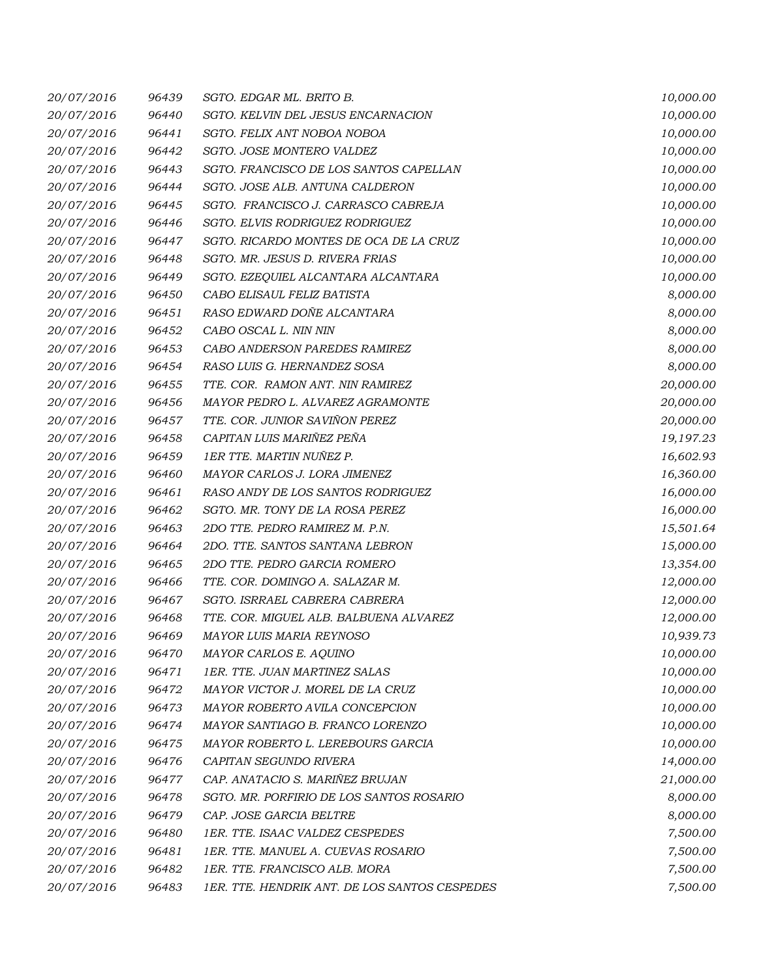| 20/07/2016 | 96439 | SGTO. EDGAR ML. BRITO B.                      | 10,000.00 |
|------------|-------|-----------------------------------------------|-----------|
| 20/07/2016 | 96440 | SGTO. KELVIN DEL JESUS ENCARNACION            | 10,000.00 |
| 20/07/2016 | 96441 | SGTO. FELIX ANT NOBOA NOBOA                   | 10,000.00 |
| 20/07/2016 | 96442 | SGTO. JOSE MONTERO VALDEZ                     | 10,000.00 |
| 20/07/2016 | 96443 | SGTO. FRANCISCO DE LOS SANTOS CAPELLAN        | 10,000.00 |
| 20/07/2016 | 96444 | SGTO. JOSE ALB. ANTUNA CALDERON               | 10,000.00 |
| 20/07/2016 | 96445 | SGTO. FRANCISCO J. CARRASCO CABREJA           | 10,000.00 |
| 20/07/2016 | 96446 | SGTO. ELVIS RODRIGUEZ RODRIGUEZ               | 10,000.00 |
| 20/07/2016 | 96447 | SGTO. RICARDO MONTES DE OCA DE LA CRUZ        | 10,000.00 |
| 20/07/2016 | 96448 | SGTO. MR. JESUS D. RIVERA FRIAS               | 10,000.00 |
| 20/07/2016 | 96449 | SGTO. EZEQUIEL ALCANTARA ALCANTARA            | 10,000.00 |
| 20/07/2016 | 96450 | CABO ELISAUL FELIZ BATISTA                    | 8,000.00  |
| 20/07/2016 | 96451 | RASO EDWARD DOÑE ALCANTARA                    | 8,000.00  |
| 20/07/2016 | 96452 | CABO OSCAL L. NIN NIN                         | 8,000.00  |
| 20/07/2016 | 96453 | CABO ANDERSON PAREDES RAMIREZ                 | 8,000.00  |
| 20/07/2016 | 96454 | RASO LUIS G. HERNANDEZ SOSA                   | 8,000.00  |
| 20/07/2016 | 96455 | TTE. COR. RAMON ANT. NIN RAMIREZ              | 20,000.00 |
| 20/07/2016 | 96456 | MAYOR PEDRO L. ALVAREZ AGRAMONTE              | 20,000.00 |
| 20/07/2016 | 96457 | TTE. COR. JUNIOR SAVIÑON PEREZ                | 20,000.00 |
| 20/07/2016 | 96458 | CAPITAN LUIS MARIÑEZ PEÑA                     | 19,197.23 |
| 20/07/2016 | 96459 | 1ER TTE. MARTIN NUÑEZ P.                      | 16,602.93 |
| 20/07/2016 | 96460 | MAYOR CARLOS J. LORA JIMENEZ                  | 16,360.00 |
| 20/07/2016 | 96461 | RASO ANDY DE LOS SANTOS RODRIGUEZ             | 16,000.00 |
| 20/07/2016 | 96462 | SGTO. MR. TONY DE LA ROSA PEREZ               | 16,000.00 |
| 20/07/2016 | 96463 | 2DO TTE. PEDRO RAMIREZ M. P.N.                | 15,501.64 |
| 20/07/2016 | 96464 | 2DO. TTE. SANTOS SANTANA LEBRON               | 15,000.00 |
| 20/07/2016 | 96465 | 2DO TTE. PEDRO GARCIA ROMERO                  | 13,354.00 |
| 20/07/2016 | 96466 | TTE. COR. DOMINGO A. SALAZAR M.               | 12,000.00 |
| 20/07/2016 | 96467 | SGTO. ISRRAEL CABRERA CABRERA                 | 12,000.00 |
| 20/07/2016 | 96468 | TTE. COR. MIGUEL ALB. BALBUENA ALVAREZ        | 12,000.00 |
| 20/07/2016 | 96469 | MAYOR LUIS MARIA REYNOSO                      | 10,939.73 |
| 20/07/2016 | 96470 | MAYOR CARLOS E. AQUINO                        | 10,000.00 |
| 20/07/2016 | 96471 | 1ER. TTE. JUAN MARTINEZ SALAS                 | 10,000.00 |
| 20/07/2016 | 96472 | MAYOR VICTOR J. MOREL DE LA CRUZ              | 10,000.00 |
| 20/07/2016 | 96473 | MAYOR ROBERTO AVILA CONCEPCION                | 10,000.00 |
| 20/07/2016 | 96474 | MAYOR SANTIAGO B. FRANCO LORENZO              | 10,000.00 |
| 20/07/2016 | 96475 | MAYOR ROBERTO L. LEREBOURS GARCIA             | 10,000.00 |
| 20/07/2016 | 96476 | CAPITAN SEGUNDO RIVERA                        | 14,000.00 |
| 20/07/2016 | 96477 | CAP. ANATACIO S. MARIÑEZ BRUJAN               | 21,000.00 |
| 20/07/2016 | 96478 | SGTO. MR. PORFIRIO DE LOS SANTOS ROSARIO      | 8,000.00  |
| 20/07/2016 | 96479 | CAP. JOSE GARCIA BELTRE                       | 8,000.00  |
| 20/07/2016 | 96480 | 1ER. TTE. ISAAC VALDEZ CESPEDES               | 7,500.00  |
| 20/07/2016 | 96481 | 1ER. TTE. MANUEL A. CUEVAS ROSARIO            | 7,500.00  |
| 20/07/2016 | 96482 | 1ER. TTE. FRANCISCO ALB. MORA                 | 7,500.00  |
| 20/07/2016 | 96483 | 1ER. TTE. HENDRIK ANT. DE LOS SANTOS CESPEDES | 7,500.00  |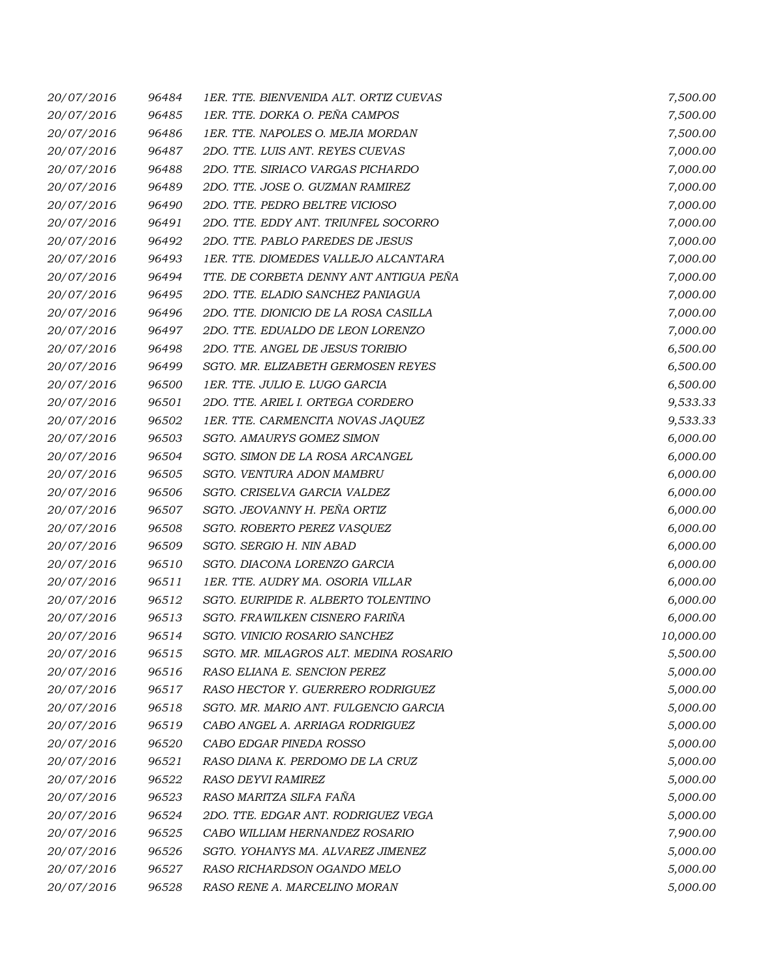| 20/07/2016 | 96484 | 1ER. TTE. BIENVENIDA ALT. ORTIZ CUEVAS | 7,500.00  |
|------------|-------|----------------------------------------|-----------|
| 20/07/2016 | 96485 | 1ER. TTE. DORKA O. PEÑA CAMPOS         | 7,500.00  |
| 20/07/2016 | 96486 | 1ER. TTE. NAPOLES O. MEJIA MORDAN      | 7,500.00  |
| 20/07/2016 | 96487 | 2DO. TTE. LUIS ANT. REYES CUEVAS       | 7,000.00  |
| 20/07/2016 | 96488 | 2DO. TTE. SIRIACO VARGAS PICHARDO      | 7,000.00  |
| 20/07/2016 | 96489 | 2DO. TTE. JOSE O. GUZMAN RAMIREZ       | 7,000.00  |
| 20/07/2016 | 96490 | 2DO. TTE. PEDRO BELTRE VICIOSO         | 7,000.00  |
| 20/07/2016 | 96491 | 2DO. TTE. EDDY ANT. TRIUNFEL SOCORRO   | 7,000.00  |
| 20/07/2016 | 96492 | 2DO. TTE. PABLO PAREDES DE JESUS       | 7,000.00  |
| 20/07/2016 | 96493 | 1ER. TTE. DIOMEDES VALLEJO ALCANTARA   | 7,000.00  |
| 20/07/2016 | 96494 | TTE. DE CORBETA DENNY ANT ANTIGUA PEÑA | 7,000.00  |
| 20/07/2016 | 96495 | 2DO. TTE. ELADIO SANCHEZ PANIAGUA      | 7,000.00  |
| 20/07/2016 | 96496 | 2DO. TTE. DIONICIO DE LA ROSA CASILLA  | 7,000.00  |
| 20/07/2016 | 96497 | 2DO. TTE. EDUALDO DE LEON LORENZO      | 7,000.00  |
| 20/07/2016 | 96498 | 2DO. TTE. ANGEL DE JESUS TORIBIO       | 6,500.00  |
| 20/07/2016 | 96499 | SGTO. MR. ELIZABETH GERMOSEN REYES     | 6,500.00  |
| 20/07/2016 | 96500 | 1ER. TTE. JULIO E. LUGO GARCIA         | 6,500.00  |
| 20/07/2016 | 96501 | 2DO. TTE. ARIEL I. ORTEGA CORDERO      | 9,533.33  |
| 20/07/2016 | 96502 | 1ER. TTE. CARMENCITA NOVAS JAQUEZ      | 9,533.33  |
| 20/07/2016 | 96503 | SGTO. AMAURYS GOMEZ SIMON              | 6,000.00  |
| 20/07/2016 | 96504 | SGTO. SIMON DE LA ROSA ARCANGEL        | 6,000.00  |
| 20/07/2016 | 96505 | SGTO. VENTURA ADON MAMBRU              | 6,000.00  |
| 20/07/2016 | 96506 | SGTO. CRISELVA GARCIA VALDEZ           | 6,000.00  |
| 20/07/2016 | 96507 | SGTO. JEOVANNY H. PEÑA ORTIZ           | 6,000.00  |
| 20/07/2016 | 96508 | SGTO. ROBERTO PEREZ VASQUEZ            | 6,000.00  |
| 20/07/2016 | 96509 | SGTO. SERGIO H. NIN ABAD               | 6,000.00  |
| 20/07/2016 | 96510 | SGTO. DIACONA LORENZO GARCIA           | 6,000.00  |
| 20/07/2016 | 96511 | 1ER. TTE. AUDRY MA. OSORIA VILLAR      | 6,000.00  |
| 20/07/2016 | 96512 | SGTO. EURIPIDE R. ALBERTO TOLENTINO    | 6,000.00  |
| 20/07/2016 | 96513 | SGTO. FRAWILKEN CISNERO FARIÑA         | 6,000.00  |
| 20/07/2016 | 96514 | SGTO. VINICIO ROSARIO SANCHEZ          | 10,000.00 |
| 20/07/2016 | 96515 | SGTO. MR. MILAGROS ALT. MEDINA ROSARIO | 5,500.00  |
| 20/07/2016 | 96516 | RASO ELIANA E. SENCION PEREZ           | 5,000.00  |
| 20/07/2016 | 96517 | RASO HECTOR Y. GUERRERO RODRIGUEZ      | 5,000.00  |
| 20/07/2016 | 96518 | SGTO. MR. MARIO ANT. FULGENCIO GARCIA  | 5,000.00  |
| 20/07/2016 | 96519 | CABO ANGEL A. ARRIAGA RODRIGUEZ        | 5,000.00  |
| 20/07/2016 | 96520 | CABO EDGAR PINEDA ROSSO                | 5,000.00  |
| 20/07/2016 | 96521 | RASO DIANA K. PERDOMO DE LA CRUZ       | 5,000.00  |
| 20/07/2016 | 96522 | <i>RASO DEYVI RAMIREZ</i>              | 5,000.00  |
| 20/07/2016 | 96523 | RASO MARITZA SILFA FAÑA                | 5,000.00  |
| 20/07/2016 | 96524 | 2DO. TTE. EDGAR ANT. RODRIGUEZ VEGA    | 5,000.00  |
| 20/07/2016 | 96525 | CABO WILLIAM HERNANDEZ ROSARIO         | 7,900.00  |
| 20/07/2016 | 96526 | SGTO. YOHANYS MA. ALVAREZ JIMENEZ      | 5,000.00  |
| 20/07/2016 | 96527 | RASO RICHARDSON OGANDO MELO            | 5,000.00  |
| 20/07/2016 | 96528 | RASO RENE A. MARCELINO MORAN           | 5,000.00  |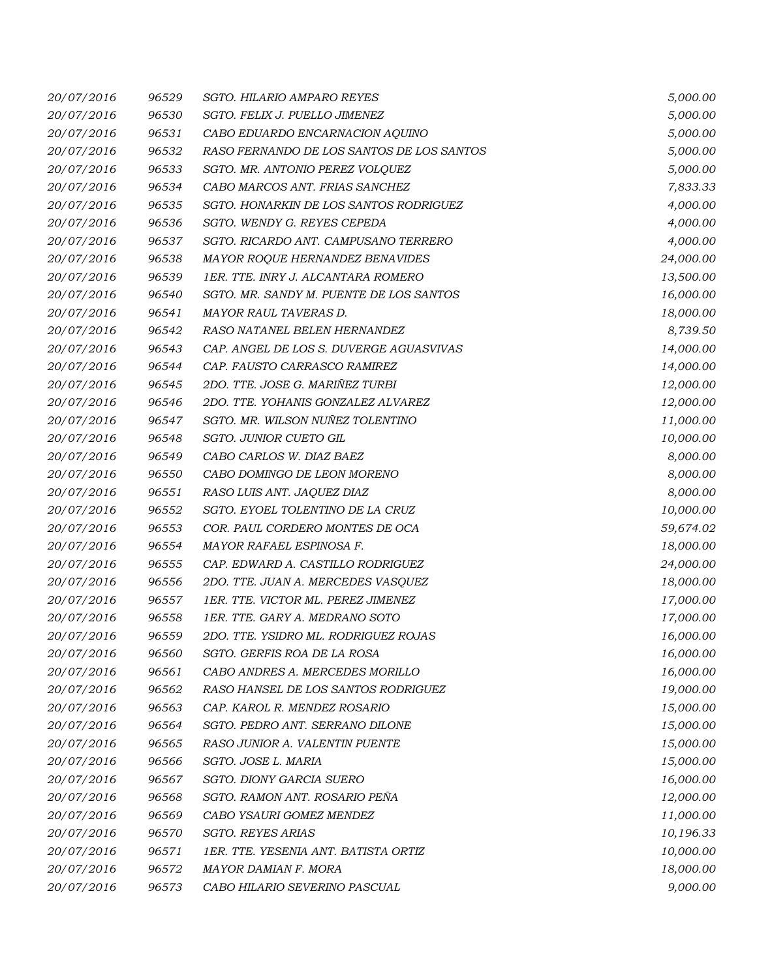| 20/07/2016 | 96529 | <b>SGTO. HILARIO AMPARO REYES</b>         | 5,000.00  |
|------------|-------|-------------------------------------------|-----------|
| 20/07/2016 | 96530 | SGTO. FELIX J. PUELLO JIMENEZ             | 5,000.00  |
| 20/07/2016 | 96531 | CABO EDUARDO ENCARNACION AQUINO           | 5,000.00  |
| 20/07/2016 | 96532 | RASO FERNANDO DE LOS SANTOS DE LOS SANTOS | 5,000.00  |
| 20/07/2016 | 96533 | SGTO. MR. ANTONIO PEREZ VOLQUEZ           | 5,000.00  |
| 20/07/2016 | 96534 | CABO MARCOS ANT. FRIAS SANCHEZ            | 7,833.33  |
| 20/07/2016 | 96535 | SGTO. HONARKIN DE LOS SANTOS RODRIGUEZ    | 4,000.00  |
| 20/07/2016 | 96536 | SGTO. WENDY G. REYES CEPEDA               | 4,000.00  |
| 20/07/2016 | 96537 | SGTO. RICARDO ANT. CAMPUSANO TERRERO      | 4,000.00  |
| 20/07/2016 | 96538 | MAYOR ROQUE HERNANDEZ BENAVIDES           | 24,000.00 |
| 20/07/2016 | 96539 | 1ER. TTE. INRY J. ALCANTARA ROMERO        | 13,500.00 |
| 20/07/2016 | 96540 | SGTO. MR. SANDY M. PUENTE DE LOS SANTOS   | 16,000.00 |
| 20/07/2016 | 96541 | MAYOR RAUL TAVERAS D.                     | 18,000.00 |
| 20/07/2016 | 96542 | RASO NATANEL BELEN HERNANDEZ              | 8,739.50  |
| 20/07/2016 | 96543 | CAP. ANGEL DE LOS S. DUVERGE AGUASVIVAS   | 14,000.00 |
| 20/07/2016 | 96544 | CAP. FAUSTO CARRASCO RAMIREZ              | 14,000.00 |
| 20/07/2016 | 96545 | 2DO. TTE. JOSE G. MARIÑEZ TURBI           | 12,000.00 |
| 20/07/2016 | 96546 | 2DO. TTE. YOHANIS GONZALEZ ALVAREZ        | 12,000.00 |
| 20/07/2016 | 96547 | SGTO. MR. WILSON NUÑEZ TOLENTINO          | 11,000.00 |
| 20/07/2016 | 96548 | SGTO. JUNIOR CUETO GIL                    | 10,000.00 |
| 20/07/2016 | 96549 | CABO CARLOS W. DIAZ BAEZ                  | 8,000.00  |
| 20/07/2016 | 96550 | CABO DOMINGO DE LEON MORENO               | 8,000.00  |
| 20/07/2016 | 96551 | RASO LUIS ANT. JAQUEZ DIAZ                | 8,000.00  |
| 20/07/2016 | 96552 | SGTO. EYOEL TOLENTINO DE LA CRUZ          | 10,000.00 |
| 20/07/2016 | 96553 | COR. PAUL CORDERO MONTES DE OCA           | 59,674.02 |
| 20/07/2016 | 96554 | MAYOR RAFAEL ESPINOSA F.                  | 18,000.00 |
| 20/07/2016 | 96555 | CAP. EDWARD A. CASTILLO RODRIGUEZ         | 24,000.00 |
| 20/07/2016 | 96556 | 2DO. TTE. JUAN A. MERCEDES VASQUEZ        | 18,000.00 |
| 20/07/2016 | 96557 | 1ER. TTE. VICTOR ML. PEREZ JIMENEZ        | 17,000.00 |
| 20/07/2016 | 96558 | 1ER. TTE. GARY A. MEDRANO SOTO            | 17,000.00 |
| 20/07/2016 | 96559 | 2DO. TTE. YSIDRO ML. RODRIGUEZ ROJAS      | 16,000.00 |
| 20/07/2016 | 96560 | SGTO. GERFIS ROA DE LA ROSA               | 16,000.00 |
| 20/07/2016 | 96561 | CABO ANDRES A. MERCEDES MORILLO           | 16,000.00 |
| 20/07/2016 | 96562 | RASO HANSEL DE LOS SANTOS RODRIGUEZ       | 19,000.00 |
| 20/07/2016 | 96563 | CAP. KAROL R. MENDEZ ROSARIO              | 15,000.00 |
| 20/07/2016 | 96564 | SGTO. PEDRO ANT. SERRANO DILONE           | 15,000.00 |
| 20/07/2016 | 96565 | RASO JUNIOR A. VALENTIN PUENTE            | 15,000.00 |
| 20/07/2016 | 96566 | SGTO. JOSE L. MARIA                       | 15,000.00 |
| 20/07/2016 | 96567 | SGTO. DIONY GARCIA SUERO                  | 16,000.00 |
| 20/07/2016 | 96568 | SGTO. RAMON ANT. ROSARIO PEÑA             | 12,000.00 |
| 20/07/2016 | 96569 | CABO YSAURI GOMEZ MENDEZ                  | 11,000.00 |
| 20/07/2016 | 96570 | SGTO. REYES ARIAS                         | 10,196.33 |
| 20/07/2016 | 96571 | 1ER. TTE. YESENIA ANT. BATISTA ORTIZ      | 10,000.00 |
| 20/07/2016 | 96572 | MAYOR DAMIAN F. MORA                      | 18,000.00 |
| 20/07/2016 | 96573 | CABO HILARIO SEVERINO PASCUAL             | 9,000.00  |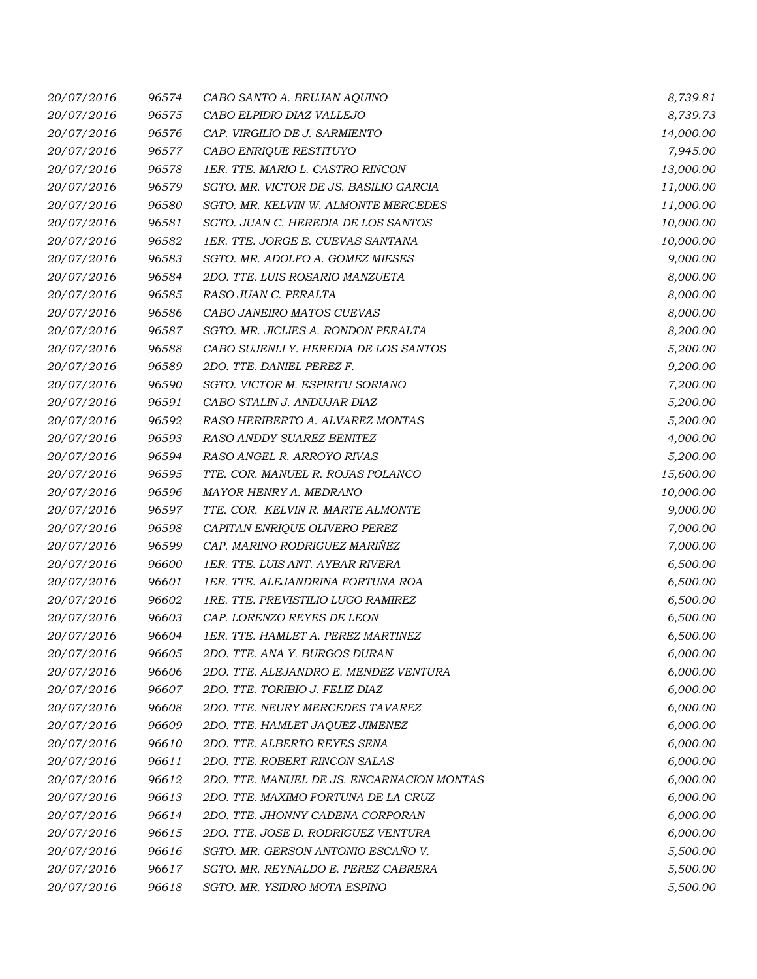| 20/07/2016 | 96574 | CABO SANTO A. BRUJAN AQUINO                | 8,739.81  |
|------------|-------|--------------------------------------------|-----------|
| 20/07/2016 | 96575 | CABO ELPIDIO DIAZ VALLEJO                  | 8,739.73  |
| 20/07/2016 | 96576 | CAP. VIRGILIO DE J. SARMIENTO              | 14,000.00 |
| 20/07/2016 | 96577 | CABO ENRIQUE RESTITUYO                     | 7,945.00  |
| 20/07/2016 | 96578 | 1ER. TTE. MARIO L. CASTRO RINCON           | 13,000.00 |
| 20/07/2016 | 96579 | SGTO. MR. VICTOR DE JS. BASILIO GARCIA     | 11,000.00 |
| 20/07/2016 | 96580 | SGTO. MR. KELVIN W. ALMONTE MERCEDES       | 11,000.00 |
| 20/07/2016 | 96581 | SGTO. JUAN C. HEREDIA DE LOS SANTOS        | 10,000.00 |
| 20/07/2016 | 96582 | 1ER. TTE. JORGE E. CUEVAS SANTANA          | 10,000.00 |
| 20/07/2016 | 96583 | SGTO. MR. ADOLFO A. GOMEZ MIESES           | 9,000.00  |
| 20/07/2016 | 96584 | 2DO. TTE. LUIS ROSARIO MANZUETA            | 8,000.00  |
| 20/07/2016 | 96585 | RASO JUAN C. PERALTA                       | 8,000.00  |
| 20/07/2016 | 96586 | CABO JANEIRO MATOS CUEVAS                  | 8,000.00  |
| 20/07/2016 | 96587 | SGTO. MR. JICLIES A. RONDON PERALTA        | 8,200.00  |
| 20/07/2016 | 96588 | CABO SUJENLI Y. HEREDIA DE LOS SANTOS      | 5,200.00  |
| 20/07/2016 | 96589 | 2DO. TTE. DANIEL PEREZ F.                  | 9,200.00  |
| 20/07/2016 | 96590 | SGTO. VICTOR M. ESPIRITU SORIANO           | 7,200.00  |
| 20/07/2016 | 96591 | CABO STALIN J. ANDUJAR DIAZ                | 5,200.00  |
| 20/07/2016 | 96592 | RASO HERIBERTO A. ALVAREZ MONTAS           | 5,200.00  |
| 20/07/2016 | 96593 | RASO ANDDY SUAREZ BENITEZ                  | 4,000.00  |
| 20/07/2016 | 96594 | RASO ANGEL R. ARROYO RIVAS                 | 5,200.00  |
| 20/07/2016 | 96595 | TTE. COR. MANUEL R. ROJAS POLANCO          | 15,600.00 |
| 20/07/2016 | 96596 | MAYOR HENRY A. MEDRANO                     | 10,000.00 |
| 20/07/2016 | 96597 | TTE. COR. KELVIN R. MARTE ALMONTE          | 9,000.00  |
| 20/07/2016 | 96598 | CAPITAN ENRIQUE OLIVERO PEREZ              | 7,000.00  |
| 20/07/2016 | 96599 | CAP. MARINO RODRIGUEZ MARIÑEZ              | 7,000.00  |
| 20/07/2016 | 96600 | 1ER. TTE. LUIS ANT. AYBAR RIVERA           | 6,500.00  |
| 20/07/2016 | 96601 | 1ER. TTE. ALEJANDRINA FORTUNA ROA          | 6,500.00  |
| 20/07/2016 | 96602 | 1RE. TTE. PREVISTILIO LUGO RAMIREZ         | 6,500.00  |
| 20/07/2016 | 96603 | CAP. LORENZO REYES DE LEON                 | 6,500.00  |
| 20/07/2016 | 96604 | 1ER. TTE. HAMLET A. PEREZ MARTINEZ         | 6,500.00  |
| 20/07/2016 | 96605 | 2DO. TTE. ANA Y. BURGOS DURAN              | 6,000.00  |
| 20/07/2016 | 96606 | 2DO. TTE. ALEJANDRO E. MENDEZ VENTURA      | 6,000.00  |
| 20/07/2016 | 96607 | 2DO. TTE. TORIBIO J. FELIZ DIAZ            | 6,000.00  |
| 20/07/2016 | 96608 | 2DO. TTE. NEURY MERCEDES TAVAREZ           | 6,000.00  |
| 20/07/2016 | 96609 | 2DO. TTE. HAMLET JAQUEZ JIMENEZ            | 6,000.00  |
| 20/07/2016 | 96610 | 2DO. TTE. ALBERTO REYES SENA               | 6,000.00  |
| 20/07/2016 | 96611 | 2DO. TTE. ROBERT RINCON SALAS              | 6,000.00  |
| 20/07/2016 | 96612 | 2DO. TTE. MANUEL DE JS. ENCARNACION MONTAS | 6,000.00  |
| 20/07/2016 | 96613 | 2DO. TTE. MAXIMO FORTUNA DE LA CRUZ        | 6,000.00  |
| 20/07/2016 | 96614 | 2DO. TTE. JHONNY CADENA CORPORAN           | 6,000.00  |
| 20/07/2016 | 96615 | 2DO. TTE. JOSE D. RODRIGUEZ VENTURA        | 6,000.00  |
| 20/07/2016 | 96616 | SGTO. MR. GERSON ANTONIO ESCAÑO V.         | 5,500.00  |
| 20/07/2016 | 96617 | SGTO. MR. REYNALDO E. PEREZ CABRERA        | 5,500.00  |
| 20/07/2016 | 96618 | SGTO. MR. YSIDRO MOTA ESPINO               | 5,500.00  |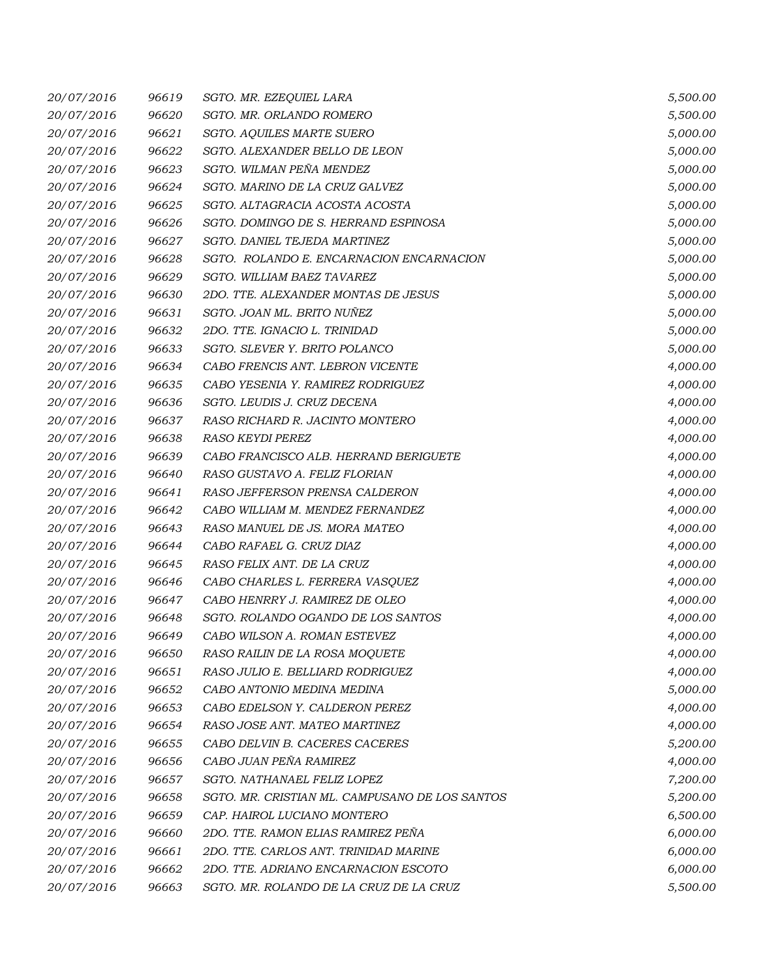| 20/07/2016 | 96619 | SGTO. MR. EZEQUIEL LARA                        | 5,500.00 |
|------------|-------|------------------------------------------------|----------|
| 20/07/2016 | 96620 | SGTO. MR. ORLANDO ROMERO                       | 5,500.00 |
| 20/07/2016 | 96621 | SGTO. AQUILES MARTE SUERO                      | 5,000.00 |
| 20/07/2016 | 96622 | SGTO. ALEXANDER BELLO DE LEON                  | 5,000.00 |
| 20/07/2016 | 96623 | SGTO. WILMAN PEÑA MENDEZ                       | 5,000.00 |
| 20/07/2016 | 96624 | SGTO. MARINO DE LA CRUZ GALVEZ                 | 5,000.00 |
| 20/07/2016 | 96625 | SGTO. ALTAGRACIA ACOSTA ACOSTA                 | 5,000.00 |
| 20/07/2016 | 96626 | SGTO. DOMINGO DE S. HERRAND ESPINOSA           | 5,000.00 |
| 20/07/2016 | 96627 | SGTO. DANIEL TEJEDA MARTINEZ                   | 5,000.00 |
| 20/07/2016 | 96628 | SGTO. ROLANDO E. ENCARNACION ENCARNACION       | 5,000.00 |
| 20/07/2016 | 96629 | SGTO. WILLIAM BAEZ TAVAREZ                     | 5,000.00 |
| 20/07/2016 | 96630 | 2DO. TTE. ALEXANDER MONTAS DE JESUS            | 5,000.00 |
| 20/07/2016 | 96631 | SGTO. JOAN ML. BRITO NUÑEZ                     | 5,000.00 |
| 20/07/2016 | 96632 | 2DO. TTE. IGNACIO L. TRINIDAD                  | 5,000.00 |
| 20/07/2016 | 96633 | SGTO. SLEVER Y. BRITO POLANCO                  | 5,000.00 |
| 20/07/2016 | 96634 | CABO FRENCIS ANT. LEBRON VICENTE               | 4,000.00 |
| 20/07/2016 | 96635 | CABO YESENIA Y. RAMIREZ RODRIGUEZ              | 4,000.00 |
| 20/07/2016 | 96636 | SGTO. LEUDIS J. CRUZ DECENA                    | 4,000.00 |
| 20/07/2016 | 96637 | RASO RICHARD R. JACINTO MONTERO                | 4,000.00 |
| 20/07/2016 | 96638 | <b>RASO KEYDI PEREZ</b>                        | 4,000.00 |
| 20/07/2016 | 96639 | CABO FRANCISCO ALB. HERRAND BERIGUETE          | 4,000.00 |
| 20/07/2016 | 96640 | RASO GUSTAVO A. FELIZ FLORIAN                  | 4,000.00 |
| 20/07/2016 | 96641 | RASO JEFFERSON PRENSA CALDERON                 | 4,000.00 |
| 20/07/2016 | 96642 | CABO WILLIAM M. MENDEZ FERNANDEZ               | 4,000.00 |
| 20/07/2016 | 96643 | RASO MANUEL DE JS. MORA MATEO                  | 4,000.00 |
| 20/07/2016 | 96644 | CABO RAFAEL G. CRUZ DIAZ                       | 4,000.00 |
| 20/07/2016 | 96645 | RASO FELIX ANT. DE LA CRUZ                     | 4,000.00 |
| 20/07/2016 | 96646 | CABO CHARLES L. FERRERA VASQUEZ                | 4,000.00 |
| 20/07/2016 | 96647 | CABO HENRRY J. RAMIREZ DE OLEO                 | 4,000.00 |
| 20/07/2016 | 96648 | SGTO. ROLANDO OGANDO DE LOS SANTOS             | 4,000.00 |
| 20/07/2016 | 96649 | CABO WILSON A. ROMAN ESTEVEZ                   | 4,000.00 |
| 20/07/2016 | 96650 | RASO RAILIN DE LA ROSA MOQUETE                 | 4,000.00 |
| 20/07/2016 | 96651 | RASO JULIO E. BELLIARD RODRIGUEZ               | 4,000.00 |
| 20/07/2016 | 96652 | CABO ANTONIO MEDINA MEDINA                     | 5,000.00 |
| 20/07/2016 | 96653 | CABO EDELSON Y. CALDERON PEREZ                 | 4,000.00 |
| 20/07/2016 | 96654 | RASO JOSE ANT. MATEO MARTINEZ                  | 4,000.00 |
| 20/07/2016 | 96655 | CABO DELVIN B. CACERES CACERES                 | 5,200.00 |
| 20/07/2016 | 96656 | CABO JUAN PEÑA RAMIREZ                         | 4,000.00 |
| 20/07/2016 | 96657 | SGTO. NATHANAEL FELIZ LOPEZ                    | 7,200.00 |
| 20/07/2016 | 96658 | SGTO. MR. CRISTIAN ML. CAMPUSANO DE LOS SANTOS | 5,200.00 |
| 20/07/2016 | 96659 | CAP. HAIROL LUCIANO MONTERO                    | 6,500.00 |
| 20/07/2016 | 96660 | 2DO. TTE. RAMON ELIAS RAMIREZ PEÑA             | 6,000.00 |
| 20/07/2016 | 96661 | 2DO. TTE. CARLOS ANT. TRINIDAD MARINE          | 6,000.00 |
| 20/07/2016 | 96662 | 2DO. TTE. ADRIANO ENCARNACION ESCOTO           | 6,000.00 |
| 20/07/2016 | 96663 | SGTO. MR. ROLANDO DE LA CRUZ DE LA CRUZ        | 5,500.00 |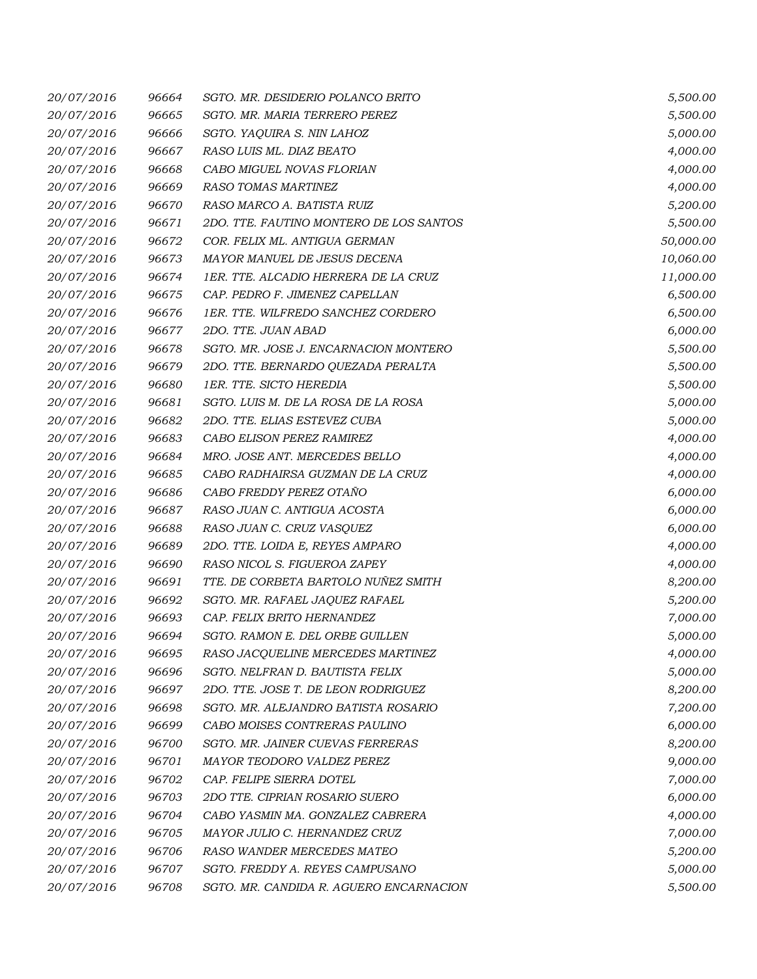| 20/07/2016 | 96664 | SGTO. MR. DESIDERIO POLANCO BRITO       | 5,500.00  |
|------------|-------|-----------------------------------------|-----------|
| 20/07/2016 | 96665 | SGTO. MR. MARIA TERRERO PEREZ           | 5,500.00  |
| 20/07/2016 | 96666 | SGTO. YAQUIRA S. NIN LAHOZ              | 5,000.00  |
| 20/07/2016 | 96667 | RASO LUIS ML. DIAZ BEATO                | 4,000.00  |
| 20/07/2016 | 96668 | CABO MIGUEL NOVAS FLORIAN               | 4,000.00  |
| 20/07/2016 | 96669 | RASO TOMAS MARTINEZ                     | 4,000.00  |
| 20/07/2016 | 96670 | RASO MARCO A. BATISTA RUIZ              | 5,200.00  |
| 20/07/2016 | 96671 | 2DO. TTE. FAUTINO MONTERO DE LOS SANTOS | 5,500.00  |
| 20/07/2016 | 96672 | COR. FELIX ML. ANTIGUA GERMAN           | 50,000.00 |
| 20/07/2016 | 96673 | MAYOR MANUEL DE JESUS DECENA            | 10,060.00 |
| 20/07/2016 | 96674 | 1ER. TTE. ALCADIO HERRERA DE LA CRUZ    | 11,000.00 |
| 20/07/2016 | 96675 | CAP. PEDRO F. JIMENEZ CAPELLAN          | 6,500.00  |
| 20/07/2016 | 96676 | 1ER. TTE. WILFREDO SANCHEZ CORDERO      | 6,500.00  |
| 20/07/2016 | 96677 | 2DO. TTE. JUAN ABAD                     | 6,000.00  |
| 20/07/2016 | 96678 | SGTO. MR. JOSE J. ENCARNACION MONTERO   | 5,500.00  |
| 20/07/2016 | 96679 | 2DO. TTE. BERNARDO QUEZADA PERALTA      | 5,500.00  |
| 20/07/2016 | 96680 | 1ER. TTE. SICTO HEREDIA                 | 5,500.00  |
| 20/07/2016 | 96681 | SGTO. LUIS M. DE LA ROSA DE LA ROSA     | 5,000.00  |
| 20/07/2016 | 96682 | 2DO. TTE. ELIAS ESTEVEZ CUBA            | 5,000.00  |
| 20/07/2016 | 96683 | CABO ELISON PEREZ RAMIREZ               | 4,000.00  |
| 20/07/2016 | 96684 | MRO. JOSE ANT. MERCEDES BELLO           | 4,000.00  |
| 20/07/2016 | 96685 | CABO RADHAIRSA GUZMAN DE LA CRUZ        | 4,000.00  |
| 20/07/2016 | 96686 | CABO FREDDY PEREZ OTAÑO                 | 6,000.00  |
| 20/07/2016 | 96687 | RASO JUAN C. ANTIGUA ACOSTA             | 6,000.00  |
| 20/07/2016 | 96688 | RASO JUAN C. CRUZ VASQUEZ               | 6,000.00  |
| 20/07/2016 | 96689 | 2DO. TTE. LOIDA E, REYES AMPARO         | 4,000.00  |
| 20/07/2016 | 96690 | RASO NICOL S. FIGUEROA ZAPEY            | 4,000.00  |
| 20/07/2016 | 96691 | TTE. DE CORBETA BARTOLO NUÑEZ SMITH     | 8,200.00  |
| 20/07/2016 | 96692 | SGTO. MR. RAFAEL JAQUEZ RAFAEL          | 5,200.00  |
| 20/07/2016 | 96693 | CAP. FELIX BRITO HERNANDEZ              | 7,000.00  |
| 20/07/2016 | 96694 | SGTO. RAMON E. DEL ORBE GUILLEN         | 5,000.00  |
| 20/07/2016 | 96695 | RASO JACQUELINE MERCEDES MARTINEZ       | 4,000.00  |
| 20/07/2016 | 96696 | SGTO. NELFRAN D. BAUTISTA FELIX         | 5,000.00  |
| 20/07/2016 | 96697 | 2DO. TTE. JOSE T. DE LEON RODRIGUEZ     | 8,200.00  |
| 20/07/2016 | 96698 | SGTO. MR. ALEJANDRO BATISTA ROSARIO     | 7,200.00  |
| 20/07/2016 | 96699 | CABO MOISES CONTRERAS PAULINO           | 6,000.00  |
| 20/07/2016 | 96700 | SGTO. MR. JAINER CUEVAS FERRERAS        | 8,200.00  |
| 20/07/2016 | 96701 | MAYOR TEODORO VALDEZ PEREZ              | 9,000.00  |
| 20/07/2016 | 96702 | CAP. FELIPE SIERRA DOTEL                | 7,000.00  |
| 20/07/2016 | 96703 | 2DO TTE. CIPRIAN ROSARIO SUERO          | 6,000.00  |
| 20/07/2016 | 96704 | CABO YASMIN MA. GONZALEZ CABRERA        | 4,000.00  |
| 20/07/2016 | 96705 | MAYOR JULIO C. HERNANDEZ CRUZ           | 7,000.00  |
| 20/07/2016 | 96706 | RASO WANDER MERCEDES MATEO              | 5,200.00  |
| 20/07/2016 | 96707 | SGTO. FREDDY A. REYES CAMPUSANO         | 5,000.00  |
| 20/07/2016 | 96708 | SGTO. MR. CANDIDA R. AGUERO ENCARNACION | 5,500.00  |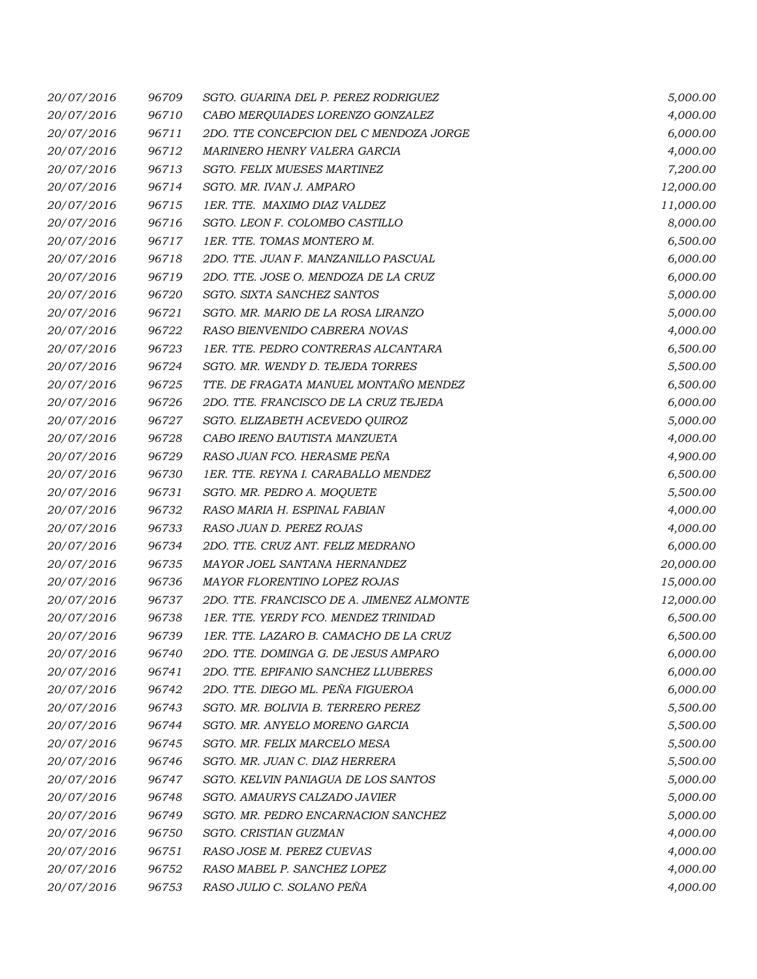| 20/07/2016 | 96709 | SGTO. GUARINA DEL P. PEREZ RODRIGUEZ      | 5,000.00  |
|------------|-------|-------------------------------------------|-----------|
| 20/07/2016 | 96710 | CABO MERQUIADES LORENZO GONZALEZ          | 4,000.00  |
| 20/07/2016 | 96711 | 2DO. TTE CONCEPCION DEL C MENDOZA JORGE   | 6,000.00  |
| 20/07/2016 | 96712 | MARINERO HENRY VALERA GARCIA              | 4,000.00  |
| 20/07/2016 | 96713 | SGTO. FELIX MUESES MARTINEZ               | 7,200.00  |
| 20/07/2016 | 96714 | SGTO. MR. IVAN J. AMPARO                  | 12,000.00 |
| 20/07/2016 | 96715 | 1ER. TTE. MAXIMO DIAZ VALDEZ              | 11,000.00 |
| 20/07/2016 | 96716 | SGTO. LEON F. COLOMBO CASTILLO            | 8,000.00  |
| 20/07/2016 | 96717 | 1ER. TTE. TOMAS MONTERO M.                | 6,500.00  |
| 20/07/2016 | 96718 | 2DO. TTE. JUAN F. MANZANILLO PASCUAL      | 6,000.00  |
| 20/07/2016 | 96719 | 2DO. TTE. JOSE O. MENDOZA DE LA CRUZ      | 6,000.00  |
| 20/07/2016 | 96720 | SGTO. SIXTA SANCHEZ SANTOS                | 5,000.00  |
| 20/07/2016 | 96721 | SGTO. MR. MARIO DE LA ROSA LIRANZO        | 5,000.00  |
| 20/07/2016 | 96722 | RASO BIENVENIDO CABRERA NOVAS             | 4,000.00  |
| 20/07/2016 | 96723 | 1ER. TTE. PEDRO CONTRERAS ALCANTARA       | 6,500.00  |
| 20/07/2016 | 96724 | SGTO. MR. WENDY D. TEJEDA TORRES          | 5,500.00  |
| 20/07/2016 | 96725 | TTE. DE FRAGATA MANUEL MONTAÑO MENDEZ     | 6,500.00  |
| 20/07/2016 | 96726 | 2DO. TTE. FRANCISCO DE LA CRUZ TEJEDA     | 6,000.00  |
| 20/07/2016 | 96727 | SGTO. ELIZABETH ACEVEDO QUIROZ            | 5,000.00  |
| 20/07/2016 | 96728 | CABO IRENO BAUTISTA MANZUETA              | 4,000.00  |
| 20/07/2016 | 96729 | RASO JUAN FCO. HERASME PEÑA               | 4,900.00  |
| 20/07/2016 | 96730 | 1ER. TTE. REYNA I. CARABALLO MENDEZ       | 6,500.00  |
| 20/07/2016 | 96731 | SGTO. MR. PEDRO A. MOQUETE                | 5,500.00  |
| 20/07/2016 | 96732 | RASO MARIA H. ESPINAL FABIAN              | 4,000.00  |
| 20/07/2016 | 96733 | RASO JUAN D. PEREZ ROJAS                  | 4,000.00  |
| 20/07/2016 | 96734 | 2DO. TTE. CRUZ ANT. FELIZ MEDRANO         | 6,000.00  |
| 20/07/2016 | 96735 | MAYOR JOEL SANTANA HERNANDEZ              | 20,000.00 |
| 20/07/2016 | 96736 | MAYOR FLORENTINO LOPEZ ROJAS              | 15,000.00 |
| 20/07/2016 | 96737 | 2DO. TTE. FRANCISCO DE A. JIMENEZ ALMONTE | 12,000.00 |
| 20/07/2016 | 96738 | 1ER. TTE. YERDY FCO. MENDEZ TRINIDAD      | 6,500.00  |
| 20/07/2016 | 96739 | 1ER. TTE. LAZARO B. CAMACHO DE LA CRUZ    | 6,500.00  |
| 20/07/2016 | 96740 | 2DO. TTE. DOMINGA G. DE JESUS AMPARO      | 6,000.00  |
| 20/07/2016 | 96741 | 2DO. TTE. EPIFANIO SANCHEZ LLUBERES       | 6,000.00  |
| 20/07/2016 | 96742 | 2DO. TTE. DIEGO ML. PEÑA FIGUEROA         | 6,000.00  |
| 20/07/2016 | 96743 | SGTO. MR. BOLIVIA B. TERRERO PEREZ        | 5,500.00  |
| 20/07/2016 | 96744 | SGTO. MR. ANYELO MORENO GARCIA            | 5,500.00  |
| 20/07/2016 | 96745 | SGTO. MR. FELIX MARCELO MESA              | 5,500.00  |
| 20/07/2016 | 96746 | SGTO. MR. JUAN C. DIAZ HERRERA            | 5,500.00  |
| 20/07/2016 | 96747 | SGTO. KELVIN PANIAGUA DE LOS SANTOS       | 5,000.00  |
| 20/07/2016 | 96748 | SGTO. AMAURYS CALZADO JAVIER              | 5,000.00  |
| 20/07/2016 | 96749 | SGTO. MR. PEDRO ENCARNACION SANCHEZ       | 5,000.00  |
| 20/07/2016 | 96750 | SGTO. CRISTIAN GUZMAN                     | 4,000.00  |
| 20/07/2016 | 96751 | RASO JOSE M. PEREZ CUEVAS                 | 4,000.00  |
| 20/07/2016 | 96752 | RASO MABEL P. SANCHEZ LOPEZ               | 4,000.00  |
| 20/07/2016 | 96753 | RASO JULIO C. SOLANO PEÑA                 | 4,000.00  |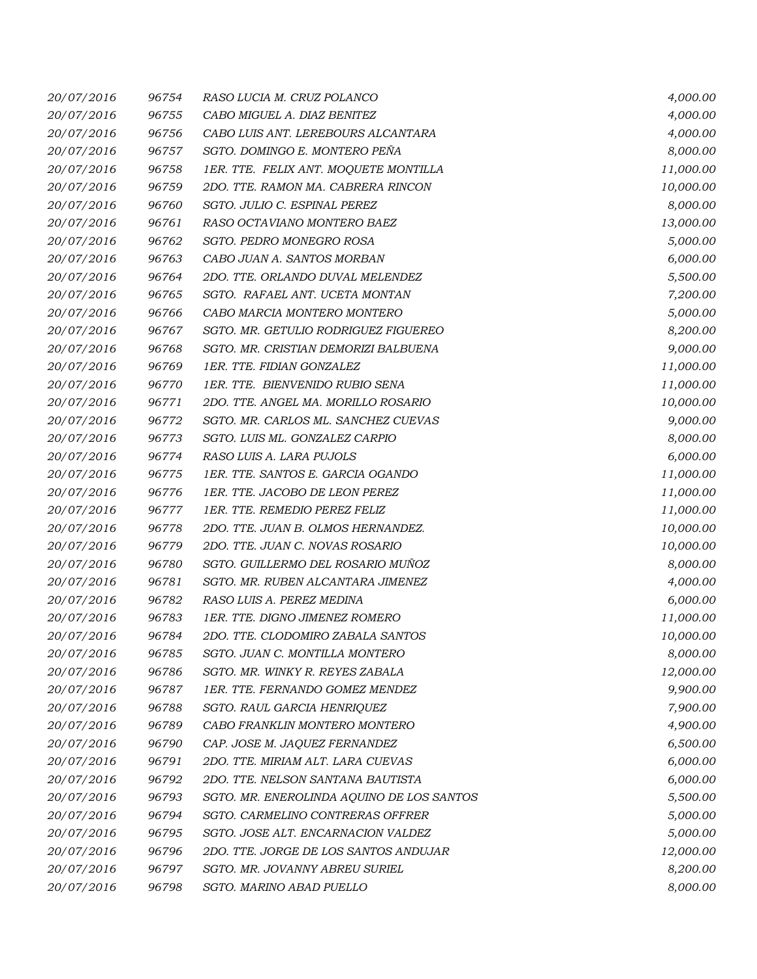| 20/07/2016 | 96754 | RASO LUCIA M. CRUZ POLANCO                | 4,000.00  |
|------------|-------|-------------------------------------------|-----------|
| 20/07/2016 | 96755 | CABO MIGUEL A. DIAZ BENITEZ               | 4,000.00  |
| 20/07/2016 | 96756 | CABO LUIS ANT. LEREBOURS ALCANTARA        | 4,000.00  |
| 20/07/2016 | 96757 | SGTO. DOMINGO E. MONTERO PEÑA             | 8,000.00  |
| 20/07/2016 | 96758 | 1ER. TTE. FELIX ANT. MOQUETE MONTILLA     | 11,000.00 |
| 20/07/2016 | 96759 | 2DO. TTE. RAMON MA. CABRERA RINCON        | 10,000.00 |
| 20/07/2016 | 96760 | SGTO. JULIO C. ESPINAL PEREZ              | 8,000.00  |
| 20/07/2016 | 96761 | RASO OCTAVIANO MONTERO BAEZ               | 13,000.00 |
| 20/07/2016 | 96762 | SGTO. PEDRO MONEGRO ROSA                  | 5,000.00  |
| 20/07/2016 | 96763 | CABO JUAN A. SANTOS MORBAN                | 6,000.00  |
| 20/07/2016 | 96764 | 2DO. TTE. ORLANDO DUVAL MELENDEZ          | 5,500.00  |
| 20/07/2016 | 96765 | SGTO. RAFAEL ANT. UCETA MONTAN            | 7,200.00  |
| 20/07/2016 | 96766 | CABO MARCIA MONTERO MONTERO               | 5,000.00  |
| 20/07/2016 | 96767 | SGTO. MR. GETULIO RODRIGUEZ FIGUEREO      | 8,200.00  |
| 20/07/2016 | 96768 | SGTO. MR. CRISTIAN DEMORIZI BALBUENA      | 9,000.00  |
| 20/07/2016 | 96769 | 1ER. TTE. FIDIAN GONZALEZ                 | 11,000.00 |
| 20/07/2016 | 96770 | 1ER. TTE. BIENVENIDO RUBIO SENA           | 11,000.00 |
| 20/07/2016 | 96771 | 2DO. TTE. ANGEL MA. MORILLO ROSARIO       | 10,000.00 |
| 20/07/2016 | 96772 | SGTO. MR. CARLOS ML. SANCHEZ CUEVAS       | 9,000.00  |
| 20/07/2016 | 96773 | SGTO. LUIS ML. GONZALEZ CARPIO            | 8,000.00  |
| 20/07/2016 | 96774 | RASO LUIS A. LARA PUJOLS                  | 6,000.00  |
| 20/07/2016 | 96775 | 1ER. TTE. SANTOS E. GARCIA OGANDO         | 11,000.00 |
| 20/07/2016 | 96776 | 1ER. TTE. JACOBO DE LEON PEREZ            | 11,000.00 |
| 20/07/2016 | 96777 | 1ER. TTE. REMEDIO PEREZ FELIZ             | 11,000.00 |
| 20/07/2016 | 96778 | 2DO. TTE. JUAN B. OLMOS HERNANDEZ.        | 10,000.00 |
| 20/07/2016 | 96779 | 2DO. TTE. JUAN C. NOVAS ROSARIO           | 10,000.00 |
| 20/07/2016 | 96780 | SGTO. GUILLERMO DEL ROSARIO MUÑOZ         | 8,000.00  |
| 20/07/2016 | 96781 | SGTO. MR. RUBEN ALCANTARA JIMENEZ         | 4,000.00  |
| 20/07/2016 | 96782 | RASO LUIS A. PEREZ MEDINA                 | 6,000.00  |
| 20/07/2016 | 96783 | 1ER. TTE. DIGNO JIMENEZ ROMERO            | 11,000.00 |
| 20/07/2016 | 96784 | 2DO. TTE. CLODOMIRO ZABALA SANTOS         | 10,000.00 |
| 20/07/2016 | 96785 | SGTO. JUAN C. MONTILLA MONTERO            | 8,000.00  |
| 20/07/2016 | 96786 | SGTO. MR. WINKY R. REYES ZABALA           | 12,000.00 |
| 20/07/2016 | 96787 | 1ER. TTE. FERNANDO GOMEZ MENDEZ           | 9,900.00  |
| 20/07/2016 | 96788 | SGTO. RAUL GARCIA HENRIQUEZ               | 7,900.00  |
| 20/07/2016 | 96789 | CABO FRANKLIN MONTERO MONTERO             | 4,900.00  |
| 20/07/2016 | 96790 | CAP. JOSE M. JAQUEZ FERNANDEZ             | 6,500.00  |
| 20/07/2016 | 96791 | 2DO. TTE. MIRIAM ALT. LARA CUEVAS         | 6,000.00  |
| 20/07/2016 | 96792 | 2DO. TTE. NELSON SANTANA BAUTISTA         | 6,000.00  |
| 20/07/2016 | 96793 | SGTO. MR. ENEROLINDA AQUINO DE LOS SANTOS | 5,500.00  |
| 20/07/2016 | 96794 | SGTO. CARMELINO CONTRERAS OFFRER          | 5,000.00  |
| 20/07/2016 | 96795 | SGTO. JOSE ALT. ENCARNACION VALDEZ        | 5,000.00  |
| 20/07/2016 | 96796 | 2DO. TTE. JORGE DE LOS SANTOS ANDUJAR     | 12,000.00 |
| 20/07/2016 | 96797 | SGTO. MR. JOVANNY ABREU SURIEL            | 8,200.00  |
| 20/07/2016 | 96798 | SGTO. MARINO ABAD PUELLO                  | 8,000.00  |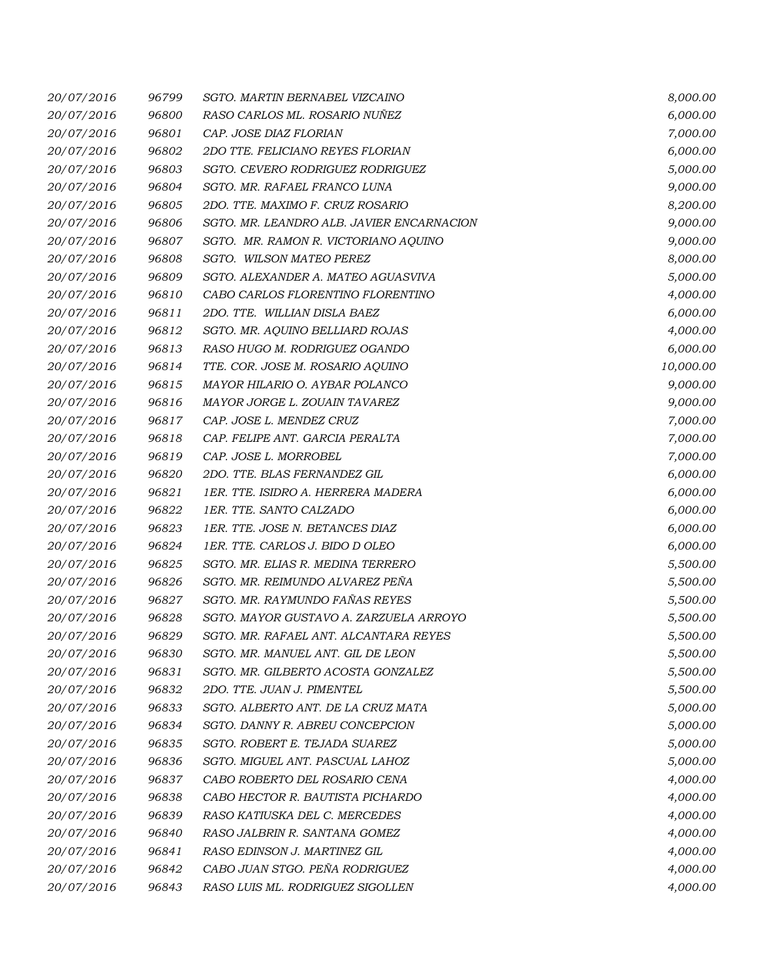| 20/07/2016 | 96799 | SGTO. MARTIN BERNABEL VIZCAINO            | 8,000.00  |
|------------|-------|-------------------------------------------|-----------|
| 20/07/2016 | 96800 | RASO CARLOS ML. ROSARIO NUÑEZ             | 6,000.00  |
| 20/07/2016 | 96801 | CAP. JOSE DIAZ FLORIAN                    | 7,000.00  |
| 20/07/2016 | 96802 | 2DO TTE, FELICIANO REYES FLORIAN          | 6,000.00  |
| 20/07/2016 | 96803 | SGTO. CEVERO RODRIGUEZ RODRIGUEZ          | 5,000.00  |
| 20/07/2016 | 96804 | SGTO. MR. RAFAEL FRANCO LUNA              | 9,000.00  |
| 20/07/2016 | 96805 | 2DO. TTE. MAXIMO F. CRUZ ROSARIO          | 8,200.00  |
| 20/07/2016 | 96806 | SGTO. MR. LEANDRO ALB. JAVIER ENCARNACION | 9,000.00  |
| 20/07/2016 | 96807 | SGTO. MR. RAMON R. VICTORIANO AQUINO      | 9,000.00  |
| 20/07/2016 | 96808 | SGTO. WILSON MATEO PEREZ                  | 8,000.00  |
| 20/07/2016 | 96809 | SGTO. ALEXANDER A. MATEO AGUASVIVA        | 5,000.00  |
| 20/07/2016 | 96810 | CABO CARLOS FLORENTINO FLORENTINO         | 4,000.00  |
| 20/07/2016 | 96811 | 2DO. TTE. WILLIAN DISLA BAEZ              | 6,000.00  |
| 20/07/2016 | 96812 | SGTO. MR. AQUINO BELLIARD ROJAS           | 4,000.00  |
| 20/07/2016 | 96813 | RASO HUGO M. RODRIGUEZ OGANDO             | 6,000.00  |
| 20/07/2016 | 96814 | TTE. COR. JOSE M. ROSARIO AQUINO          | 10,000.00 |
| 20/07/2016 | 96815 | MAYOR HILARIO O. AYBAR POLANCO            | 9,000.00  |
| 20/07/2016 | 96816 | MAYOR JORGE L. ZOUAIN TAVAREZ             | 9,000.00  |
| 20/07/2016 | 96817 | CAP. JOSE L. MENDEZ CRUZ                  | 7,000.00  |
| 20/07/2016 | 96818 | CAP. FELIPE ANT. GARCIA PERALTA           | 7,000.00  |
| 20/07/2016 | 96819 | CAP. JOSE L. MORROBEL                     | 7,000.00  |
| 20/07/2016 | 96820 | 2DO. TTE. BLAS FERNANDEZ GIL              | 6,000.00  |
| 20/07/2016 | 96821 | 1ER. TTE. ISIDRO A. HERRERA MADERA        | 6,000.00  |
| 20/07/2016 | 96822 | 1ER. TTE. SANTO CALZADO                   | 6,000.00  |
| 20/07/2016 | 96823 | 1ER. TTE. JOSE N. BETANCES DIAZ           | 6,000.00  |
| 20/07/2016 | 96824 | 1ER. TTE. CARLOS J. BIDO D OLEO           | 6,000.00  |
| 20/07/2016 | 96825 | SGTO. MR. ELIAS R. MEDINA TERRERO         | 5,500.00  |
| 20/07/2016 | 96826 | SGTO. MR. REIMUNDO ALVAREZ PEÑA           | 5,500.00  |
| 20/07/2016 | 96827 | SGTO. MR. RAYMUNDO FAÑAS REYES            | 5,500.00  |
| 20/07/2016 | 96828 | SGTO. MAYOR GUSTAVO A. ZARZUELA ARROYO    | 5,500.00  |
| 20/07/2016 | 96829 | SGTO. MR. RAFAEL ANT. ALCANTARA REYES     | 5,500.00  |
| 20/07/2016 | 96830 | SGTO. MR. MANUEL ANT. GIL DE LEON         | 5,500.00  |
| 20/07/2016 | 96831 | SGTO. MR. GILBERTO ACOSTA GONZALEZ        | 5,500.00  |
| 20/07/2016 | 96832 | 2DO. TTE. JUAN J. PIMENTEL                | 5,500.00  |
| 20/07/2016 | 96833 | SGTO. ALBERTO ANT. DE LA CRUZ MATA        | 5,000.00  |
| 20/07/2016 | 96834 | SGTO. DANNY R. ABREU CONCEPCION           | 5,000.00  |
| 20/07/2016 | 96835 | SGTO. ROBERT E. TEJADA SUAREZ             | 5,000.00  |
| 20/07/2016 | 96836 | SGTO. MIGUEL ANT. PASCUAL LAHOZ           | 5,000.00  |
| 20/07/2016 | 96837 | CABO ROBERTO DEL ROSARIO CENA             | 4,000.00  |
| 20/07/2016 | 96838 | CABO HECTOR R. BAUTISTA PICHARDO          | 4,000.00  |
| 20/07/2016 | 96839 | RASO KATIUSKA DEL C. MERCEDES             | 4,000.00  |
| 20/07/2016 | 96840 | RASO JALBRIN R. SANTANA GOMEZ             | 4,000.00  |
| 20/07/2016 | 96841 | RASO EDINSON J. MARTINEZ GIL              | 4,000.00  |
| 20/07/2016 | 96842 | CABO JUAN STGO. PEÑA RODRIGUEZ            | 4,000.00  |
| 20/07/2016 | 96843 | RASO LUIS ML. RODRIGUEZ SIGOLLEN          | 4,000.00  |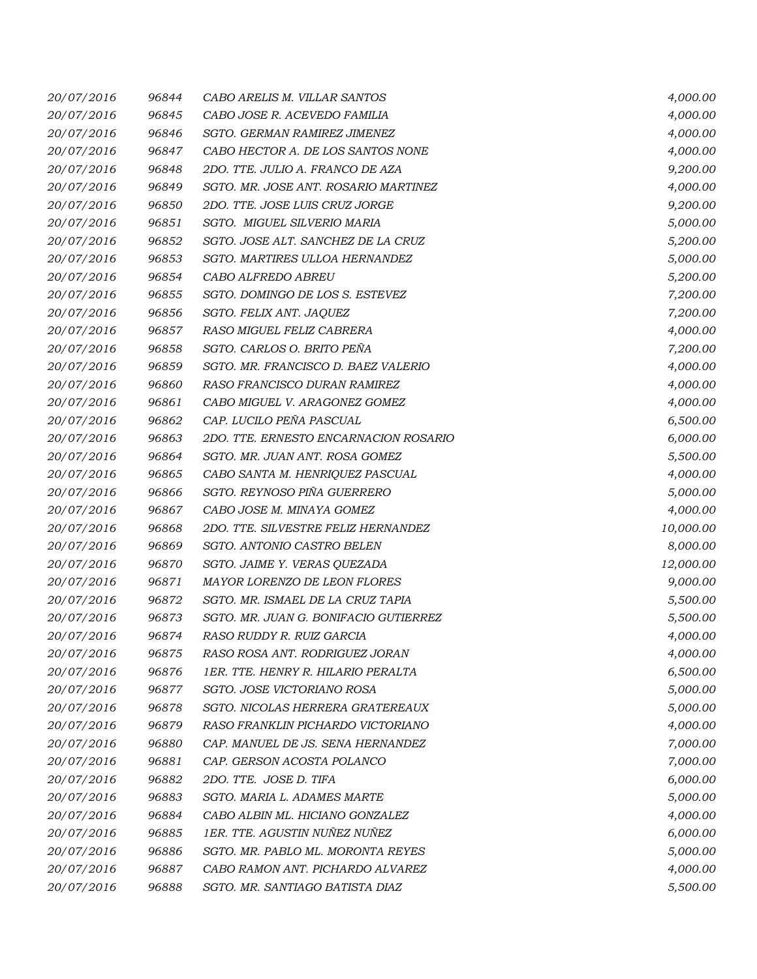| 20/07/2016 | 96844 | CABO ARELIS M. VILLAR SANTOS          | 4,000.00  |
|------------|-------|---------------------------------------|-----------|
| 20/07/2016 | 96845 | CABO JOSE R. ACEVEDO FAMILIA          | 4,000.00  |
| 20/07/2016 | 96846 | SGTO. GERMAN RAMIREZ JIMENEZ          | 4,000.00  |
| 20/07/2016 | 96847 | CABO HECTOR A. DE LOS SANTOS NONE     | 4,000.00  |
| 20/07/2016 | 96848 | 2DO. TTE. JULIO A. FRANCO DE AZA      | 9,200.00  |
| 20/07/2016 | 96849 | SGTO. MR. JOSE ANT. ROSARIO MARTINEZ  | 4,000.00  |
| 20/07/2016 | 96850 | 2DO. TTE. JOSE LUIS CRUZ JORGE        | 9,200.00  |
| 20/07/2016 | 96851 | SGTO. MIGUEL SILVERIO MARIA           | 5,000.00  |
| 20/07/2016 | 96852 | SGTO. JOSE ALT. SANCHEZ DE LA CRUZ    | 5,200.00  |
| 20/07/2016 | 96853 | SGTO. MARTIRES ULLOA HERNANDEZ        | 5,000.00  |
| 20/07/2016 | 96854 | CABO ALFREDO ABREU                    | 5,200.00  |
| 20/07/2016 | 96855 | SGTO. DOMINGO DE LOS S. ESTEVEZ       | 7,200.00  |
| 20/07/2016 | 96856 | SGTO. FELIX ANT. JAQUEZ               | 7,200.00  |
| 20/07/2016 | 96857 | RASO MIGUEL FELIZ CABRERA             | 4,000.00  |
| 20/07/2016 | 96858 | SGTO. CARLOS O. BRITO PEÑA            | 7,200.00  |
| 20/07/2016 | 96859 | SGTO. MR. FRANCISCO D. BAEZ VALERIO   | 4,000.00  |
| 20/07/2016 | 96860 | RASO FRANCISCO DURAN RAMIREZ          | 4,000.00  |
| 20/07/2016 | 96861 | CABO MIGUEL V. ARAGONEZ GOMEZ         | 4,000.00  |
| 20/07/2016 | 96862 | CAP. LUCILO PEÑA PASCUAL              | 6,500.00  |
| 20/07/2016 | 96863 | 2DO. TTE. ERNESTO ENCARNACION ROSARIO | 6,000.00  |
| 20/07/2016 | 96864 | SGTO. MR. JUAN ANT. ROSA GOMEZ        | 5,500.00  |
| 20/07/2016 | 96865 | CABO SANTA M. HENRIQUEZ PASCUAL       | 4,000.00  |
| 20/07/2016 | 96866 | SGTO. REYNOSO PIÑA GUERRERO           | 5,000.00  |
| 20/07/2016 | 96867 | CABO JOSE M. MINAYA GOMEZ             | 4,000.00  |
| 20/07/2016 | 96868 | 2DO. TTE. SILVESTRE FELIZ HERNANDEZ   | 10,000.00 |
| 20/07/2016 | 96869 | SGTO. ANTONIO CASTRO BELEN            | 8,000.00  |
| 20/07/2016 | 96870 | SGTO. JAIME Y. VERAS QUEZADA          | 12,000.00 |
| 20/07/2016 | 96871 | MAYOR LORENZO DE LEON FLORES          | 9,000.00  |
| 20/07/2016 | 96872 | SGTO. MR. ISMAEL DE LA CRUZ TAPIA     | 5,500.00  |
| 20/07/2016 | 96873 | SGTO. MR. JUAN G. BONIFACIO GUTIERREZ | 5,500.00  |
| 20/07/2016 | 96874 | RASO RUDDY R. RUIZ GARCIA             | 4,000.00  |
| 20/07/2016 | 96875 | RASO ROSA ANT. RODRIGUEZ JORAN        | 4,000.00  |
| 20/07/2016 | 96876 | 1ER. TTE. HENRY R. HILARIO PERALTA    | 6,500.00  |
| 20/07/2016 | 96877 | SGTO. JOSE VICTORIANO ROSA            | 5,000.00  |
| 20/07/2016 | 96878 | SGTO. NICOLAS HERRERA GRATEREAUX      | 5,000.00  |
| 20/07/2016 | 96879 | RASO FRANKLIN PICHARDO VICTORIANO     | 4,000.00  |
| 20/07/2016 | 96880 | CAP. MANUEL DE JS. SENA HERNANDEZ     | 7,000.00  |
| 20/07/2016 | 96881 | CAP. GERSON ACOSTA POLANCO            | 7,000.00  |
| 20/07/2016 | 96882 | 2DO. TTE. JOSE D. TIFA                | 6,000.00  |
| 20/07/2016 | 96883 | SGTO. MARIA L. ADAMES MARTE           | 5,000.00  |
| 20/07/2016 | 96884 | CABO ALBIN ML. HICIANO GONZALEZ       | 4,000.00  |
| 20/07/2016 | 96885 | 1ER. TTE. AGUSTIN NUÑEZ NUÑEZ         | 6,000.00  |
| 20/07/2016 | 96886 | SGTO. MR. PABLO ML. MORONTA REYES     | 5,000.00  |
| 20/07/2016 | 96887 | CABO RAMON ANT. PICHARDO ALVAREZ      | 4,000.00  |
| 20/07/2016 | 96888 | SGTO. MR. SANTIAGO BATISTA DIAZ       | 5,500.00  |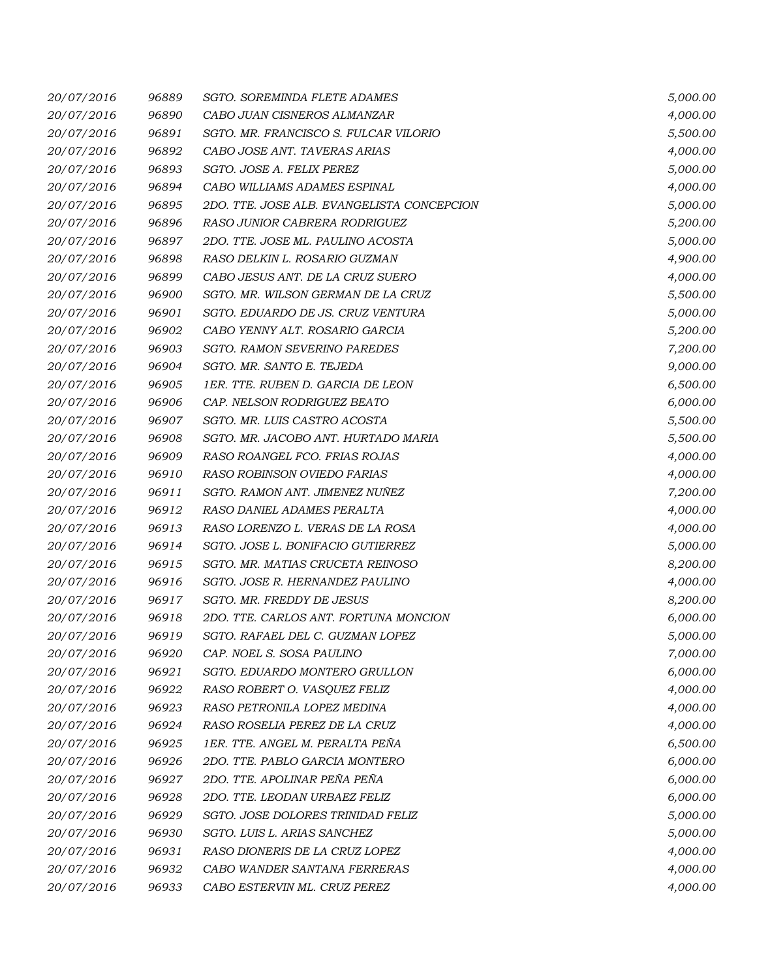| 20/07/2016 | 96889 | <b>SGTO. SOREMINDA FLETE ADAMES</b>        | 5,000.00 |
|------------|-------|--------------------------------------------|----------|
| 20/07/2016 | 96890 | CABO JUAN CISNEROS ALMANZAR                | 4,000.00 |
| 20/07/2016 | 96891 | SGTO. MR. FRANCISCO S. FULCAR VILORIO      | 5,500.00 |
| 20/07/2016 | 96892 | CABO JOSE ANT. TAVERAS ARIAS               | 4,000.00 |
| 20/07/2016 | 96893 | SGTO. JOSE A. FELIX PEREZ                  | 5,000.00 |
| 20/07/2016 | 96894 | CABO WILLIAMS ADAMES ESPINAL               | 4,000.00 |
| 20/07/2016 | 96895 | 2DO. TTE. JOSE ALB. EVANGELISTA CONCEPCION | 5,000.00 |
| 20/07/2016 | 96896 | RASO JUNIOR CABRERA RODRIGUEZ              | 5,200.00 |
| 20/07/2016 | 96897 | 2DO. TTE. JOSE ML. PAULINO ACOSTA          | 5,000.00 |
| 20/07/2016 | 96898 | RASO DELKIN L. ROSARIO GUZMAN              | 4,900.00 |
| 20/07/2016 | 96899 | CABO JESUS ANT. DE LA CRUZ SUERO           | 4,000.00 |
| 20/07/2016 | 96900 | SGTO. MR. WILSON GERMAN DE LA CRUZ         | 5,500.00 |
| 20/07/2016 | 96901 | SGTO. EDUARDO DE JS. CRUZ VENTURA          | 5,000.00 |
| 20/07/2016 | 96902 | CABO YENNY ALT. ROSARIO GARCIA             | 5,200.00 |
| 20/07/2016 | 96903 | <b>SGTO. RAMON SEVERINO PAREDES</b>        | 7,200.00 |
| 20/07/2016 | 96904 | SGTO. MR. SANTO E. TEJEDA                  | 9,000.00 |
| 20/07/2016 | 96905 | 1ER. TTE. RUBEN D. GARCIA DE LEON          | 6,500.00 |
| 20/07/2016 | 96906 | CAP. NELSON RODRIGUEZ BEATO                | 6,000.00 |
| 20/07/2016 | 96907 | SGTO. MR. LUIS CASTRO ACOSTA               | 5,500.00 |
| 20/07/2016 | 96908 | SGTO. MR. JACOBO ANT. HURTADO MARIA        | 5,500.00 |
| 20/07/2016 | 96909 | RASO ROANGEL FCO. FRIAS ROJAS              | 4,000.00 |
| 20/07/2016 | 96910 | RASO ROBINSON OVIEDO FARIAS                | 4,000.00 |
| 20/07/2016 | 96911 | SGTO. RAMON ANT. JIMENEZ NUÑEZ             | 7,200.00 |
| 20/07/2016 | 96912 | RASO DANIEL ADAMES PERALTA                 | 4,000.00 |
| 20/07/2016 | 96913 | RASO LORENZO L. VERAS DE LA ROSA           | 4,000.00 |
| 20/07/2016 | 96914 | SGTO. JOSE L. BONIFACIO GUTIERREZ          | 5,000.00 |
| 20/07/2016 | 96915 | SGTO. MR. MATIAS CRUCETA REINOSO           | 8,200.00 |
| 20/07/2016 | 96916 | SGTO. JOSE R. HERNANDEZ PAULINO            | 4,000.00 |
| 20/07/2016 | 96917 | SGTO. MR. FREDDY DE JESUS                  | 8,200.00 |
| 20/07/2016 | 96918 | 2DO. TTE. CARLOS ANT. FORTUNA MONCION      | 6,000.00 |
| 20/07/2016 | 96919 | SGTO. RAFAEL DEL C. GUZMAN LOPEZ           | 5,000.00 |
| 20/07/2016 | 96920 | CAP. NOEL S. SOSA PAULINO                  | 7,000.00 |
| 20/07/2016 | 96921 | SGTO. EDUARDO MONTERO GRULLON              | 6,000.00 |
| 20/07/2016 | 96922 | RASO ROBERT O. VASQUEZ FELIZ               | 4,000.00 |
| 20/07/2016 | 96923 | RASO PETRONILA LOPEZ MEDINA                | 4,000.00 |
| 20/07/2016 | 96924 | RASO ROSELIA PEREZ DE LA CRUZ              | 4,000.00 |
| 20/07/2016 | 96925 | 1ER. TTE. ANGEL M. PERALTA PEÑA            | 6,500.00 |
| 20/07/2016 | 96926 | 2DO. TTE. PABLO GARCIA MONTERO             | 6,000.00 |
| 20/07/2016 | 96927 | 2DO. TTE. APOLINAR PEÑA PEÑA               | 6,000.00 |
| 20/07/2016 | 96928 | 2DO. TTE. LEODAN URBAEZ FELIZ              | 6,000.00 |
| 20/07/2016 | 96929 | SGTO. JOSE DOLORES TRINIDAD FELIZ          | 5,000.00 |
| 20/07/2016 | 96930 | SGTO. LUIS L. ARIAS SANCHEZ                | 5,000.00 |
| 20/07/2016 | 96931 | RASO DIONERIS DE LA CRUZ LOPEZ             | 4,000.00 |
| 20/07/2016 | 96932 | CABO WANDER SANTANA FERRERAS               | 4,000.00 |
| 20/07/2016 | 96933 | CABO ESTERVIN ML. CRUZ PEREZ               | 4,000.00 |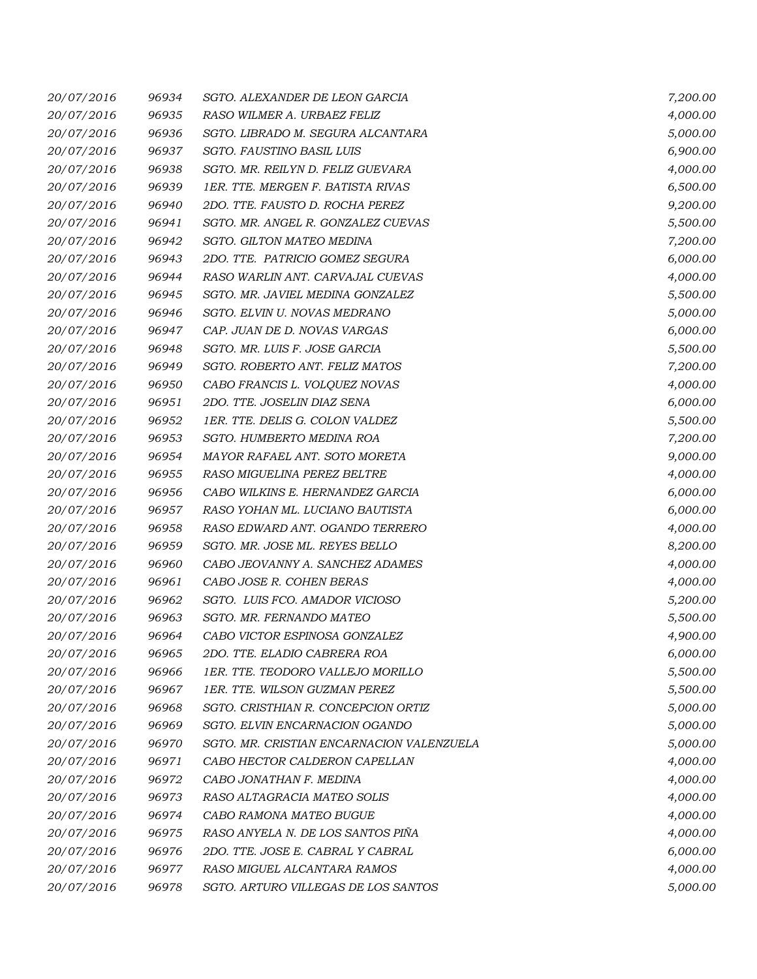| 20/07/2016 | 96934 | SGTO. ALEXANDER DE LEON GARCIA            | 7,200.00 |
|------------|-------|-------------------------------------------|----------|
| 20/07/2016 | 96935 | RASO WILMER A. URBAEZ FELIZ               | 4,000.00 |
| 20/07/2016 | 96936 | SGTO. LIBRADO M. SEGURA ALCANTARA         | 5,000.00 |
| 20/07/2016 | 96937 | SGTO. FAUSTINO BASIL LUIS                 | 6,900.00 |
| 20/07/2016 | 96938 | SGTO. MR. REILYN D. FELIZ GUEVARA         | 4,000.00 |
| 20/07/2016 | 96939 | 1ER. TTE. MERGEN F. BATISTA RIVAS         | 6,500.00 |
| 20/07/2016 | 96940 | 2DO. TTE. FAUSTO D. ROCHA PEREZ           | 9,200.00 |
| 20/07/2016 | 96941 | SGTO. MR. ANGEL R. GONZALEZ CUEVAS        | 5,500.00 |
| 20/07/2016 | 96942 | SGTO. GILTON MATEO MEDINA                 | 7,200.00 |
| 20/07/2016 | 96943 | 2DO. TTE. PATRICIO GOMEZ SEGURA           | 6,000.00 |
| 20/07/2016 | 96944 | RASO WARLIN ANT. CARVAJAL CUEVAS          | 4,000.00 |
| 20/07/2016 | 96945 | SGTO. MR. JAVIEL MEDINA GONZALEZ          | 5,500.00 |
| 20/07/2016 | 96946 | SGTO. ELVIN U. NOVAS MEDRANO              | 5,000.00 |
| 20/07/2016 | 96947 | CAP. JUAN DE D. NOVAS VARGAS              | 6,000.00 |
| 20/07/2016 | 96948 | SGTO. MR. LUIS F. JOSE GARCIA             | 5,500.00 |
| 20/07/2016 | 96949 | SGTO. ROBERTO ANT. FELIZ MATOS            | 7,200.00 |
| 20/07/2016 | 96950 | CABO FRANCIS L. VOLQUEZ NOVAS             | 4,000.00 |
| 20/07/2016 | 96951 | 2DO. TTE. JOSELIN DIAZ SENA               | 6,000.00 |
| 20/07/2016 | 96952 | 1ER. TTE. DELIS G. COLON VALDEZ           | 5,500.00 |
| 20/07/2016 | 96953 | SGTO. HUMBERTO MEDINA ROA                 | 7,200.00 |
| 20/07/2016 | 96954 | MAYOR RAFAEL ANT. SOTO MORETA             | 9,000.00 |
| 20/07/2016 | 96955 | RASO MIGUELINA PEREZ BELTRE               | 4,000.00 |
| 20/07/2016 | 96956 | CABO WILKINS E. HERNANDEZ GARCIA          | 6,000.00 |
| 20/07/2016 | 96957 | RASO YOHAN ML. LUCIANO BAUTISTA           | 6,000.00 |
| 20/07/2016 | 96958 | RASO EDWARD ANT. OGANDO TERRERO           | 4,000.00 |
| 20/07/2016 | 96959 | SGTO. MR. JOSE ML. REYES BELLO            | 8,200.00 |
| 20/07/2016 | 96960 | CABO JEOVANNY A. SANCHEZ ADAMES           | 4,000.00 |
| 20/07/2016 | 96961 | CABO JOSE R. COHEN BERAS                  | 4,000.00 |
| 20/07/2016 | 96962 | SGTO. LUIS FCO. AMADOR VICIOSO            | 5,200.00 |
| 20/07/2016 | 96963 | SGTO. MR. FERNANDO MATEO                  | 5,500.00 |
| 20/07/2016 | 96964 | CABO VICTOR ESPINOSA GONZALEZ             | 4,900.00 |
| 20/07/2016 | 96965 | 2DO. TTE. ELADIO CABRERA ROA              | 6,000.00 |
| 20/07/2016 | 96966 | 1ER. TTE. TEODORO VALLEJO MORILLO         | 5,500.00 |
| 20/07/2016 | 96967 | 1ER. TTE. WILSON GUZMAN PEREZ             | 5,500.00 |
| 20/07/2016 | 96968 | SGTO. CRISTHIAN R. CONCEPCION ORTIZ       | 5,000.00 |
| 20/07/2016 | 96969 | SGTO. ELVIN ENCARNACION OGANDO            | 5,000.00 |
| 20/07/2016 | 96970 | SGTO. MR. CRISTIAN ENCARNACION VALENZUELA | 5,000.00 |
| 20/07/2016 | 96971 | CABO HECTOR CALDERON CAPELLAN             | 4,000.00 |
| 20/07/2016 | 96972 | CABO JONATHAN F. MEDINA                   | 4,000.00 |
| 20/07/2016 | 96973 | RASO ALTAGRACIA MATEO SOLIS               | 4,000.00 |
| 20/07/2016 | 96974 | CABO RAMONA MATEO BUGUE                   | 4,000.00 |
| 20/07/2016 | 96975 | RASO ANYELA N. DE LOS SANTOS PIÑA         | 4,000.00 |
| 20/07/2016 | 96976 | 2DO. TTE. JOSE E. CABRAL Y CABRAL         | 6,000.00 |
| 20/07/2016 | 96977 | RASO MIGUEL ALCANTARA RAMOS               | 4,000.00 |
| 20/07/2016 | 96978 | SGTO. ARTURO VILLEGAS DE LOS SANTOS       | 5,000.00 |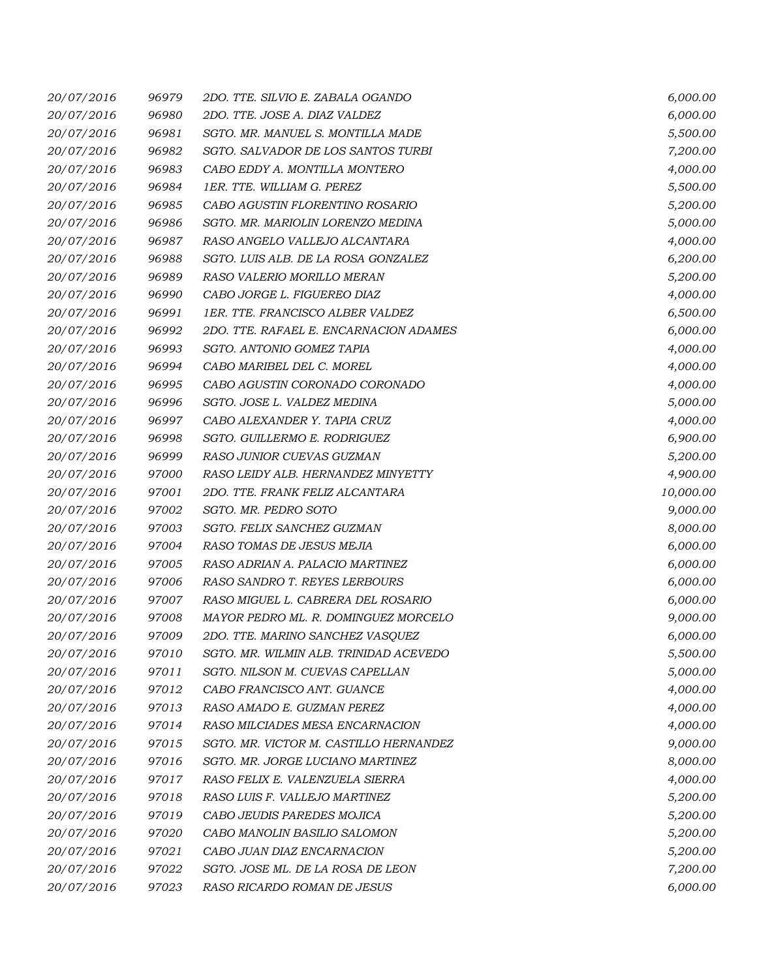| 20/07/2016 | 96979 | 2DO. TTE. SILVIO E. ZABALA OGANDO      | 6,000.00  |
|------------|-------|----------------------------------------|-----------|
| 20/07/2016 | 96980 | 2DO. TTE. JOSE A. DIAZ VALDEZ          | 6,000.00  |
| 20/07/2016 | 96981 | SGTO. MR. MANUEL S. MONTILLA MADE      | 5,500.00  |
| 20/07/2016 | 96982 | SGTO. SALVADOR DE LOS SANTOS TURBI     | 7,200.00  |
| 20/07/2016 | 96983 | CABO EDDY A. MONTILLA MONTERO          | 4,000.00  |
| 20/07/2016 | 96984 | 1ER. TTE. WILLIAM G. PEREZ             | 5,500.00  |
| 20/07/2016 | 96985 | CABO AGUSTIN FLORENTINO ROSARIO        | 5,200.00  |
| 20/07/2016 | 96986 | SGTO. MR. MARIOLIN LORENZO MEDINA      | 5,000.00  |
| 20/07/2016 | 96987 | RASO ANGELO VALLEJO ALCANTARA          | 4,000.00  |
| 20/07/2016 | 96988 | SGTO. LUIS ALB. DE LA ROSA GONZALEZ    | 6,200.00  |
| 20/07/2016 | 96989 | RASO VALERIO MORILLO MERAN             | 5,200.00  |
| 20/07/2016 | 96990 | CABO JORGE L. FIGUEREO DIAZ            | 4,000.00  |
| 20/07/2016 | 96991 | 1ER. TTE. FRANCISCO ALBER VALDEZ       | 6,500.00  |
| 20/07/2016 | 96992 | 2DO. TTE. RAFAEL E. ENCARNACION ADAMES | 6,000.00  |
| 20/07/2016 | 96993 | SGTO. ANTONIO GOMEZ TAPIA              | 4,000.00  |
| 20/07/2016 | 96994 | CABO MARIBEL DEL C. MOREL              | 4,000.00  |
| 20/07/2016 | 96995 | CABO AGUSTIN CORONADO CORONADO         | 4,000.00  |
| 20/07/2016 | 96996 | SGTO. JOSE L. VALDEZ MEDINA            | 5,000.00  |
| 20/07/2016 | 96997 | CABO ALEXANDER Y. TAPIA CRUZ           | 4,000.00  |
| 20/07/2016 | 96998 | SGTO. GUILLERMO E. RODRIGUEZ           | 6,900.00  |
| 20/07/2016 | 96999 | RASO JUNIOR CUEVAS GUZMAN              | 5,200.00  |
| 20/07/2016 | 97000 | RASO LEIDY ALB. HERNANDEZ MINYETTY     | 4,900.00  |
| 20/07/2016 | 97001 | 2DO. TTE. FRANK FELIZ ALCANTARA        | 10,000.00 |
| 20/07/2016 | 97002 | SGTO. MR. PEDRO SOTO                   | 9,000.00  |
| 20/07/2016 | 97003 | SGTO. FELIX SANCHEZ GUZMAN             | 8,000.00  |
| 20/07/2016 | 97004 | RASO TOMAS DE JESUS MEJIA              | 6,000.00  |
| 20/07/2016 | 97005 | RASO ADRIAN A. PALACIO MARTINEZ        | 6,000.00  |
| 20/07/2016 | 97006 | RASO SANDRO T. REYES LERBOURS          | 6,000.00  |
| 20/07/2016 | 97007 | RASO MIGUEL L. CABRERA DEL ROSARIO     | 6,000.00  |
| 20/07/2016 | 97008 | MAYOR PEDRO ML. R. DOMINGUEZ MORCELO   | 9,000.00  |
| 20/07/2016 | 97009 | 2DO. TTE. MARINO SANCHEZ VASQUEZ       | 6,000.00  |
| 20/07/2016 | 97010 | SGTO. MR. WILMIN ALB. TRINIDAD ACEVEDO | 5,500.00  |
| 20/07/2016 | 97011 | SGTO. NILSON M. CUEVAS CAPELLAN        | 5,000.00  |
| 20/07/2016 | 97012 | CABO FRANCISCO ANT. GUANCE             | 4,000.00  |
| 20/07/2016 | 97013 | RASO AMADO E. GUZMAN PEREZ             | 4,000.00  |
| 20/07/2016 | 97014 | RASO MILCIADES MESA ENCARNACION        | 4,000.00  |
| 20/07/2016 | 97015 | SGTO. MR. VICTOR M. CASTILLO HERNANDEZ | 9,000.00  |
| 20/07/2016 | 97016 | SGTO. MR. JORGE LUCIANO MARTINEZ       | 8,000.00  |
| 20/07/2016 | 97017 | RASO FELIX E. VALENZUELA SIERRA        | 4,000.00  |
| 20/07/2016 | 97018 | RASO LUIS F. VALLEJO MARTINEZ          | 5,200.00  |
| 20/07/2016 | 97019 | CABO JEUDIS PAREDES MOJICA             | 5,200.00  |
| 20/07/2016 | 97020 | CABO MANOLIN BASILIO SALOMON           | 5,200.00  |
| 20/07/2016 | 97021 | CABO JUAN DIAZ ENCARNACION             | 5,200.00  |
| 20/07/2016 | 97022 | SGTO. JOSE ML. DE LA ROSA DE LEON      | 7,200.00  |
| 20/07/2016 | 97023 | RASO RICARDO ROMAN DE JESUS            | 6,000.00  |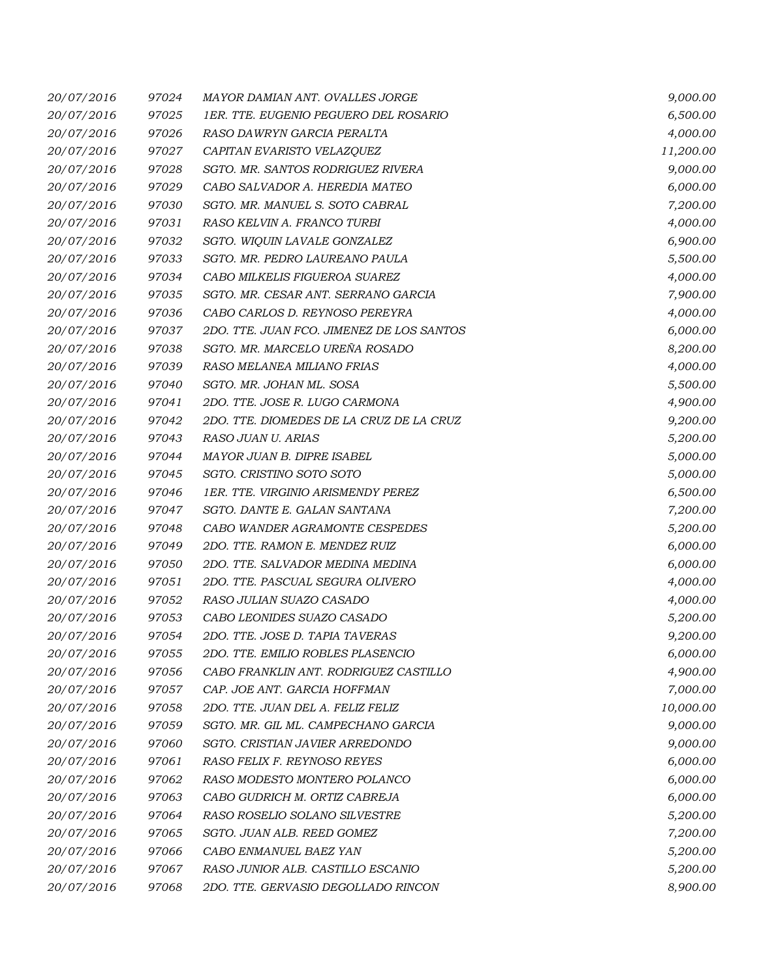| 20/07/2016 | 97024 | MAYOR DAMIAN ANT. OVALLES JORGE           | 9,000.00  |
|------------|-------|-------------------------------------------|-----------|
| 20/07/2016 | 97025 | 1ER. TTE. EUGENIO PEGUERO DEL ROSARIO     | 6,500.00  |
| 20/07/2016 | 97026 | RASO DAWRYN GARCIA PERALTA                | 4,000.00  |
| 20/07/2016 | 97027 | CAPITAN EVARISTO VELAZQUEZ                | 11,200.00 |
| 20/07/2016 | 97028 | SGTO. MR. SANTOS RODRIGUEZ RIVERA         | 9,000.00  |
| 20/07/2016 | 97029 | CABO SALVADOR A. HEREDIA MATEO            | 6,000.00  |
| 20/07/2016 | 97030 | SGTO. MR. MANUEL S. SOTO CABRAL           | 7,200.00  |
| 20/07/2016 | 97031 | RASO KELVIN A. FRANCO TURBI               | 4,000.00  |
| 20/07/2016 | 97032 | SGTO. WIQUIN LAVALE GONZALEZ              | 6,900.00  |
| 20/07/2016 | 97033 | SGTO. MR. PEDRO LAUREANO PAULA            | 5,500.00  |
| 20/07/2016 | 97034 | CABO MILKELIS FIGUEROA SUAREZ             | 4,000.00  |
| 20/07/2016 | 97035 | SGTO. MR. CESAR ANT. SERRANO GARCIA       | 7,900.00  |
| 20/07/2016 | 97036 | CABO CARLOS D. REYNOSO PEREYRA            | 4,000.00  |
| 20/07/2016 | 97037 | 2DO. TTE. JUAN FCO. JIMENEZ DE LOS SANTOS | 6,000.00  |
| 20/07/2016 | 97038 | SGTO. MR. MARCELO UREÑA ROSADO            | 8,200.00  |
| 20/07/2016 | 97039 | RASO MELANEA MILIANO FRIAS                | 4,000.00  |
| 20/07/2016 | 97040 | SGTO. MR. JOHAN ML. SOSA                  | 5,500.00  |
| 20/07/2016 | 97041 | 2DO. TTE. JOSE R. LUGO CARMONA            | 4,900.00  |
| 20/07/2016 | 97042 | 2DO. TTE. DIOMEDES DE LA CRUZ DE LA CRUZ  | 9,200.00  |
| 20/07/2016 | 97043 | RASO JUAN U. ARIAS                        | 5,200.00  |
| 20/07/2016 | 97044 | MAYOR JUAN B. DIPRE ISABEL                | 5,000.00  |
| 20/07/2016 | 97045 | SGTO. CRISTINO SOTO SOTO                  | 5,000.00  |
| 20/07/2016 | 97046 | 1ER. TTE. VIRGINIO ARISMENDY PEREZ        | 6,500.00  |
| 20/07/2016 | 97047 | SGTO. DANTE E. GALAN SANTANA              | 7,200.00  |
| 20/07/2016 | 97048 | CABO WANDER AGRAMONTE CESPEDES            | 5,200.00  |
| 20/07/2016 | 97049 | 2DO. TTE. RAMON E. MENDEZ RUIZ            | 6,000.00  |
| 20/07/2016 | 97050 | 2DO. TTE. SALVADOR MEDINA MEDINA          | 6,000.00  |
| 20/07/2016 | 97051 | 2DO. TTE. PASCUAL SEGURA OLIVERO          | 4,000.00  |
| 20/07/2016 | 97052 | RASO JULIAN SUAZO CASADO                  | 4,000.00  |
| 20/07/2016 | 97053 | CABO LEONIDES SUAZO CASADO                | 5,200.00  |
| 20/07/2016 | 97054 | 2DO. TTE. JOSE D. TAPIA TAVERAS           | 9,200.00  |
| 20/07/2016 | 97055 | 2DO. TTE. EMILIO ROBLES PLASENCIO         | 6,000.00  |
| 20/07/2016 | 97056 | CABO FRANKLIN ANT. RODRIGUEZ CASTILLO     | 4,900.00  |
| 20/07/2016 | 97057 | CAP. JOE ANT. GARCIA HOFFMAN              | 7,000.00  |
| 20/07/2016 | 97058 | 2DO. TTE. JUAN DEL A. FELIZ FELIZ         | 10,000.00 |
| 20/07/2016 | 97059 | SGTO. MR. GIL ML. CAMPECHANO GARCIA       | 9,000.00  |
| 20/07/2016 | 97060 | SGTO. CRISTIAN JAVIER ARREDONDO           | 9,000.00  |
| 20/07/2016 | 97061 | RASO FELIX F. REYNOSO REYES               | 6,000.00  |
| 20/07/2016 | 97062 | RASO MODESTO MONTERO POLANCO              | 6,000.00  |
| 20/07/2016 | 97063 | CABO GUDRICH M. ORTIZ CABREJA             | 6,000.00  |
| 20/07/2016 | 97064 | RASO ROSELIO SOLANO SILVESTRE             | 5,200.00  |
| 20/07/2016 | 97065 | SGTO. JUAN ALB. REED GOMEZ                | 7,200.00  |
| 20/07/2016 | 97066 | CABO ENMANUEL BAEZ YAN                    | 5,200.00  |
| 20/07/2016 | 97067 | RASO JUNIOR ALB. CASTILLO ESCANIO         | 5,200.00  |
| 20/07/2016 | 97068 | 2DO. TTE. GERVASIO DEGOLLADO RINCON       | 8,900.00  |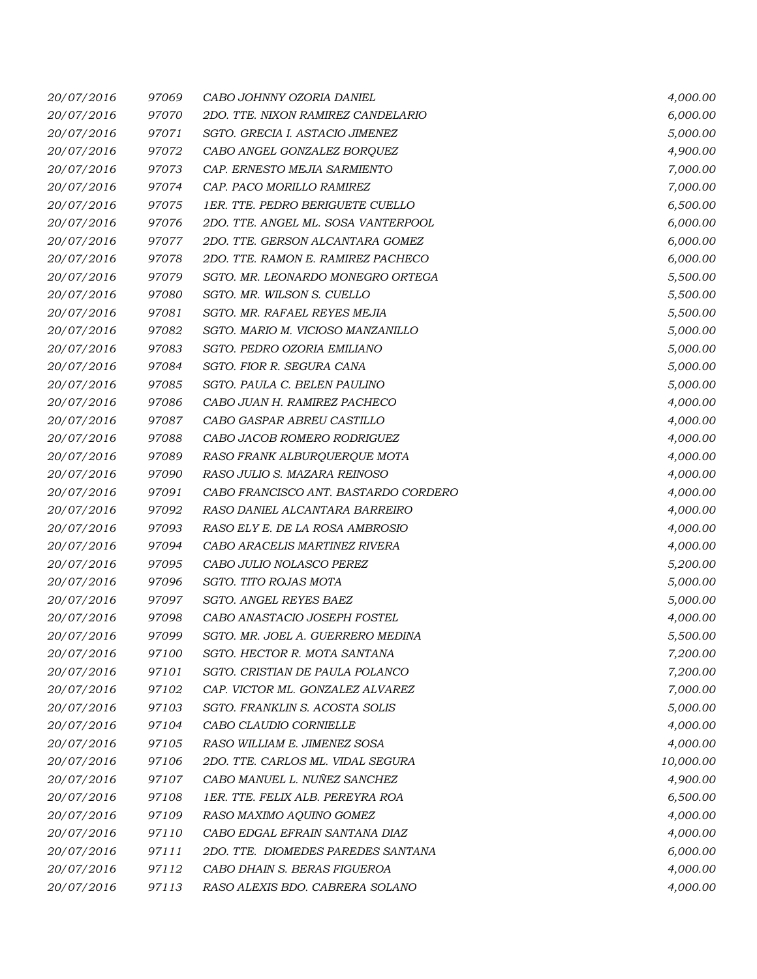| 20/07/2016 | 97069 | CABO JOHNNY OZORIA DANIEL            | 4,000.00  |
|------------|-------|--------------------------------------|-----------|
| 20/07/2016 | 97070 | 2DO. TTE. NIXON RAMIREZ CANDELARIO   | 6,000.00  |
| 20/07/2016 | 97071 | SGTO. GRECIA I. ASTACIO JIMENEZ      | 5,000.00  |
| 20/07/2016 | 97072 | CABO ANGEL GONZALEZ BORQUEZ          | 4,900.00  |
| 20/07/2016 | 97073 | CAP. ERNESTO MEJIA SARMIENTO         | 7,000.00  |
| 20/07/2016 | 97074 | CAP. PACO MORILLO RAMIREZ            | 7,000.00  |
| 20/07/2016 | 97075 | 1ER. TTE. PEDRO BERIGUETE CUELLO     | 6,500.00  |
| 20/07/2016 | 97076 | 2DO. TTE. ANGEL ML. SOSA VANTERPOOL  | 6,000.00  |
| 20/07/2016 | 97077 | 2DO. TTE. GERSON ALCANTARA GOMEZ     | 6,000.00  |
| 20/07/2016 | 97078 | 2DO. TTE. RAMON E. RAMIREZ PACHECO   | 6,000.00  |
| 20/07/2016 | 97079 | SGTO. MR. LEONARDO MONEGRO ORTEGA    | 5,500.00  |
| 20/07/2016 | 97080 | SGTO. MR. WILSON S. CUELLO           | 5,500.00  |
| 20/07/2016 | 97081 | SGTO. MR. RAFAEL REYES MEJIA         | 5,500.00  |
| 20/07/2016 | 97082 | SGTO. MARIO M. VICIOSO MANZANILLO    | 5,000.00  |
| 20/07/2016 | 97083 | SGTO. PEDRO OZORIA EMILIANO          | 5,000.00  |
| 20/07/2016 | 97084 | SGTO. FIOR R. SEGURA CANA            | 5,000.00  |
| 20/07/2016 | 97085 | SGTO. PAULA C. BELEN PAULINO         | 5,000.00  |
| 20/07/2016 | 97086 | CABO JUAN H. RAMIREZ PACHECO         | 4,000.00  |
| 20/07/2016 | 97087 | CABO GASPAR ABREU CASTILLO           | 4,000.00  |
| 20/07/2016 | 97088 | CABO JACOB ROMERO RODRIGUEZ          | 4,000.00  |
| 20/07/2016 | 97089 | RASO FRANK ALBURQUERQUE MOTA         | 4,000.00  |
| 20/07/2016 | 97090 | RASO JULIO S. MAZARA REINOSO         | 4,000.00  |
| 20/07/2016 | 97091 | CABO FRANCISCO ANT. BASTARDO CORDERO | 4,000.00  |
| 20/07/2016 | 97092 | RASO DANIEL ALCANTARA BARREIRO       | 4,000.00  |
| 20/07/2016 | 97093 | RASO ELY E. DE LA ROSA AMBROSIO      | 4,000.00  |
| 20/07/2016 | 97094 | CABO ARACELIS MARTINEZ RIVERA        | 4,000.00  |
| 20/07/2016 | 97095 | CABO JULIO NOLASCO PEREZ             | 5,200.00  |
| 20/07/2016 | 97096 | SGTO. TITO ROJAS MOTA                | 5,000.00  |
| 20/07/2016 | 97097 | SGTO. ANGEL REYES BAEZ               | 5,000.00  |
| 20/07/2016 | 97098 | CABO ANASTACIO JOSEPH FOSTEL         | 4,000.00  |
| 20/07/2016 | 97099 | SGTO. MR. JOEL A. GUERRERO MEDINA    | 5,500.00  |
| 20/07/2016 | 97100 | SGTO. HECTOR R. MOTA SANTANA         | 7,200.00  |
| 20/07/2016 | 97101 | SGTO. CRISTIAN DE PAULA POLANCO      | 7,200.00  |
| 20/07/2016 | 97102 | CAP. VICTOR ML. GONZALEZ ALVAREZ     | 7,000.00  |
| 20/07/2016 | 97103 | SGTO. FRANKLIN S. ACOSTA SOLIS       | 5,000.00  |
| 20/07/2016 | 97104 | CABO CLAUDIO CORNIELLE               | 4,000.00  |
| 20/07/2016 | 97105 | RASO WILLIAM E. JIMENEZ SOSA         | 4,000.00  |
| 20/07/2016 | 97106 | 2DO. TTE. CARLOS ML. VIDAL SEGURA    | 10,000.00 |
| 20/07/2016 | 97107 | CABO MANUEL L. NUÑEZ SANCHEZ         | 4,900.00  |
| 20/07/2016 | 97108 | 1ER. TTE. FELIX ALB. PEREYRA ROA     | 6,500.00  |
| 20/07/2016 | 97109 | RASO MAXIMO AQUINO GOMEZ             | 4,000.00  |
| 20/07/2016 | 97110 | CABO EDGAL EFRAIN SANTANA DIAZ       | 4,000.00  |
| 20/07/2016 | 97111 | 2DO. TTE. DIOMEDES PAREDES SANTANA   | 6,000.00  |
| 20/07/2016 | 97112 | CABO DHAIN S. BERAS FIGUEROA         | 4,000.00  |
| 20/07/2016 | 97113 | RASO ALEXIS BDO. CABRERA SOLANO      | 4,000.00  |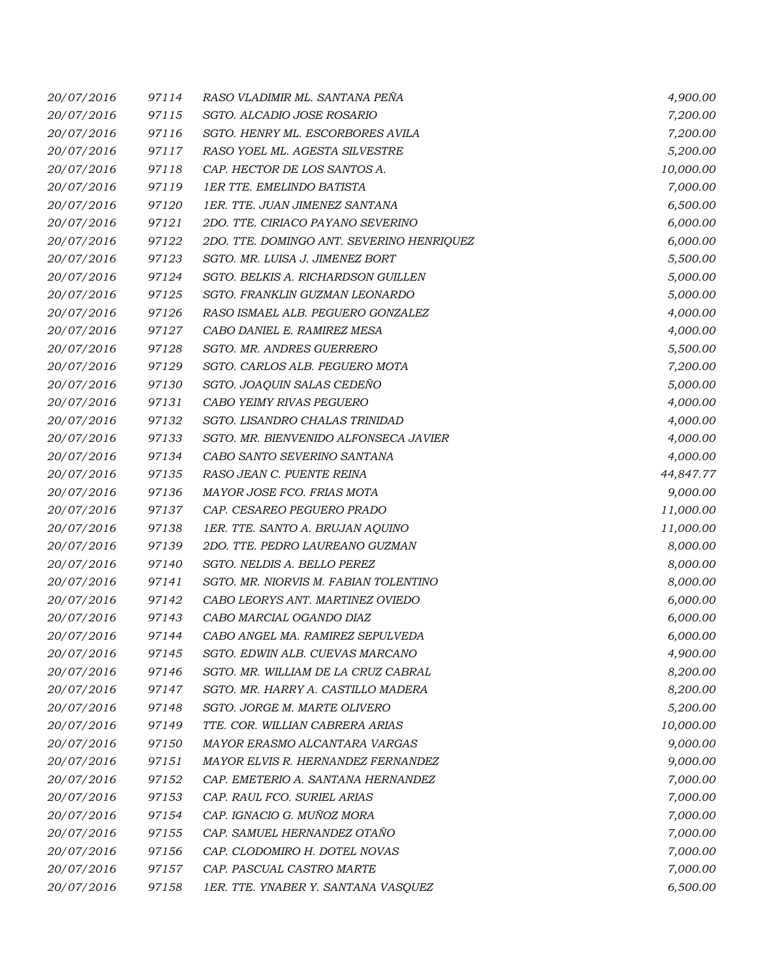| 20/07/2016 | 97114 | RASO VLADIMIR ML. SANTANA PEÑA            | 4,900.00  |
|------------|-------|-------------------------------------------|-----------|
| 20/07/2016 | 97115 | SGTO. ALCADIO JOSE ROSARIO                | 7,200.00  |
| 20/07/2016 | 97116 | SGTO. HENRY ML. ESCORBORES AVILA          | 7,200.00  |
| 20/07/2016 | 97117 | RASO YOEL ML. AGESTA SILVESTRE            | 5,200.00  |
| 20/07/2016 | 97118 | CAP. HECTOR DE LOS SANTOS A.              | 10,000.00 |
| 20/07/2016 | 97119 | <b>1ER TTE. EMELINDO BATISTA</b>          | 7,000.00  |
| 20/07/2016 | 97120 | 1ER. TTE. JUAN JIMENEZ SANTANA            | 6,500.00  |
| 20/07/2016 | 97121 | 2DO. TTE. CIRIACO PAYANO SEVERINO         | 6,000.00  |
| 20/07/2016 | 97122 | 2DO. TTE. DOMINGO ANT. SEVERINO HENRIQUEZ | 6,000.00  |
| 20/07/2016 | 97123 | SGTO. MR. LUISA J. JIMENEZ BORT           | 5,500.00  |
| 20/07/2016 | 97124 | SGTO. BELKIS A. RICHARDSON GUILLEN        | 5,000.00  |
| 20/07/2016 | 97125 | SGTO. FRANKLIN GUZMAN LEONARDO            | 5,000.00  |
| 20/07/2016 | 97126 | RASO ISMAEL ALB. PEGUERO GONZALEZ         | 4,000.00  |
| 20/07/2016 | 97127 | CABO DANIEL E. RAMIREZ MESA               | 4,000.00  |
| 20/07/2016 | 97128 | SGTO. MR. ANDRES GUERRERO                 | 5,500.00  |
| 20/07/2016 | 97129 | SGTO. CARLOS ALB. PEGUERO MOTA            | 7,200.00  |
| 20/07/2016 | 97130 | SGTO. JOAQUIN SALAS CEDEÑO                | 5,000.00  |
| 20/07/2016 | 97131 | CABO YEIMY RIVAS PEGUERO                  | 4,000.00  |
| 20/07/2016 | 97132 | SGTO. LISANDRO CHALAS TRINIDAD            | 4,000.00  |
| 20/07/2016 | 97133 | SGTO. MR. BIENVENIDO ALFONSECA JAVIER     | 4,000.00  |
| 20/07/2016 | 97134 | CABO SANTO SEVERINO SANTANA               | 4,000.00  |
| 20/07/2016 | 97135 | RASO JEAN C. PUENTE REINA                 | 44,847.77 |
| 20/07/2016 | 97136 | MAYOR JOSE FCO. FRIAS MOTA                | 9,000.00  |
| 20/07/2016 | 97137 | CAP. CESAREO PEGUERO PRADO                | 11,000.00 |
| 20/07/2016 | 97138 | 1ER. TTE. SANTO A. BRUJAN AQUINO          | 11,000.00 |
| 20/07/2016 | 97139 | 2DO. TTE. PEDRO LAUREANO GUZMAN           | 8,000.00  |
| 20/07/2016 | 97140 | SGTO. NELDIS A. BELLO PEREZ               | 8,000.00  |
| 20/07/2016 | 97141 | SGTO. MR. NIORVIS M. FABIAN TOLENTINO     | 8,000.00  |
| 20/07/2016 | 97142 | CABO LEORYS ANT. MARTINEZ OVIEDO          | 6,000.00  |
| 20/07/2016 | 97143 | CABO MARCIAL OGANDO DIAZ                  | 6,000.00  |
| 20/07/2016 | 97144 | CABO ANGEL MA. RAMIREZ SEPULVEDA          | 6,000.00  |
| 20/07/2016 | 97145 | SGTO. EDWIN ALB. CUEVAS MARCANO           | 4,900.00  |
| 20/07/2016 | 97146 | SGTO. MR. WILLIAM DE LA CRUZ CABRAL       | 8,200.00  |
| 20/07/2016 | 97147 | SGTO. MR. HARRY A. CASTILLO MADERA        | 8,200.00  |
| 20/07/2016 | 97148 | SGTO. JORGE M. MARTE OLIVERO              | 5,200.00  |
| 20/07/2016 | 97149 | TTE. COR. WILLIAN CABRERA ARIAS           | 10,000.00 |
| 20/07/2016 | 97150 | MAYOR ERASMO ALCANTARA VARGAS             | 9,000.00  |
| 20/07/2016 | 97151 | MAYOR ELVIS R. HERNANDEZ FERNANDEZ        | 9,000.00  |
| 20/07/2016 | 97152 | CAP. EMETERIO A. SANTANA HERNANDEZ        | 7,000.00  |
| 20/07/2016 | 97153 | CAP. RAUL FCO. SURIEL ARIAS               | 7,000.00  |
| 20/07/2016 | 97154 | CAP. IGNACIO G. MUÑOZ MORA                | 7,000.00  |
| 20/07/2016 | 97155 | CAP. SAMUEL HERNANDEZ OTAÑO               | 7,000.00  |
| 20/07/2016 | 97156 | CAP. CLODOMIRO H. DOTEL NOVAS             | 7,000.00  |
| 20/07/2016 | 97157 | CAP. PASCUAL CASTRO MARTE                 | 7,000.00  |
| 20/07/2016 | 97158 | 1ER. TTE. YNABER Y. SANTANA VASQUEZ       | 6,500.00  |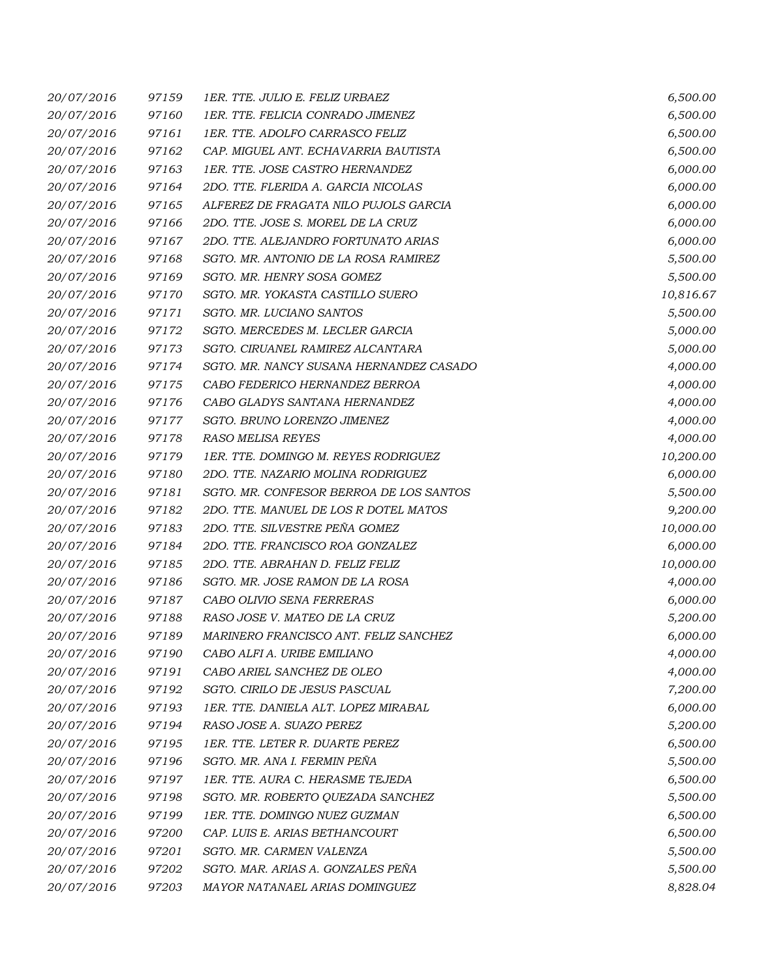| 20/07/2016 | 97159 | 1ER. TTE. JULIO E. FELIZ URBAEZ         | 6,500.00  |
|------------|-------|-----------------------------------------|-----------|
| 20/07/2016 | 97160 | 1ER. TTE. FELICIA CONRADO JIMENEZ       | 6,500.00  |
| 20/07/2016 | 97161 | 1ER. TTE. ADOLFO CARRASCO FELIZ         | 6,500.00  |
| 20/07/2016 | 97162 | CAP. MIGUEL ANT. ECHAVARRIA BAUTISTA    | 6,500.00  |
| 20/07/2016 | 97163 | 1ER. TTE. JOSE CASTRO HERNANDEZ         | 6,000.00  |
| 20/07/2016 | 97164 | 2DO. TTE. FLERIDA A. GARCIA NICOLAS     | 6,000.00  |
| 20/07/2016 | 97165 | ALFEREZ DE FRAGATA NILO PUJOLS GARCIA   | 6,000.00  |
| 20/07/2016 | 97166 | 2DO. TTE. JOSE S. MOREL DE LA CRUZ      | 6,000.00  |
| 20/07/2016 | 97167 | 2DO. TTE. ALEJANDRO FORTUNATO ARIAS     | 6,000.00  |
| 20/07/2016 | 97168 | SGTO. MR. ANTONIO DE LA ROSA RAMIREZ    | 5,500.00  |
| 20/07/2016 | 97169 | SGTO. MR. HENRY SOSA GOMEZ              | 5,500.00  |
| 20/07/2016 | 97170 | SGTO. MR. YOKASTA CASTILLO SUERO        | 10,816.67 |
| 20/07/2016 | 97171 | SGTO. MR. LUCIANO SANTOS                | 5,500.00  |
| 20/07/2016 | 97172 | SGTO. MERCEDES M. LECLER GARCIA         | 5,000.00  |
| 20/07/2016 | 97173 | SGTO. CIRUANEL RAMIREZ ALCANTARA        | 5,000.00  |
| 20/07/2016 | 97174 | SGTO. MR. NANCY SUSANA HERNANDEZ CASADO | 4,000.00  |
| 20/07/2016 | 97175 | CABO FEDERICO HERNANDEZ BERROA          | 4,000.00  |
| 20/07/2016 | 97176 | CABO GLADYS SANTANA HERNANDEZ           | 4,000.00  |
| 20/07/2016 | 97177 | SGTO. BRUNO LORENZO JIMENEZ             | 4,000.00  |
| 20/07/2016 | 97178 | RASO MELISA REYES                       | 4,000.00  |
| 20/07/2016 | 97179 | 1ER. TTE. DOMINGO M. REYES RODRIGUEZ    | 10,200.00 |
| 20/07/2016 | 97180 | 2DO. TTE. NAZARIO MOLINA RODRIGUEZ      | 6,000.00  |
| 20/07/2016 | 97181 | SGTO. MR. CONFESOR BERROA DE LOS SANTOS | 5,500.00  |
| 20/07/2016 | 97182 | 2DO. TTE. MANUEL DE LOS R DOTEL MATOS   | 9,200.00  |
| 20/07/2016 | 97183 | 2DO. TTE. SILVESTRE PEÑA GOMEZ          | 10,000.00 |
| 20/07/2016 | 97184 | 2DO. TTE. FRANCISCO ROA GONZALEZ        | 6,000.00  |
| 20/07/2016 | 97185 | 2DO. TTE. ABRAHAN D. FELIZ FELIZ        | 10,000.00 |
| 20/07/2016 | 97186 | SGTO. MR. JOSE RAMON DE LA ROSA         | 4,000.00  |
| 20/07/2016 | 97187 | CABO OLIVIO SENA FERRERAS               | 6,000.00  |
| 20/07/2016 | 97188 | RASO JOSE V. MATEO DE LA CRUZ           | 5,200.00  |
| 20/07/2016 | 97189 | MARINERO FRANCISCO ANT. FELIZ SANCHEZ   | 6,000.00  |
| 20/07/2016 | 97190 | CABO ALFI A. URIBE EMILIANO             | 4,000.00  |
| 20/07/2016 | 97191 | CABO ARIEL SANCHEZ DE OLEO              | 4,000.00  |
| 20/07/2016 | 97192 | SGTO. CIRILO DE JESUS PASCUAL           | 7,200.00  |
| 20/07/2016 | 97193 | 1ER. TTE. DANIELA ALT. LOPEZ MIRABAL    | 6,000.00  |
| 20/07/2016 | 97194 | RASO JOSE A. SUAZO PEREZ                | 5,200.00  |
| 20/07/2016 | 97195 | 1ER. TTE. LETER R. DUARTE PEREZ         | 6,500.00  |
| 20/07/2016 | 97196 | SGTO. MR. ANA I. FERMIN PEÑA            | 5,500.00  |
| 20/07/2016 | 97197 | 1ER. TTE. AURA C. HERASME TEJEDA        | 6,500.00  |
| 20/07/2016 | 97198 | SGTO. MR. ROBERTO QUEZADA SANCHEZ       | 5,500.00  |
| 20/07/2016 | 97199 | 1ER. TTE. DOMINGO NUEZ GUZMAN           | 6,500.00  |
| 20/07/2016 | 97200 | CAP. LUIS E. ARIAS BETHANCOURT          | 6,500.00  |
| 20/07/2016 | 97201 | SGTO. MR. CARMEN VALENZA                | 5,500.00  |
| 20/07/2016 | 97202 | SGTO. MAR. ARIAS A. GONZALES PEÑA       | 5,500.00  |
| 20/07/2016 | 97203 | MAYOR NATANAEL ARIAS DOMINGUEZ          | 8,828.04  |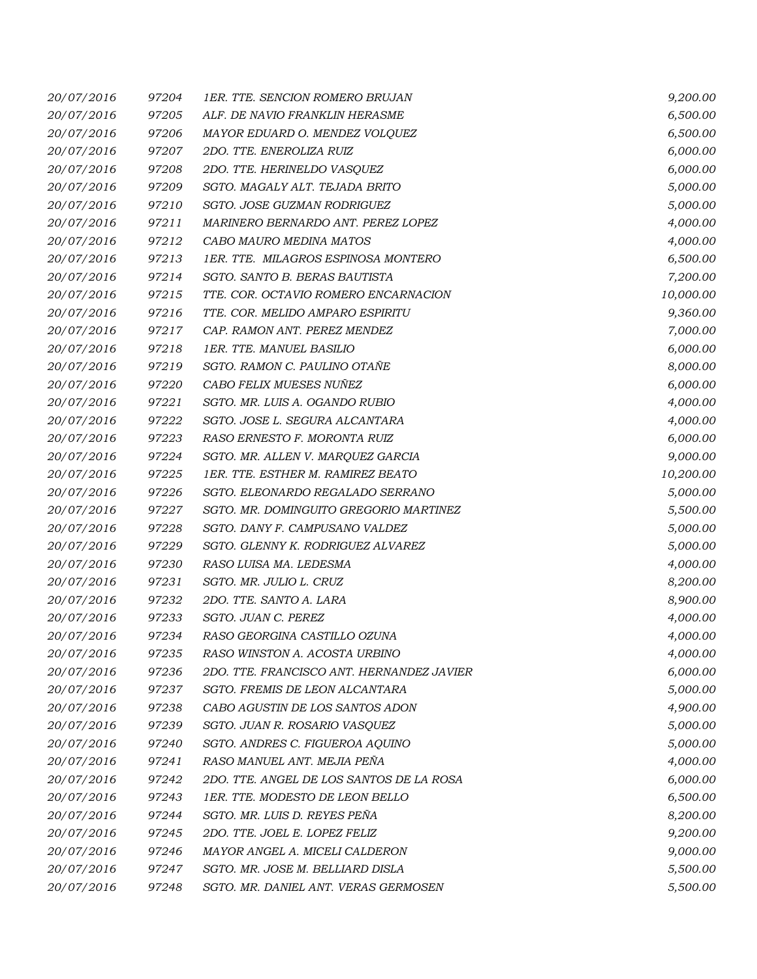| 20/07/2016 | 97204 | 1ER. TTE. SENCION ROMERO BRUJAN           | 9,200.00  |
|------------|-------|-------------------------------------------|-----------|
| 20/07/2016 | 97205 | ALF. DE NAVIO FRANKLIN HERASME            | 6,500.00  |
| 20/07/2016 | 97206 | MAYOR EDUARD O. MENDEZ VOLQUEZ            | 6,500.00  |
| 20/07/2016 | 97207 | 2DO. TTE. ENEROLIZA RUIZ                  | 6,000.00  |
| 20/07/2016 | 97208 | 2DO. TTE. HERINELDO VASQUEZ               | 6,000.00  |
| 20/07/2016 | 97209 | SGTO. MAGALY ALT. TEJADA BRITO            | 5,000.00  |
| 20/07/2016 | 97210 | SGTO. JOSE GUZMAN RODRIGUEZ               | 5,000.00  |
| 20/07/2016 | 97211 | MARINERO BERNARDO ANT. PEREZ LOPEZ        | 4,000.00  |
| 20/07/2016 | 97212 | CABO MAURO MEDINA MATOS                   | 4,000.00  |
| 20/07/2016 | 97213 | 1ER. TTE. MILAGROS ESPINOSA MONTERO       | 6,500.00  |
| 20/07/2016 | 97214 | SGTO. SANTO B. BERAS BAUTISTA             | 7,200.00  |
| 20/07/2016 | 97215 | TTE. COR. OCTAVIO ROMERO ENCARNACION      | 10,000.00 |
| 20/07/2016 | 97216 | TTE. COR. MELIDO AMPARO ESPIRITU          | 9,360.00  |
| 20/07/2016 | 97217 | CAP. RAMON ANT. PEREZ MENDEZ              | 7,000.00  |
| 20/07/2016 | 97218 | 1ER. TTE. MANUEL BASILIO                  | 6,000.00  |
| 20/07/2016 | 97219 | SGTO. RAMON C. PAULINO OTAÑE              | 8,000.00  |
| 20/07/2016 | 97220 | CABO FELIX MUESES NUÑEZ                   | 6,000.00  |
| 20/07/2016 | 97221 | SGTO. MR. LUIS A. OGANDO RUBIO            | 4,000.00  |
| 20/07/2016 | 97222 | SGTO. JOSE L. SEGURA ALCANTARA            | 4,000.00  |
| 20/07/2016 | 97223 | RASO ERNESTO F. MORONTA RUIZ              | 6,000.00  |
| 20/07/2016 | 97224 | SGTO. MR. ALLEN V. MARQUEZ GARCIA         | 9,000.00  |
| 20/07/2016 | 97225 | 1ER. TTE. ESTHER M. RAMIREZ BEATO         | 10,200.00 |
| 20/07/2016 | 97226 | SGTO. ELEONARDO REGALADO SERRANO          | 5,000.00  |
| 20/07/2016 | 97227 | SGTO. MR. DOMINGUITO GREGORIO MARTINEZ    | 5,500.00  |
| 20/07/2016 | 97228 | SGTO. DANY F. CAMPUSANO VALDEZ            | 5,000.00  |
| 20/07/2016 | 97229 | SGTO. GLENNY K. RODRIGUEZ ALVAREZ         | 5,000.00  |
| 20/07/2016 | 97230 | RASO LUISA MA. LEDESMA                    | 4,000.00  |
| 20/07/2016 | 97231 | SGTO. MR. JULIO L. CRUZ                   | 8,200.00  |
| 20/07/2016 | 97232 | 2DO. TTE. SANTO A. LARA                   | 8,900.00  |
| 20/07/2016 | 97233 | SGTO. JUAN C. PEREZ                       | 4,000.00  |
| 20/07/2016 | 97234 | RASO GEORGINA CASTILLO OZUNA              | 4,000.00  |
| 20/07/2016 | 97235 | RASO WINSTON A. ACOSTA URBINO             | 4,000.00  |
| 20/07/2016 | 97236 | 2DO. TTE. FRANCISCO ANT. HERNANDEZ JAVIER | 6,000.00  |
| 20/07/2016 | 97237 | SGTO. FREMIS DE LEON ALCANTARA            | 5,000.00  |
| 20/07/2016 | 97238 | CABO AGUSTIN DE LOS SANTOS ADON           | 4,900.00  |
| 20/07/2016 | 97239 | SGTO. JUAN R. ROSARIO VASQUEZ             | 5,000.00  |
| 20/07/2016 | 97240 | SGTO. ANDRES C. FIGUEROA AQUINO           | 5,000.00  |
| 20/07/2016 | 97241 | RASO MANUEL ANT. MEJIA PEÑA               | 4,000.00  |
| 20/07/2016 | 97242 | 2DO. TTE. ANGEL DE LOS SANTOS DE LA ROSA  | 6,000.00  |
| 20/07/2016 | 97243 | 1ER. TTE. MODESTO DE LEON BELLO           | 6,500.00  |
| 20/07/2016 | 97244 | SGTO. MR. LUIS D. REYES PEÑA              | 8,200.00  |
| 20/07/2016 | 97245 | 2DO. TTE. JOEL E. LOPEZ FELIZ             | 9,200.00  |
| 20/07/2016 | 97246 | MAYOR ANGEL A. MICELI CALDERON            | 9,000.00  |
| 20/07/2016 | 97247 | SGTO. MR. JOSE M. BELLIARD DISLA          | 5,500.00  |
| 20/07/2016 | 97248 | SGTO. MR. DANIEL ANT. VERAS GERMOSEN      | 5,500.00  |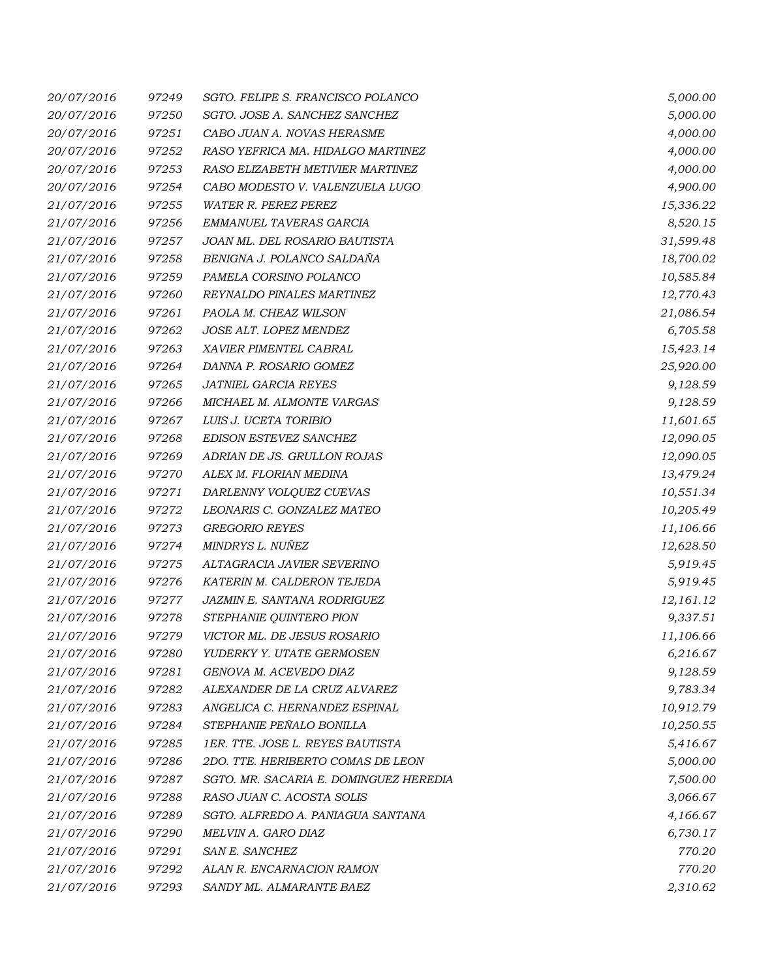| 20/07/2016 | 97249 | SGTO. FELIPE S. FRANCISCO POLANCO      | 5,000.00  |
|------------|-------|----------------------------------------|-----------|
| 20/07/2016 | 97250 | SGTO. JOSE A. SANCHEZ SANCHEZ          | 5,000.00  |
| 20/07/2016 | 97251 | CABO JUAN A. NOVAS HERASME             | 4,000.00  |
| 20/07/2016 | 97252 | RASO YEFRICA MA. HIDALGO MARTINEZ      | 4,000.00  |
| 20/07/2016 | 97253 | RASO ELIZABETH METIVIER MARTINEZ       | 4,000.00  |
| 20/07/2016 | 97254 | CABO MODESTO V. VALENZUELA LUGO        | 4,900.00  |
| 21/07/2016 | 97255 | <b>WATER R. PEREZ PEREZ</b>            | 15,336.22 |
| 21/07/2016 | 97256 | EMMANUEL TAVERAS GARCIA                | 8,520.15  |
| 21/07/2016 | 97257 | JOAN ML. DEL ROSARIO BAUTISTA          | 31,599.48 |
| 21/07/2016 | 97258 | BENIGNA J. POLANCO SALDAÑA             | 18,700.02 |
| 21/07/2016 | 97259 | PAMELA CORSINO POLANCO                 | 10,585.84 |
| 21/07/2016 | 97260 | REYNALDO PINALES MARTINEZ              | 12,770.43 |
| 21/07/2016 | 97261 | PAOLA M. CHEAZ WILSON                  | 21,086.54 |
| 21/07/2016 | 97262 | JOSE ALT. LOPEZ MENDEZ                 | 6,705.58  |
| 21/07/2016 | 97263 | XAVIER PIMENTEL CABRAL                 | 15,423.14 |
| 21/07/2016 | 97264 | DANNA P. ROSARIO GOMEZ                 | 25,920.00 |
| 21/07/2016 | 97265 | JATNIEL GARCIA REYES                   | 9,128.59  |
| 21/07/2016 | 97266 | MICHAEL M. ALMONTE VARGAS              | 9,128.59  |
| 21/07/2016 | 97267 | LUIS J. UCETA TORIBIO                  | 11,601.65 |
| 21/07/2016 | 97268 | EDISON ESTEVEZ SANCHEZ                 | 12,090.05 |
| 21/07/2016 | 97269 | ADRIAN DE JS. GRULLON ROJAS            | 12,090.05 |
| 21/07/2016 | 97270 | ALEX M. FLORIAN MEDINA                 | 13,479.24 |
| 21/07/2016 | 97271 | DARLENNY VOLQUEZ CUEVAS                | 10,551.34 |
| 21/07/2016 | 97272 | LEONARIS C. GONZALEZ MATEO             | 10,205.49 |
| 21/07/2016 | 97273 | <b>GREGORIO REYES</b>                  | 11,106.66 |
| 21/07/2016 | 97274 | MINDRYS L. NUÑEZ                       | 12,628.50 |
| 21/07/2016 | 97275 | ALTAGRACIA JAVIER SEVERINO             | 5,919.45  |
| 21/07/2016 | 97276 | KATERIN M. CALDERON TEJEDA             | 5,919.45  |
| 21/07/2016 | 97277 | JAZMIN E. SANTANA RODRIGUEZ            | 12,161.12 |
| 21/07/2016 | 97278 | STEPHANIE QUINTERO PION                | 9,337.51  |
| 21/07/2016 | 97279 | VICTOR ML. DE JESUS ROSARIO            | 11,106.66 |
| 21/07/2016 | 97280 | YUDERKY Y. UTATE GERMOSEN              | 6,216.67  |
| 21/07/2016 | 97281 | GENOVA M. ACEVEDO DIAZ                 | 9,128.59  |
| 21/07/2016 | 97282 | ALEXANDER DE LA CRUZ ALVAREZ           | 9,783.34  |
| 21/07/2016 | 97283 | ANGELICA C. HERNANDEZ ESPINAL          | 10,912.79 |
| 21/07/2016 | 97284 | STEPHANIE PEÑALO BONILLA               | 10,250.55 |
| 21/07/2016 | 97285 | 1ER. TTE. JOSE L. REYES BAUTISTA       | 5,416.67  |
| 21/07/2016 | 97286 | 2DO. TTE. HERIBERTO COMAS DE LEON      | 5,000.00  |
| 21/07/2016 | 97287 | SGTO. MR. SACARIA E. DOMINGUEZ HEREDIA | 7,500.00  |
| 21/07/2016 | 97288 | RASO JUAN C. ACOSTA SOLIS              | 3,066.67  |
| 21/07/2016 | 97289 | SGTO. ALFREDO A. PANIAGUA SANTANA      | 4,166.67  |
| 21/07/2016 | 97290 | MELVIN A. GARO DIAZ                    | 6,730.17  |
| 21/07/2016 | 97291 | SAN E. SANCHEZ                         | 770.20    |
| 21/07/2016 | 97292 | ALAN R. ENCARNACION RAMON              | 770.20    |
| 21/07/2016 | 97293 | SANDY ML. ALMARANTE BAEZ               | 2,310.62  |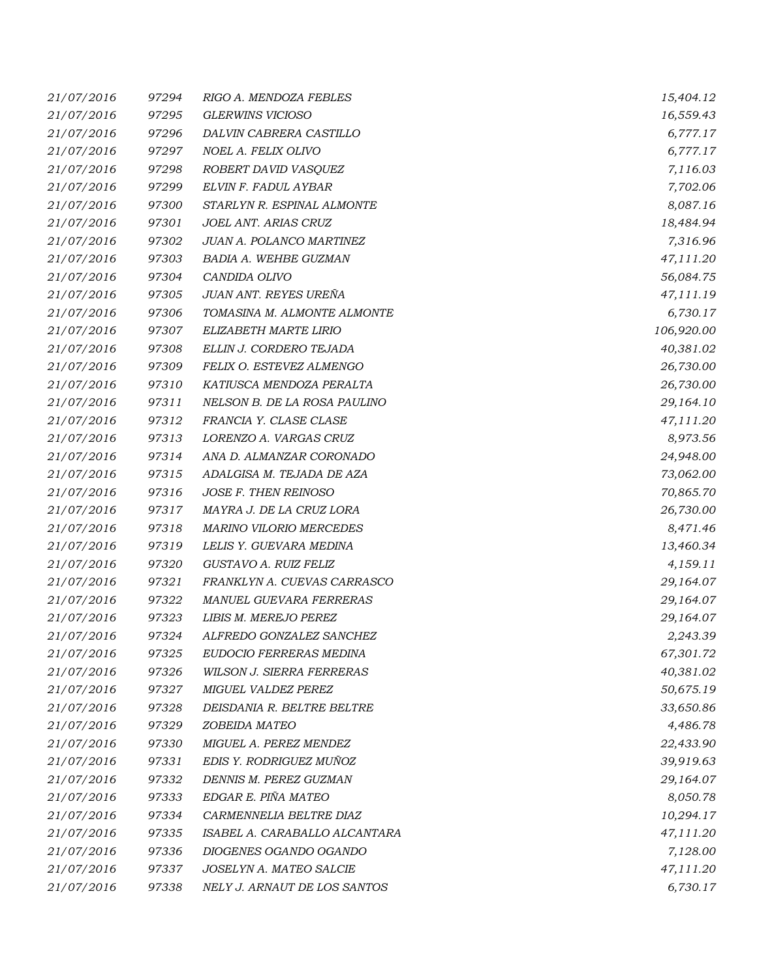| 21/07/2016 | 97294 | RIGO A. MENDOZA FEBLES           | 15,404.12  |
|------------|-------|----------------------------------|------------|
| 21/07/2016 | 97295 | <b>GLERWINS VICIOSO</b>          | 16,559.43  |
| 21/07/2016 | 97296 | DALVIN CABRERA CASTILLO          | 6,777.17   |
| 21/07/2016 | 97297 | NOEL A. FELIX OLIVO              | 6,777.17   |
| 21/07/2016 | 97298 | ROBERT DAVID VASQUEZ             | 7,116.03   |
| 21/07/2016 | 97299 | ELVIN F. FADUL AYBAR             | 7,702.06   |
| 21/07/2016 | 97300 | STARLYN R. ESPINAL ALMONTE       | 8,087.16   |
| 21/07/2016 | 97301 | JOEL ANT. ARIAS CRUZ             | 18,484.94  |
| 21/07/2016 | 97302 | JUAN A. POLANCO MARTINEZ         | 7,316.96   |
| 21/07/2016 | 97303 | <b>BADIA A. WEHBE GUZMAN</b>     | 47,111.20  |
| 21/07/2016 | 97304 | CANDIDA OLIVO                    | 56,084.75  |
| 21/07/2016 | 97305 | JUAN ANT. REYES UREÑA            | 47,111.19  |
| 21/07/2016 | 97306 | TOMASINA M. ALMONTE ALMONTE      | 6,730.17   |
| 21/07/2016 | 97307 | ELIZABETH MARTE LIRIO            | 106,920.00 |
| 21/07/2016 | 97308 | ELLIN J. CORDERO TEJADA          | 40,381.02  |
| 21/07/2016 | 97309 | FELIX O. ESTEVEZ ALMENGO         | 26,730.00  |
| 21/07/2016 | 97310 | KATIUSCA MENDOZA PERALTA         | 26,730.00  |
| 21/07/2016 | 97311 | NELSON B. DE LA ROSA PAULINO     | 29,164.10  |
| 21/07/2016 | 97312 | FRANCIA Y. CLASE CLASE           | 47,111.20  |
| 21/07/2016 | 97313 | LORENZO A. VARGAS CRUZ           | 8,973.56   |
| 21/07/2016 | 97314 | ANA D. ALMANZAR CORONADO         | 24,948.00  |
| 21/07/2016 | 97315 | ADALGISA M. TEJADA DE AZA        | 73,062.00  |
| 21/07/2016 | 97316 | JOSE F. THEN REINOSO             | 70,865.70  |
| 21/07/2016 | 97317 | MAYRA J. DE LA CRUZ LORA         | 26,730.00  |
| 21/07/2016 | 97318 | <b>MARINO VILORIO MERCEDES</b>   | 8,471.46   |
| 21/07/2016 | 97319 | LELIS Y. GUEVARA MEDINA          | 13,460.34  |
| 21/07/2016 | 97320 | GUSTAVO A. RUIZ FELIZ            | 4,159.11   |
| 21/07/2016 | 97321 | FRANKLYN A. CUEVAS CARRASCO      | 29,164.07  |
| 21/07/2016 | 97322 | MANUEL GUEVARA FERRERAS          | 29,164.07  |
| 21/07/2016 | 97323 | LIBIS M. MEREJO PEREZ            | 29,164.07  |
| 21/07/2016 | 97324 | ALFREDO GONZALEZ SANCHEZ         | 2,243.39   |
| 21/07/2016 | 97325 | EUDOCIO FERRERAS MEDINA          | 67,301.72  |
| 21/07/2016 | 97326 | <b>WILSON J. SIERRA FERRERAS</b> | 40,381.02  |
| 21/07/2016 | 97327 | MIGUEL VALDEZ PEREZ              | 50,675.19  |
| 21/07/2016 | 97328 | DEISDANIA R. BELTRE BELTRE       | 33,650.86  |
| 21/07/2016 | 97329 | ZOBEIDA MATEO                    | 4,486.78   |
| 21/07/2016 | 97330 | MIGUEL A. PEREZ MENDEZ           | 22,433.90  |
| 21/07/2016 | 97331 | EDIS Y. RODRIGUEZ MUÑOZ          | 39,919.63  |
| 21/07/2016 | 97332 | DENNIS M. PEREZ GUZMAN           | 29,164.07  |
| 21/07/2016 | 97333 | EDGAR E. PIÑA MATEO              | 8,050.78   |
| 21/07/2016 | 97334 | CARMENNELIA BELTRE DIAZ          | 10,294.17  |
| 21/07/2016 | 97335 | ISABEL A. CARABALLO ALCANTARA    | 47,111.20  |
| 21/07/2016 | 97336 | DIOGENES OGANDO OGANDO           | 7,128.00   |
| 21/07/2016 | 97337 | JOSELYN A. MATEO SALCIE          | 47,111.20  |
| 21/07/2016 | 97338 | NELY J. ARNAUT DE LOS SANTOS     | 6,730.17   |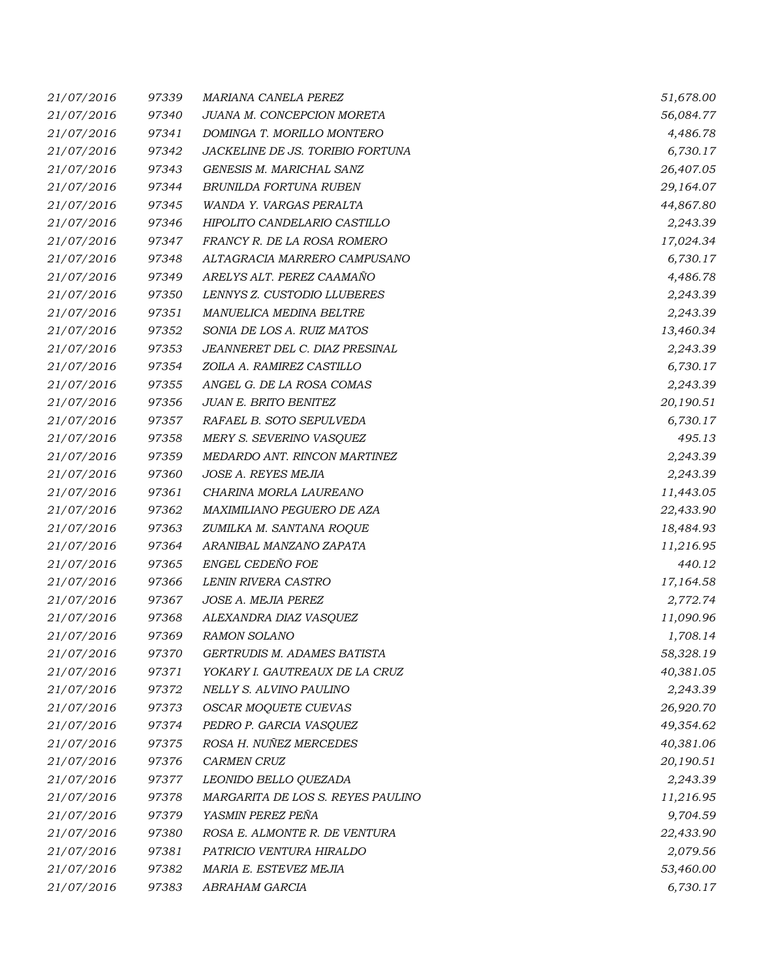| 21/07/2016 | 97339 | MARIANA CANELA PEREZ               | 51,678.00 |
|------------|-------|------------------------------------|-----------|
| 21/07/2016 | 97340 | JUANA M. CONCEPCION MORETA         | 56,084.77 |
| 21/07/2016 | 97341 | DOMINGA T. MORILLO MONTERO         | 4,486.78  |
| 21/07/2016 | 97342 | JACKELINE DE JS. TORIBIO FORTUNA   | 6,730.17  |
| 21/07/2016 | 97343 | GENESIS M. MARICHAL SANZ           | 26,407.05 |
| 21/07/2016 | 97344 | BRUNILDA FORTUNA RUBEN             | 29,164.07 |
| 21/07/2016 | 97345 | WANDA Y. VARGAS PERALTA            | 44,867.80 |
| 21/07/2016 | 97346 | HIPOLITO CANDELARIO CASTILLO       | 2,243.39  |
| 21/07/2016 | 97347 | FRANCY R. DE LA ROSA ROMERO        | 17,024.34 |
| 21/07/2016 | 97348 | ALTAGRACIA MARRERO CAMPUSANO       | 6,730.17  |
| 21/07/2016 | 97349 | ARELYS ALT. PEREZ CAAMAÑO          | 4,486.78  |
| 21/07/2016 | 97350 | LENNYS Z. CUSTODIO LLUBERES        | 2,243.39  |
| 21/07/2016 | 97351 | MANUELICA MEDINA BELTRE            | 2,243.39  |
| 21/07/2016 | 97352 | SONIA DE LOS A. RUIZ MATOS         | 13,460.34 |
| 21/07/2016 | 97353 | JEANNERET DEL C. DIAZ PRESINAL     | 2,243.39  |
| 21/07/2016 | 97354 | ZOILA A. RAMIREZ CASTILLO          | 6,730.17  |
| 21/07/2016 | 97355 | ANGEL G. DE LA ROSA COMAS          | 2,243.39  |
| 21/07/2016 | 97356 | JUAN E. BRITO BENITEZ              | 20,190.51 |
| 21/07/2016 | 97357 | RAFAEL B. SOTO SEPULVEDA           | 6,730.17  |
| 21/07/2016 | 97358 | MERY S. SEVERINO VASQUEZ           | 495.13    |
| 21/07/2016 | 97359 | MEDARDO ANT. RINCON MARTINEZ       | 2,243.39  |
| 21/07/2016 | 97360 | JOSE A. REYES MEJIA                | 2,243.39  |
| 21/07/2016 | 97361 | CHARINA MORLA LAUREANO             | 11,443.05 |
| 21/07/2016 | 97362 | MAXIMILIANO PEGUERO DE AZA         | 22,433.90 |
| 21/07/2016 | 97363 | ZUMILKA M. SANTANA ROQUE           | 18,484.93 |
| 21/07/2016 | 97364 | ARANIBAL MANZANO ZAPATA            | 11,216.95 |
| 21/07/2016 | 97365 | ENGEL CEDEÑO FOE                   | 440.12    |
| 21/07/2016 | 97366 | LENIN RIVERA CASTRO                | 17,164.58 |
| 21/07/2016 | 97367 | JOSE A. MEJIA PEREZ                | 2,772.74  |
| 21/07/2016 | 97368 | ALEXANDRA DIAZ VASQUEZ             | 11,090.96 |
| 21/07/2016 | 97369 | <b>RAMON SOLANO</b>                | 1,708.14  |
| 21/07/2016 | 97370 | <b>GERTRUDIS M. ADAMES BATISTA</b> | 58,328.19 |
| 21/07/2016 | 97371 | YOKARY I. GAUTREAUX DE LA CRUZ     | 40,381.05 |
| 21/07/2016 | 97372 | NELLY S. ALVINO PAULINO            | 2,243.39  |
| 21/07/2016 | 97373 | OSCAR MOQUETE CUEVAS               | 26,920.70 |
| 21/07/2016 | 97374 | PEDRO P. GARCIA VASQUEZ            | 49,354.62 |
| 21/07/2016 | 97375 | ROSA H. NUÑEZ MERCEDES             | 40,381.06 |
| 21/07/2016 | 97376 | <b>CARMEN CRUZ</b>                 | 20,190.51 |
| 21/07/2016 | 97377 | LEONIDO BELLO QUEZADA              | 2,243.39  |
| 21/07/2016 | 97378 | MARGARITA DE LOS S. REYES PAULINO  | 11,216.95 |
| 21/07/2016 | 97379 | YASMIN PEREZ PEÑA                  | 9,704.59  |
| 21/07/2016 | 97380 | ROSA E. ALMONTE R. DE VENTURA      | 22,433.90 |
| 21/07/2016 | 97381 | PATRICIO VENTURA HIRALDO           | 2,079.56  |
| 21/07/2016 | 97382 | MARIA E. ESTEVEZ MEJIA             | 53,460.00 |
| 21/07/2016 | 97383 | ABRAHAM GARCIA                     | 6,730.17  |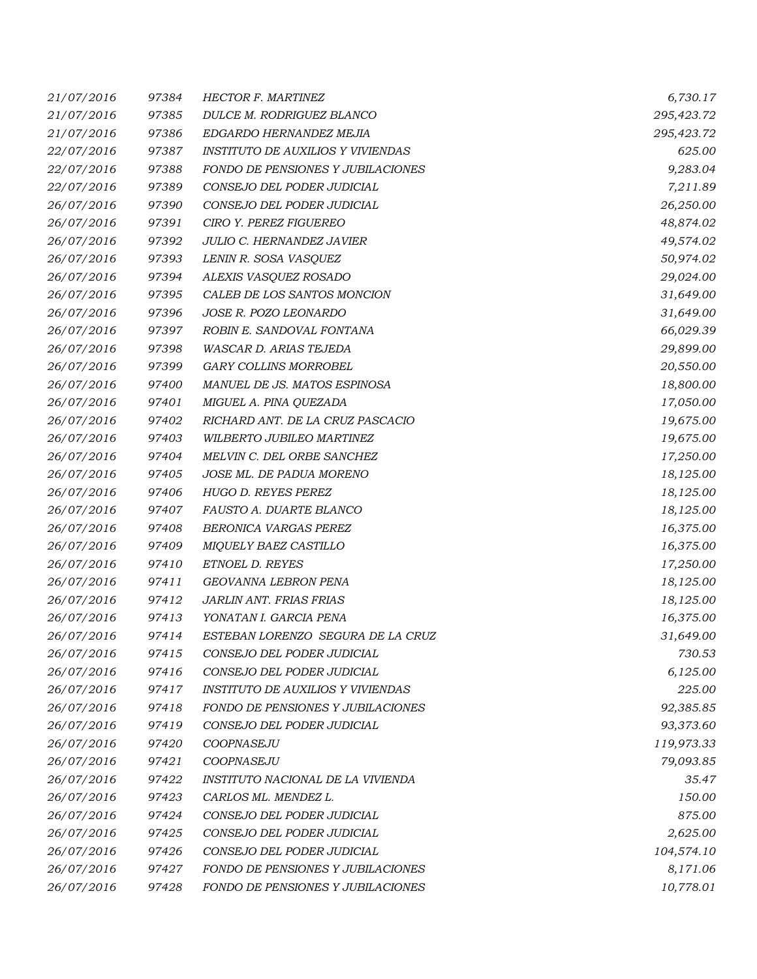| 21/07/2016 | 97384 | <b>HECTOR F. MARTINEZ</b>                | 6,730.17   |
|------------|-------|------------------------------------------|------------|
| 21/07/2016 | 97385 | DULCE M. RODRIGUEZ BLANCO                | 295,423.72 |
| 21/07/2016 | 97386 | EDGARDO HERNANDEZ MEJIA                  | 295,423.72 |
| 22/07/2016 | 97387 | <b>INSTITUTO DE AUXILIOS Y VIVIENDAS</b> | 625.00     |
| 22/07/2016 | 97388 | FONDO DE PENSIONES Y JUBILACIONES        | 9,283.04   |
| 22/07/2016 | 97389 | CONSEJO DEL PODER JUDICIAL               | 7,211.89   |
| 26/07/2016 | 97390 | CONSEJO DEL PODER JUDICIAL               | 26,250.00  |
| 26/07/2016 | 97391 | CIRO Y. PEREZ FIGUEREO                   | 48,874.02  |
| 26/07/2016 | 97392 | JULIO C. HERNANDEZ JAVIER                | 49,574.02  |
| 26/07/2016 | 97393 | LENIN R. SOSA VASQUEZ                    | 50,974.02  |
| 26/07/2016 | 97394 | ALEXIS VASQUEZ ROSADO                    | 29,024.00  |
| 26/07/2016 | 97395 | CALEB DE LOS SANTOS MONCION              | 31,649.00  |
| 26/07/2016 | 97396 | JOSE R. POZO LEONARDO                    | 31,649.00  |
| 26/07/2016 | 97397 | ROBIN E. SANDOVAL FONTANA                | 66,029.39  |
| 26/07/2016 | 97398 | WASCAR D. ARIAS TEJEDA                   | 29,899.00  |
| 26/07/2016 | 97399 | GARY COLLINS MORROBEL                    | 20,550.00  |
| 26/07/2016 | 97400 | MANUEL DE JS. MATOS ESPINOSA             | 18,800.00  |
| 26/07/2016 | 97401 | MIGUEL A. PINA QUEZADA                   | 17,050.00  |
| 26/07/2016 | 97402 | RICHARD ANT. DE LA CRUZ PASCACIO         | 19,675.00  |
| 26/07/2016 | 97403 | WILBERTO JUBILEO MARTINEZ                | 19,675.00  |
| 26/07/2016 | 97404 | MELVIN C. DEL ORBE SANCHEZ               | 17,250.00  |
| 26/07/2016 | 97405 | JOSE ML. DE PADUA MORENO                 | 18,125.00  |
| 26/07/2016 | 97406 | HUGO D. REYES PEREZ                      | 18,125.00  |
| 26/07/2016 | 97407 | FAUSTO A. DUARTE BLANCO                  | 18,125.00  |
| 26/07/2016 | 97408 | BERONICA VARGAS PEREZ                    | 16,375.00  |
| 26/07/2016 | 97409 | MIQUELY BAEZ CASTILLO                    | 16,375.00  |
| 26/07/2016 | 97410 | ETNOEL D. REYES                          | 17,250.00  |
| 26/07/2016 | 97411 | GEOVANNA LEBRON PENA                     | 18,125.00  |
| 26/07/2016 | 97412 | JARLIN ANT. FRIAS FRIAS                  | 18,125.00  |
| 26/07/2016 | 97413 | YONATAN I. GARCIA PENA                   | 16,375.00  |
| 26/07/2016 | 97414 | ESTEBAN LORENZO SEGURA DE LA CRUZ        | 31,649.00  |
| 26/07/2016 | 97415 | CONSEJO DEL PODER JUDICIAL               | 730.53     |
| 26/07/2016 | 97416 | CONSEJO DEL PODER JUDICIAL               | 6,125.00   |
| 26/07/2016 | 97417 | <b>INSTITUTO DE AUXILIOS Y VIVIENDAS</b> | 225.00     |
| 26/07/2016 | 97418 | FONDO DE PENSIONES Y JUBILACIONES        | 92,385.85  |
| 26/07/2016 | 97419 | CONSEJO DEL PODER JUDICIAL               | 93,373.60  |
| 26/07/2016 | 97420 | COOPNASEJU                               | 119,973.33 |
| 26/07/2016 | 97421 | COOPNASEJU                               | 79,093.85  |
| 26/07/2016 | 97422 | INSTITUTO NACIONAL DE LA VIVIENDA        | 35.47      |
| 26/07/2016 | 97423 | CARLOS ML. MENDEZ L.                     | 150.00     |
| 26/07/2016 | 97424 | CONSEJO DEL PODER JUDICIAL               | 875.00     |
| 26/07/2016 | 97425 | CONSEJO DEL PODER JUDICIAL               | 2,625.00   |
| 26/07/2016 | 97426 | CONSEJO DEL PODER JUDICIAL               | 104,574.10 |
| 26/07/2016 | 97427 | FONDO DE PENSIONES Y JUBILACIONES        | 8,171.06   |
| 26/07/2016 | 97428 | FONDO DE PENSIONES Y JUBILACIONES        | 10,778.01  |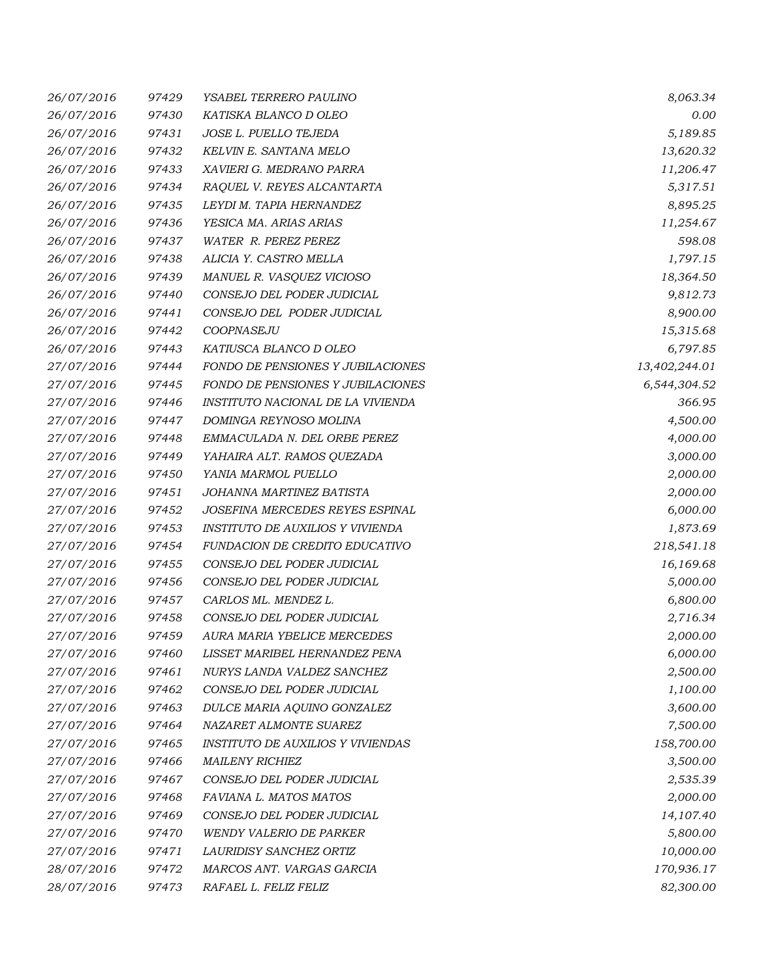| 26/07/2016 | 97429 | YSABEL TERRERO PAULINO                   | 8,063.34      |
|------------|-------|------------------------------------------|---------------|
| 26/07/2016 | 97430 | KATISKA BLANCO D OLEO                    | 0.00          |
| 26/07/2016 | 97431 | JOSE L. PUELLO TEJEDA                    | 5,189.85      |
| 26/07/2016 | 97432 | KELVIN E. SANTANA MELO                   | 13,620.32     |
| 26/07/2016 | 97433 | XAVIERI G. MEDRANO PARRA                 | 11,206.47     |
| 26/07/2016 | 97434 | RAQUEL V. REYES ALCANTARTA               | 5,317.51      |
| 26/07/2016 | 97435 | LEYDI M. TAPIA HERNANDEZ                 | 8,895.25      |
| 26/07/2016 | 97436 | YESICA MA. ARIAS ARIAS                   | 11,254.67     |
| 26/07/2016 | 97437 | WATER R. PEREZ PEREZ                     | 598.08        |
| 26/07/2016 | 97438 | ALICIA Y. CASTRO MELLA                   | 1,797.15      |
| 26/07/2016 | 97439 | MANUEL R. VASQUEZ VICIOSO                | 18,364.50     |
| 26/07/2016 | 97440 | CONSEJO DEL PODER JUDICIAL               | 9,812.73      |
| 26/07/2016 | 97441 | CONSEJO DEL PODER JUDICIAL               | 8,900.00      |
| 26/07/2016 | 97442 | COOPNASEJU                               | 15,315.68     |
| 26/07/2016 | 97443 | KATIUSCA BLANCO D OLEO                   | 6,797.85      |
| 27/07/2016 | 97444 | <b>FONDO DE PENSIONES Y JUBILACIONES</b> | 13,402,244.01 |
| 27/07/2016 | 97445 | FONDO DE PENSIONES Y JUBILACIONES        | 6,544,304.52  |
| 27/07/2016 | 97446 | INSTITUTO NACIONAL DE LA VIVIENDA        | 366.95        |
| 27/07/2016 | 97447 | DOMINGA REYNOSO MOLINA                   | 4,500.00      |
| 27/07/2016 | 97448 | EMMACULADA N. DEL ORBE PEREZ             | 4,000.00      |
| 27/07/2016 | 97449 | YAHAIRA ALT. RAMOS QUEZADA               | 3,000.00      |
| 27/07/2016 | 97450 | YANIA MARMOL PUELLO                      | 2,000.00      |
| 27/07/2016 | 97451 | JOHANNA MARTINEZ BATISTA                 | 2,000.00      |
| 27/07/2016 | 97452 | JOSEFINA MERCEDES REYES ESPINAL          | 6,000.00      |
| 27/07/2016 | 97453 | INSTITUTO DE AUXILIOS Y VIVIENDA         | 1,873.69      |
| 27/07/2016 | 97454 | FUNDACION DE CREDITO EDUCATIVO           | 218,541.18    |
| 27/07/2016 | 97455 | CONSEJO DEL PODER JUDICIAL               | 16,169.68     |
| 27/07/2016 | 97456 | CONSEJO DEL PODER JUDICIAL               | 5,000.00      |
| 27/07/2016 | 97457 | CARLOS ML. MENDEZ L.                     | 6,800.00      |
| 27/07/2016 | 97458 | CONSEJO DEL PODER JUDICIAL               | 2,716.34      |
| 27/07/2016 | 97459 | AURA MARIA YBELICE MERCEDES              | 2,000.00      |
| 27/07/2016 | 97460 | LISSET MARIBEL HERNANDEZ PENA            | 6,000.00      |
| 27/07/2016 | 97461 | NURYS LANDA VALDEZ SANCHEZ               | 2,500.00      |
| 27/07/2016 | 97462 | CONSEJO DEL PODER JUDICIAL               | 1,100.00      |
| 27/07/2016 | 97463 | DULCE MARIA AQUINO GONZALEZ              | 3,600.00      |
| 27/07/2016 | 97464 | NAZARET ALMONTE SUAREZ                   | 7,500.00      |
| 27/07/2016 | 97465 | <b>INSTITUTO DE AUXILIOS Y VIVIENDAS</b> | 158,700.00    |
| 27/07/2016 | 97466 | <b>MAILENY RICHIEZ</b>                   | 3,500.00      |
| 27/07/2016 | 97467 | CONSEJO DEL PODER JUDICIAL               | 2,535.39      |
| 27/07/2016 | 97468 | FAVIANA L. MATOS MATOS                   | 2,000.00      |
| 27/07/2016 | 97469 | CONSEJO DEL PODER JUDICIAL               | 14,107.40     |
| 27/07/2016 | 97470 | <b>WENDY VALERIO DE PARKER</b>           | 5,800.00      |
| 27/07/2016 | 97471 | LAURIDISY SANCHEZ ORTIZ                  | 10,000.00     |
| 28/07/2016 | 97472 | MARCOS ANT. VARGAS GARCIA                | 170,936.17    |
| 28/07/2016 | 97473 | RAFAEL L. FELIZ FELIZ                    | 82,300.00     |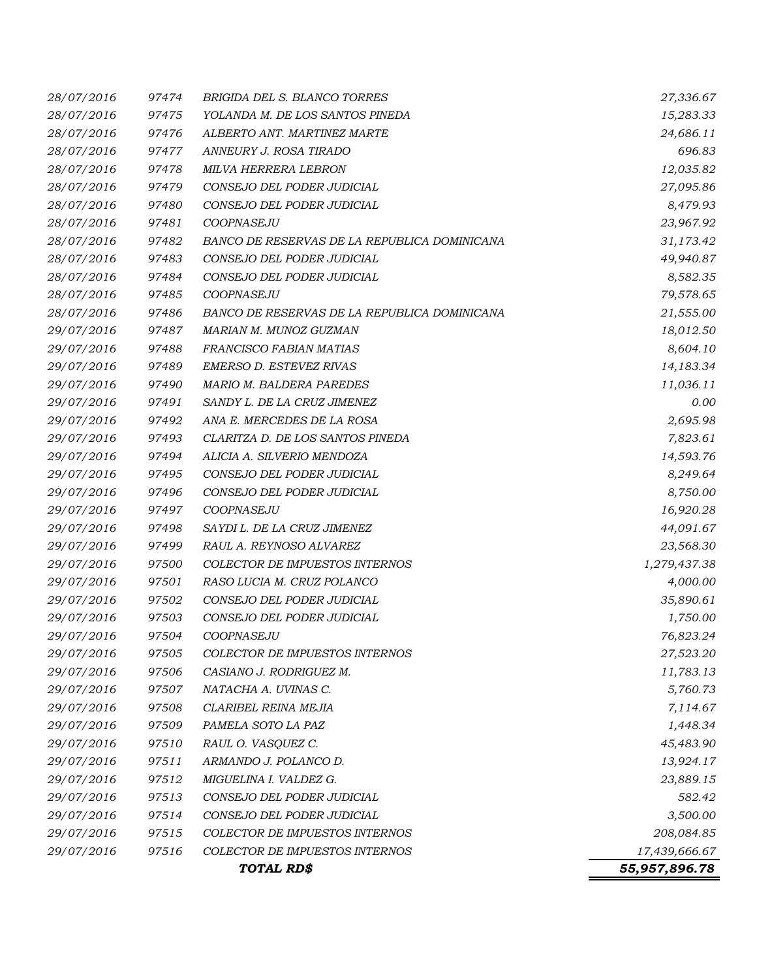| 28/07/2016 | 97474 | <b>BRIGIDA DEL S. BLANCO TORRES</b>          | 27,336.67     |
|------------|-------|----------------------------------------------|---------------|
| 28/07/2016 | 97475 | YOLANDA M. DE LOS SANTOS PINEDA              | 15,283.33     |
| 28/07/2016 | 97476 | ALBERTO ANT. MARTINEZ MARTE                  | 24,686.11     |
| 28/07/2016 | 97477 | ANNEURY J. ROSA TIRADO                       | 696.83        |
| 28/07/2016 | 97478 | MILVA HERRERA LEBRON                         | 12,035.82     |
| 28/07/2016 | 97479 | CONSEJO DEL PODER JUDICIAL                   | 27,095.86     |
| 28/07/2016 | 97480 | CONSEJO DEL PODER JUDICIAL                   | 8,479.93      |
| 28/07/2016 | 97481 | COOPNASEJU                                   | 23,967.92     |
| 28/07/2016 | 97482 | BANCO DE RESERVAS DE LA REPUBLICA DOMINICANA | 31,173.42     |
| 28/07/2016 | 97483 | CONSEJO DEL PODER JUDICIAL                   | 49,940.87     |
| 28/07/2016 | 97484 | CONSEJO DEL PODER JUDICIAL                   | 8,582.35      |
| 28/07/2016 | 97485 | COOPNASEJU                                   | 79,578.65     |
| 28/07/2016 | 97486 | BANCO DE RESERVAS DE LA REPUBLICA DOMINICANA | 21,555.00     |
| 29/07/2016 | 97487 | MARIAN M. MUNOZ GUZMAN                       | 18,012.50     |
| 29/07/2016 | 97488 | FRANCISCO FABIAN MATIAS                      | 8,604.10      |
| 29/07/2016 | 97489 | EMERSO D. ESTEVEZ RIVAS                      | 14,183.34     |
| 29/07/2016 | 97490 | <b>MARIO M. BALDERA PAREDES</b>              | 11,036.11     |
| 29/07/2016 | 97491 | SANDY L. DE LA CRUZ JIMENEZ                  | 0.00          |
| 29/07/2016 | 97492 | ANA E. MERCEDES DE LA ROSA                   | 2,695.98      |
| 29/07/2016 | 97493 | CLARITZA D. DE LOS SANTOS PINEDA             | 7,823.61      |
| 29/07/2016 | 97494 | ALICIA A. SILVERIO MENDOZA                   | 14,593.76     |
| 29/07/2016 | 97495 | CONSEJO DEL PODER JUDICIAL                   | 8,249.64      |
| 29/07/2016 | 97496 | CONSEJO DEL PODER JUDICIAL                   | 8,750.00      |
| 29/07/2016 | 97497 | COOPNASEJU                                   | 16,920.28     |
| 29/07/2016 | 97498 | SAYDI L. DE LA CRUZ JIMENEZ                  | 44,091.67     |
| 29/07/2016 | 97499 | RAUL A. REYNOSO ALVAREZ                      | 23,568.30     |
| 29/07/2016 | 97500 | COLECTOR DE IMPUESTOS INTERNOS               | 1,279,437.38  |
| 29/07/2016 | 97501 | RASO LUCIA M. CRUZ POLANCO                   | 4,000.00      |
| 29/07/2016 | 97502 | CONSEJO DEL PODER JUDICIAL                   | 35,890.61     |
| 29/07/2016 | 97503 | CONSEJO DEL PODER JUDICIAL                   | 1,750.00      |
| 29/07/2016 | 97504 | COOPNASEJU                                   | 76,823.24     |
| 29/07/2016 | 97505 | COLECTOR DE IMPUESTOS INTERNOS               | 27,523.20     |
| 29/07/2016 | 97506 | CASIANO J. RODRIGUEZ M.                      | 11,783.13     |
| 29/07/2016 | 97507 | NATACHA A. UVINAS C.                         | 5,760.73      |
| 29/07/2016 | 97508 | CLARIBEL REINA MEJIA                         | 7,114.67      |
| 29/07/2016 | 97509 | PAMELA SOTO LA PAZ                           | 1,448.34      |
| 29/07/2016 | 97510 | RAUL O. VASQUEZ C.                           | 45,483.90     |
| 29/07/2016 | 97511 | ARMANDO J. POLANCO D.                        | 13,924.17     |
| 29/07/2016 | 97512 | MIGUELINA I. VALDEZ G.                       | 23,889.15     |
| 29/07/2016 | 97513 | CONSEJO DEL PODER JUDICIAL                   | 582.42        |
| 29/07/2016 | 97514 | CONSEJO DEL PODER JUDICIAL                   | 3,500.00      |
| 29/07/2016 | 97515 | COLECTOR DE IMPUESTOS INTERNOS               | 208,084.85    |
| 29/07/2016 | 97516 | COLECTOR DE IMPUESTOS INTERNOS               | 17,439,666.67 |
|            |       | TOTAL RD\$                                   | 55,957,896.78 |